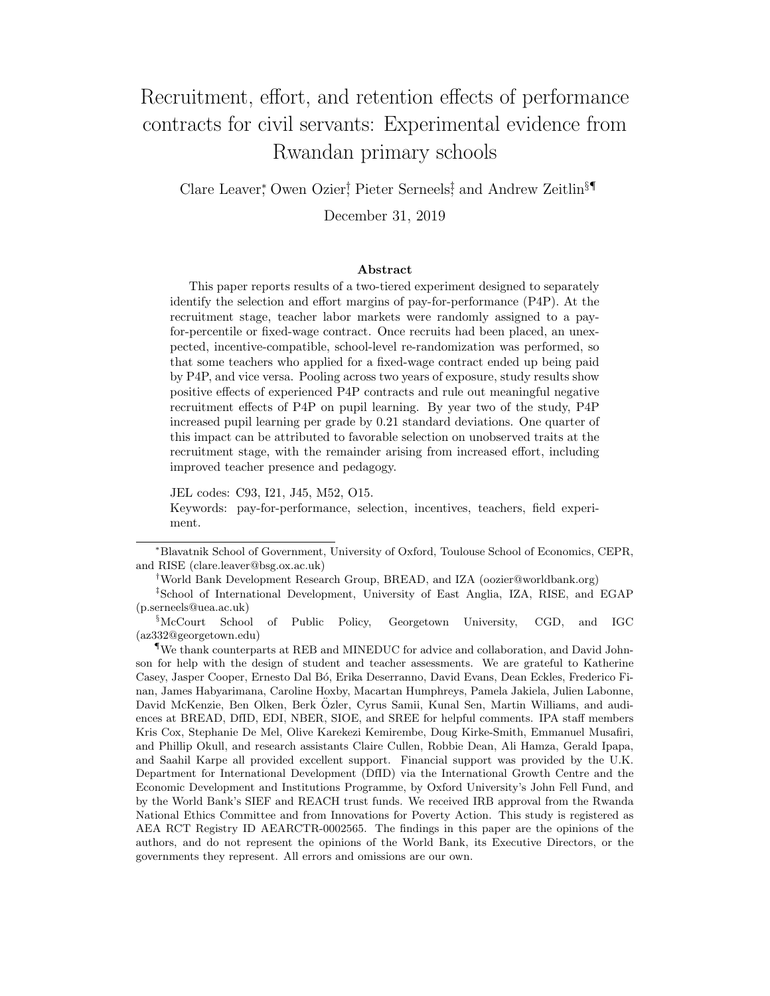# Recruitment, effort, and retention effects of performance contracts for civil servants: Experimental evidence from Rwandan primary schools

Clare Leaver<sup>\*</sup>, Owen Ozier<sup>†</sup>, Pieter Serneels<sup>‡</sup> and Andrew Zeitlin<sup>§¶</sup>

December 31, 2019

#### Abstract

This paper reports results of a two-tiered experiment designed to separately identify the selection and effort margins of pay-for-performance (P4P). At the recruitment stage, teacher labor markets were randomly assigned to a payfor-percentile or fixed-wage contract. Once recruits had been placed, an unexpected, incentive-compatible, school-level re-randomization was performed, so that some teachers who applied for a fixed-wage contract ended up being paid by P4P, and vice versa. Pooling across two years of exposure, study results show positive effects of experienced P4P contracts and rule out meaningful negative recruitment effects of P4P on pupil learning. By year two of the study, P4P increased pupil learning per grade by 0.21 standard deviations. One quarter of this impact can be attributed to favorable selection on unobserved traits at the recruitment stage, with the remainder arising from increased effort, including improved teacher presence and pedagogy.

JEL codes: C93, I21, J45, M52, O15.

Keywords: pay-for-performance, selection, incentives, teachers, field experiment.

<sup>∗</sup>Blavatnik School of Government, University of Oxford, Toulouse School of Economics, CEPR, and RISE (clare.leaver@bsg.ox.ac.uk)

<sup>†</sup>World Bank Development Research Group, BREAD, and IZA (oozier@worldbank.org)

<sup>‡</sup>School of International Development, University of East Anglia, IZA, RISE, and EGAP (p.serneels@uea.ac.uk)

<sup>§</sup>McCourt School of Public Policy, Georgetown University, CGD, and IGC (az332@georgetown.edu)

<sup>¶</sup>We thank counterparts at REB and MINEDUC for advice and collaboration, and David Johnson for help with the design of student and teacher assessments. We are grateful to Katherine Casey, Jasper Cooper, Ernesto Dal B´o, Erika Deserranno, David Evans, Dean Eckles, Frederico Finan, James Habyarimana, Caroline Hoxby, Macartan Humphreys, Pamela Jakiela, Julien Labonne, David McKenzie, Ben Olken, Berk Ozler, Cyrus Samii, Kunal Sen, Martin Williams, and audi- ¨ ences at BREAD, DfID, EDI, NBER, SIOE, and SREE for helpful comments. IPA staff members Kris Cox, Stephanie De Mel, Olive Karekezi Kemirembe, Doug Kirke-Smith, Emmanuel Musafiri, and Phillip Okull, and research assistants Claire Cullen, Robbie Dean, Ali Hamza, Gerald Ipapa, and Saahil Karpe all provided excellent support. Financial support was provided by the U.K. Department for International Development (DfID) via the International Growth Centre and the Economic Development and Institutions Programme, by Oxford University's John Fell Fund, and by the World Bank's SIEF and REACH trust funds. We received IRB approval from the Rwanda National Ethics Committee and from Innovations for Poverty Action. This study is registered as AEA RCT Registry ID AEARCTR-0002565. The findings in this paper are the opinions of the authors, and do not represent the opinions of the World Bank, its Executive Directors, or the governments they represent. All errors and omissions are our own.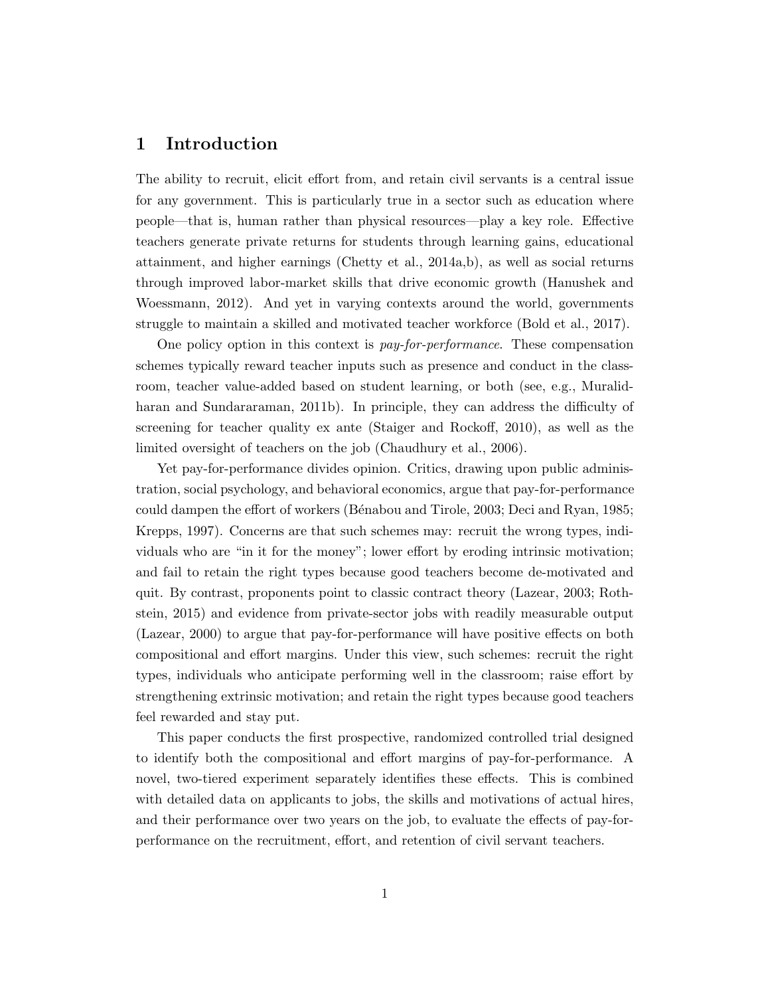# 1 Introduction

The ability to recruit, elicit effort from, and retain civil servants is a central issue for any government. This is particularly true in a sector such as education where people—that is, human rather than physical resources—play a key role. Effective teachers generate private returns for students through learning gains, educational attainment, and higher earnings (Chetty et al., 2014a,b), as well as social returns through improved labor-market skills that drive economic growth (Hanushek and Woessmann, 2012). And yet in varying contexts around the world, governments struggle to maintain a skilled and motivated teacher workforce (Bold et al., 2017).

One policy option in this context is pay-for-performance. These compensation schemes typically reward teacher inputs such as presence and conduct in the classroom, teacher value-added based on student learning, or both (see, e.g., Muralidharan and Sundararaman, 2011b). In principle, they can address the difficulty of screening for teacher quality ex ante (Staiger and Rockoff, 2010), as well as the limited oversight of teachers on the job (Chaudhury et al., 2006).

Yet pay-for-performance divides opinion. Critics, drawing upon public administration, social psychology, and behavioral economics, argue that pay-for-performance could dampen the effort of workers (B´enabou and Tirole, 2003; Deci and Ryan, 1985; Krepps, 1997). Concerns are that such schemes may: recruit the wrong types, individuals who are "in it for the money"; lower effort by eroding intrinsic motivation; and fail to retain the right types because good teachers become de-motivated and quit. By contrast, proponents point to classic contract theory (Lazear, 2003; Rothstein, 2015) and evidence from private-sector jobs with readily measurable output (Lazear, 2000) to argue that pay-for-performance will have positive effects on both compositional and effort margins. Under this view, such schemes: recruit the right types, individuals who anticipate performing well in the classroom; raise effort by strengthening extrinsic motivation; and retain the right types because good teachers feel rewarded and stay put.

This paper conducts the first prospective, randomized controlled trial designed to identify both the compositional and effort margins of pay-for-performance. A novel, two-tiered experiment separately identifies these effects. This is combined with detailed data on applicants to jobs, the skills and motivations of actual hires, and their performance over two years on the job, to evaluate the effects of pay-forperformance on the recruitment, effort, and retention of civil servant teachers.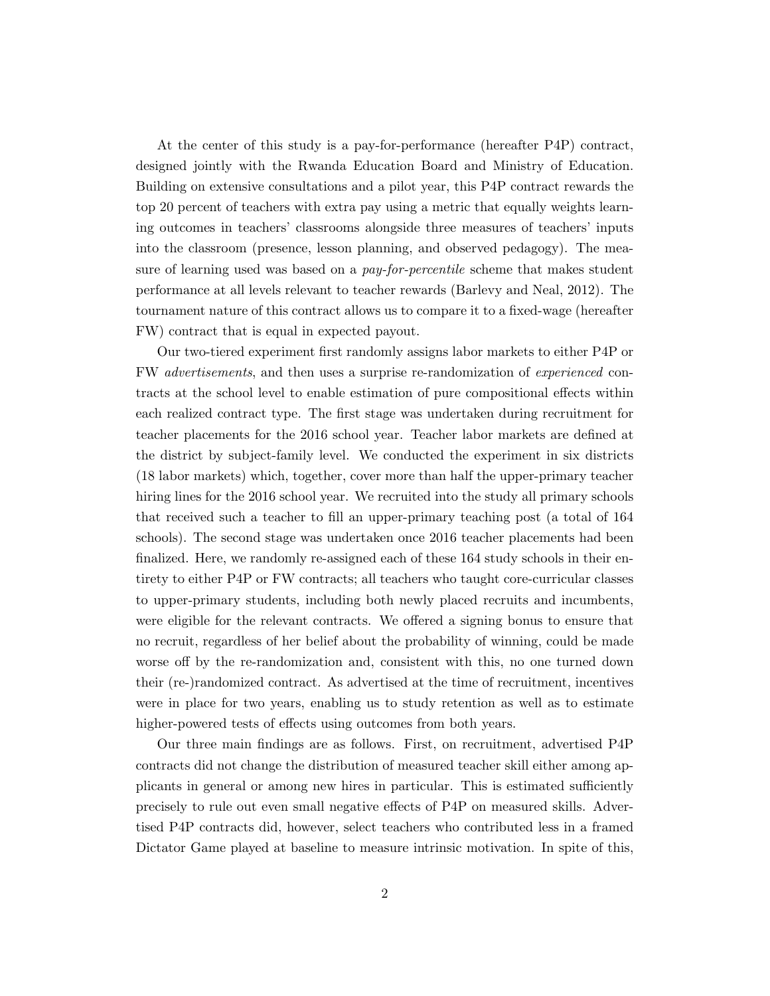At the center of this study is a pay-for-performance (hereafter P4P) contract, designed jointly with the Rwanda Education Board and Ministry of Education. Building on extensive consultations and a pilot year, this P4P contract rewards the top 20 percent of teachers with extra pay using a metric that equally weights learning outcomes in teachers' classrooms alongside three measures of teachers' inputs into the classroom (presence, lesson planning, and observed pedagogy). The measure of learning used was based on a *pay-for-percentile* scheme that makes student performance at all levels relevant to teacher rewards (Barlevy and Neal, 2012). The tournament nature of this contract allows us to compare it to a fixed-wage (hereafter FW) contract that is equal in expected payout.

Our two-tiered experiment first randomly assigns labor markets to either P4P or FW advertisements, and then uses a surprise re-randomization of experienced contracts at the school level to enable estimation of pure compositional effects within each realized contract type. The first stage was undertaken during recruitment for teacher placements for the 2016 school year. Teacher labor markets are defined at the district by subject-family level. We conducted the experiment in six districts (18 labor markets) which, together, cover more than half the upper-primary teacher hiring lines for the 2016 school year. We recruited into the study all primary schools that received such a teacher to fill an upper-primary teaching post (a total of 164 schools). The second stage was undertaken once 2016 teacher placements had been finalized. Here, we randomly re-assigned each of these 164 study schools in their entirety to either P4P or FW contracts; all teachers who taught core-curricular classes to upper-primary students, including both newly placed recruits and incumbents, were eligible for the relevant contracts. We offered a signing bonus to ensure that no recruit, regardless of her belief about the probability of winning, could be made worse off by the re-randomization and, consistent with this, no one turned down their (re-)randomized contract. As advertised at the time of recruitment, incentives were in place for two years, enabling us to study retention as well as to estimate higher-powered tests of effects using outcomes from both years.

Our three main findings are as follows. First, on recruitment, advertised P4P contracts did not change the distribution of measured teacher skill either among applicants in general or among new hires in particular. This is estimated sufficiently precisely to rule out even small negative effects of P4P on measured skills. Advertised P4P contracts did, however, select teachers who contributed less in a framed Dictator Game played at baseline to measure intrinsic motivation. In spite of this,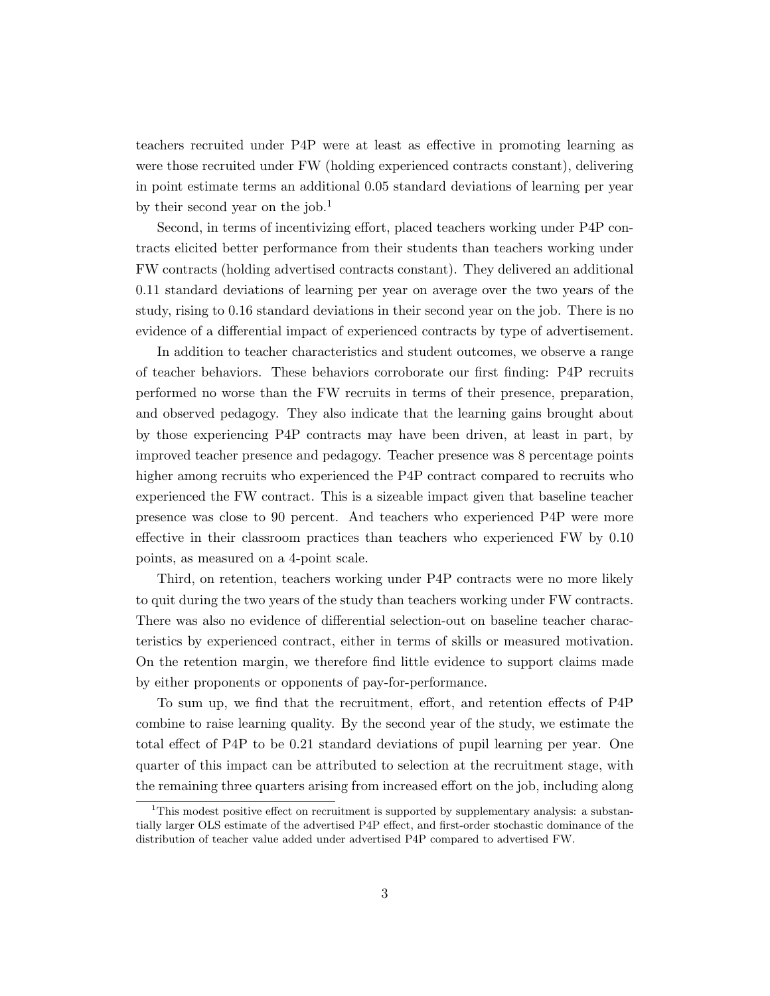teachers recruited under P4P were at least as effective in promoting learning as were those recruited under FW (holding experienced contracts constant), delivering in point estimate terms an additional 0.05 standard deviations of learning per year by their second year on the job.<sup>1</sup>

Second, in terms of incentivizing effort, placed teachers working under P4P contracts elicited better performance from their students than teachers working under FW contracts (holding advertised contracts constant). They delivered an additional 0.11 standard deviations of learning per year on average over the two years of the study, rising to 0.16 standard deviations in their second year on the job. There is no evidence of a differential impact of experienced contracts by type of advertisement.

In addition to teacher characteristics and student outcomes, we observe a range of teacher behaviors. These behaviors corroborate our first finding: P4P recruits performed no worse than the FW recruits in terms of their presence, preparation, and observed pedagogy. They also indicate that the learning gains brought about by those experiencing P4P contracts may have been driven, at least in part, by improved teacher presence and pedagogy. Teacher presence was 8 percentage points higher among recruits who experienced the P4P contract compared to recruits who experienced the FW contract. This is a sizeable impact given that baseline teacher presence was close to 90 percent. And teachers who experienced P4P were more effective in their classroom practices than teachers who experienced FW by 0.10 points, as measured on a 4-point scale.

Third, on retention, teachers working under P4P contracts were no more likely to quit during the two years of the study than teachers working under FW contracts. There was also no evidence of differential selection-out on baseline teacher characteristics by experienced contract, either in terms of skills or measured motivation. On the retention margin, we therefore find little evidence to support claims made by either proponents or opponents of pay-for-performance.

To sum up, we find that the recruitment, effort, and retention effects of P4P combine to raise learning quality. By the second year of the study, we estimate the total effect of P4P to be 0.21 standard deviations of pupil learning per year. One quarter of this impact can be attributed to selection at the recruitment stage, with the remaining three quarters arising from increased effort on the job, including along

<sup>&</sup>lt;sup>1</sup>This modest positive effect on recruitment is supported by supplementary analysis: a substantially larger OLS estimate of the advertised P4P effect, and first-order stochastic dominance of the distribution of teacher value added under advertised P4P compared to advertised FW.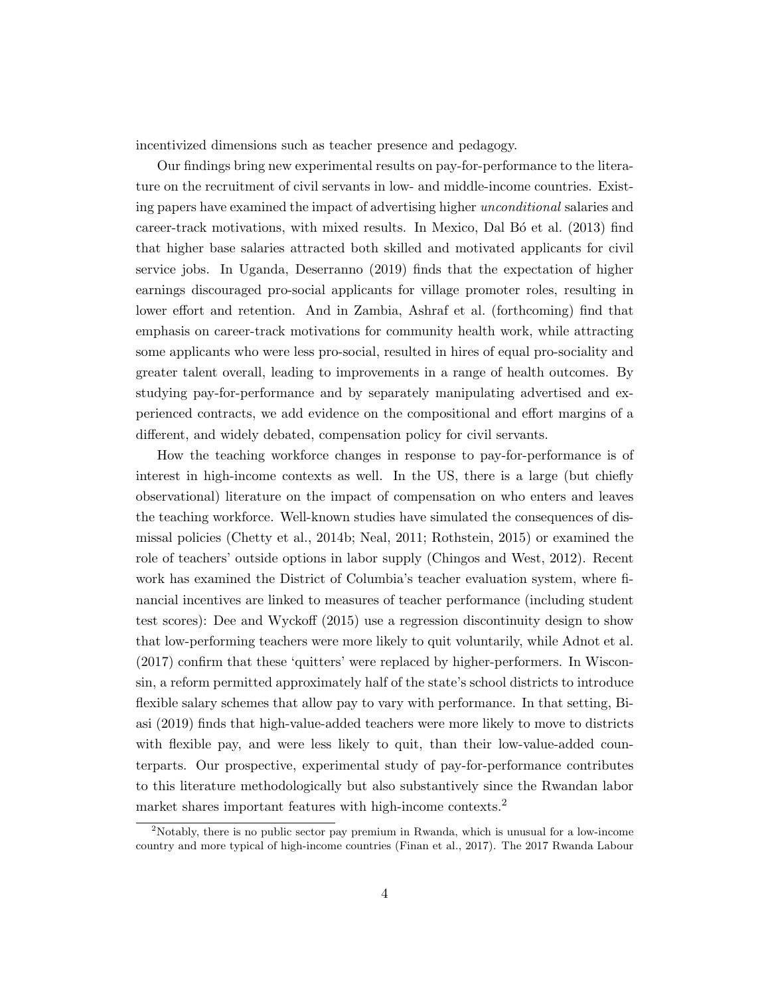incentivized dimensions such as teacher presence and pedagogy.

Our findings bring new experimental results on pay-for-performance to the literature on the recruitment of civil servants in low- and middle-income countries. Existing papers have examined the impact of advertising higher unconditional salaries and career-track motivations, with mixed results. In Mexico, Dal Bo et al. (2013) find that higher base salaries attracted both skilled and motivated applicants for civil service jobs. In Uganda, Deserranno (2019) finds that the expectation of higher earnings discouraged pro-social applicants for village promoter roles, resulting in lower effort and retention. And in Zambia, Ashraf et al. (forthcoming) find that emphasis on career-track motivations for community health work, while attracting some applicants who were less pro-social, resulted in hires of equal pro-sociality and greater talent overall, leading to improvements in a range of health outcomes. By studying pay-for-performance and by separately manipulating advertised and experienced contracts, we add evidence on the compositional and effort margins of a different, and widely debated, compensation policy for civil servants.

How the teaching workforce changes in response to pay-for-performance is of interest in high-income contexts as well. In the US, there is a large (but chiefly observational) literature on the impact of compensation on who enters and leaves the teaching workforce. Well-known studies have simulated the consequences of dismissal policies (Chetty et al., 2014b; Neal, 2011; Rothstein, 2015) or examined the role of teachers' outside options in labor supply (Chingos and West, 2012). Recent work has examined the District of Columbia's teacher evaluation system, where financial incentives are linked to measures of teacher performance (including student test scores): Dee and Wyckoff (2015) use a regression discontinuity design to show that low-performing teachers were more likely to quit voluntarily, while Adnot et al. (2017) confirm that these 'quitters' were replaced by higher-performers. In Wisconsin, a reform permitted approximately half of the state's school districts to introduce flexible salary schemes that allow pay to vary with performance. In that setting, Biasi (2019) finds that high-value-added teachers were more likely to move to districts with flexible pay, and were less likely to quit, than their low-value-added counterparts. Our prospective, experimental study of pay-for-performance contributes to this literature methodologically but also substantively since the Rwandan labor market shares important features with high-income contexts.<sup>2</sup>

<sup>2</sup>Notably, there is no public sector pay premium in Rwanda, which is unusual for a low-income country and more typical of high-income countries (Finan et al., 2017). The 2017 Rwanda Labour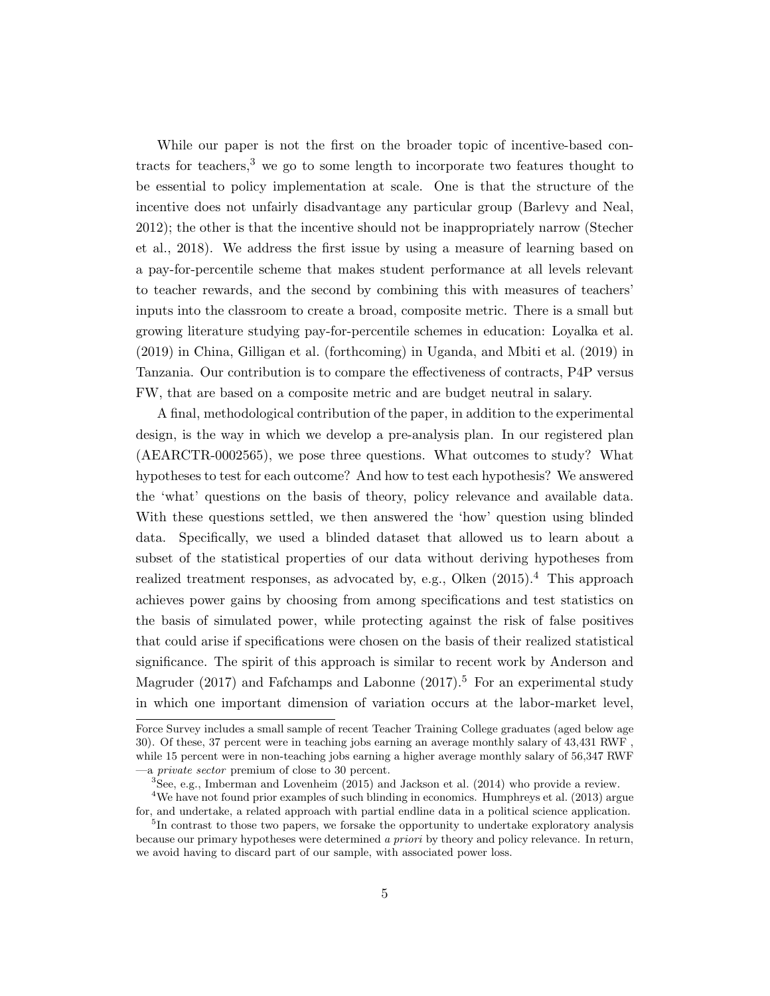While our paper is not the first on the broader topic of incentive-based contracts for teachers,<sup>3</sup> we go to some length to incorporate two features thought to be essential to policy implementation at scale. One is that the structure of the incentive does not unfairly disadvantage any particular group (Barlevy and Neal, 2012); the other is that the incentive should not be inappropriately narrow (Stecher et al., 2018). We address the first issue by using a measure of learning based on a pay-for-percentile scheme that makes student performance at all levels relevant to teacher rewards, and the second by combining this with measures of teachers' inputs into the classroom to create a broad, composite metric. There is a small but growing literature studying pay-for-percentile schemes in education: Loyalka et al. (2019) in China, Gilligan et al. (forthcoming) in Uganda, and Mbiti et al. (2019) in Tanzania. Our contribution is to compare the effectiveness of contracts, P4P versus FW, that are based on a composite metric and are budget neutral in salary.

A final, methodological contribution of the paper, in addition to the experimental design, is the way in which we develop a pre-analysis plan. In our registered plan (AEARCTR-0002565), we pose three questions. What outcomes to study? What hypotheses to test for each outcome? And how to test each hypothesis? We answered the 'what' questions on the basis of theory, policy relevance and available data. With these questions settled, we then answered the 'how' question using blinded data. Specifically, we used a blinded dataset that allowed us to learn about a subset of the statistical properties of our data without deriving hypotheses from realized treatment responses, as advocated by, e.g., Olken  $(2015).<sup>4</sup>$  This approach achieves power gains by choosing from among specifications and test statistics on the basis of simulated power, while protecting against the risk of false positives that could arise if specifications were chosen on the basis of their realized statistical significance. The spirit of this approach is similar to recent work by Anderson and Magruder (2017) and Fafchamps and Labonne (2017).<sup>5</sup> For an experimental study in which one important dimension of variation occurs at the labor-market level,

Force Survey includes a small sample of recent Teacher Training College graduates (aged below age 30). Of these, 37 percent were in teaching jobs earning an average monthly salary of 43,431 RWF , while 15 percent were in non-teaching jobs earning a higher average monthly salary of 56,347 RWF —a private sector premium of close to 30 percent.

<sup>3</sup>See, e.g., Imberman and Lovenheim (2015) and Jackson et al. (2014) who provide a review.

<sup>&</sup>lt;sup>4</sup>We have not found prior examples of such blinding in economics. Humphreys et al. (2013) argue for, and undertake, a related approach with partial endline data in a political science application.

<sup>&</sup>lt;sup>5</sup>In contrast to those two papers, we forsake the opportunity to undertake exploratory analysis because our primary hypotheses were determined a priori by theory and policy relevance. In return, we avoid having to discard part of our sample, with associated power loss.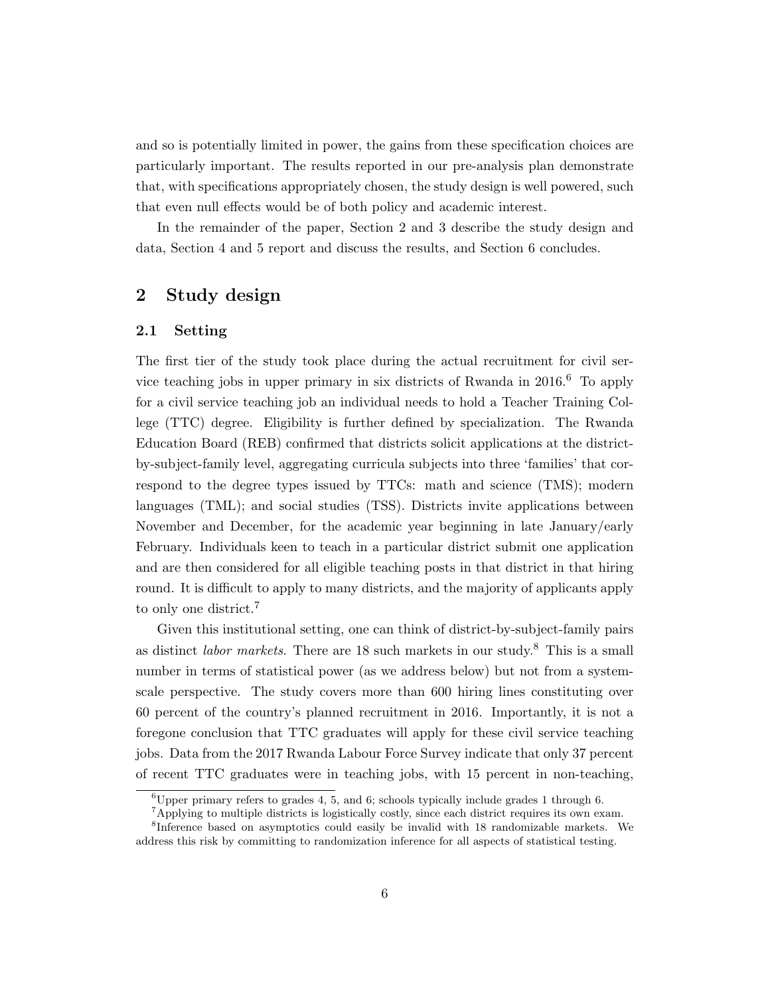and so is potentially limited in power, the gains from these specification choices are particularly important. The results reported in our pre-analysis plan demonstrate that, with specifications appropriately chosen, the study design is well powered, such that even null effects would be of both policy and academic interest.

In the remainder of the paper, Section 2 and 3 describe the study design and data, Section 4 and 5 report and discuss the results, and Section 6 concludes.

### 2 Study design

#### 2.1 Setting

The first tier of the study took place during the actual recruitment for civil service teaching jobs in upper primary in six districts of Rwanda in  $2016<sup>6</sup>$  To apply for a civil service teaching job an individual needs to hold a Teacher Training College (TTC) degree. Eligibility is further defined by specialization. The Rwanda Education Board (REB) confirmed that districts solicit applications at the districtby-subject-family level, aggregating curricula subjects into three 'families' that correspond to the degree types issued by TTCs: math and science (TMS); modern languages (TML); and social studies (TSS). Districts invite applications between November and December, for the academic year beginning in late January/early February. Individuals keen to teach in a particular district submit one application and are then considered for all eligible teaching posts in that district in that hiring round. It is difficult to apply to many districts, and the majority of applicants apply to only one district.<sup>7</sup>

Given this institutional setting, one can think of district-by-subject-family pairs as distinct *labor markets*. There are  $18$  such markets in our study.<sup>8</sup> This is a small number in terms of statistical power (as we address below) but not from a systemscale perspective. The study covers more than 600 hiring lines constituting over 60 percent of the country's planned recruitment in 2016. Importantly, it is not a foregone conclusion that TTC graduates will apply for these civil service teaching jobs. Data from the 2017 Rwanda Labour Force Survey indicate that only 37 percent of recent TTC graduates were in teaching jobs, with 15 percent in non-teaching,

<sup>&</sup>lt;sup>6</sup>Upper primary refers to grades 4, 5, and 6; schools typically include grades 1 through 6.

<sup>&</sup>lt;sup>7</sup>Applying to multiple districts is logistically costly, since each district requires its own exam.

<sup>8</sup> Inference based on asymptotics could easily be invalid with 18 randomizable markets. We address this risk by committing to randomization inference for all aspects of statistical testing.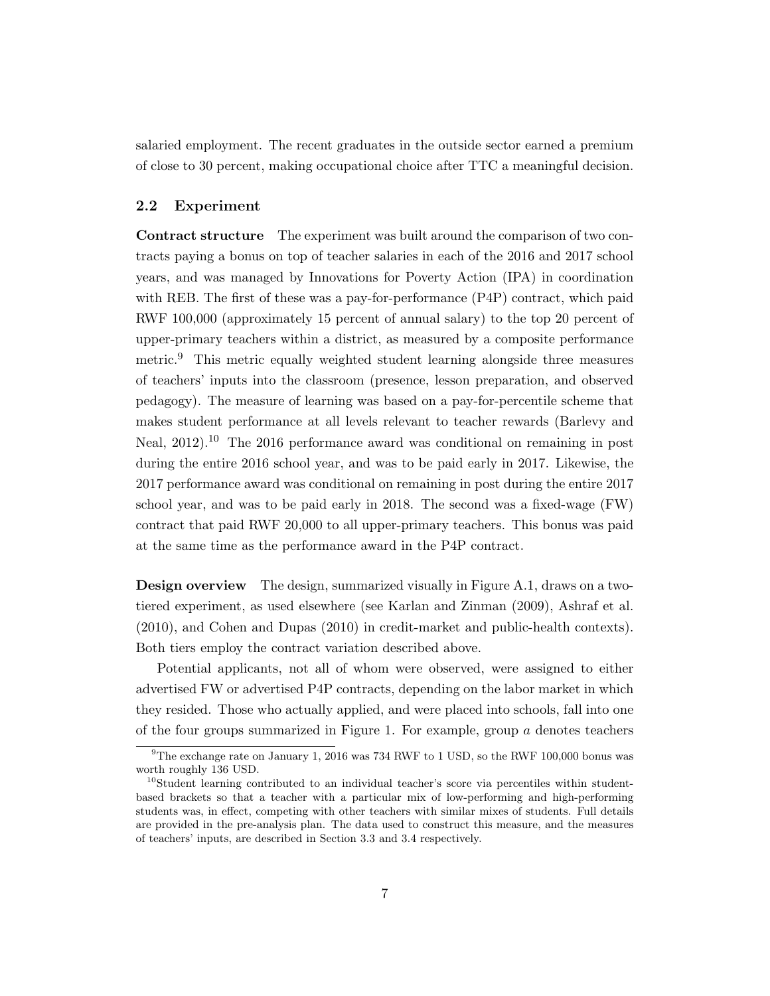salaried employment. The recent graduates in the outside sector earned a premium of close to 30 percent, making occupational choice after TTC a meaningful decision.

#### 2.2 Experiment

Contract structure The experiment was built around the comparison of two contracts paying a bonus on top of teacher salaries in each of the 2016 and 2017 school years, and was managed by Innovations for Poverty Action (IPA) in coordination with REB. The first of these was a pay-for-performance (P4P) contract, which paid RWF 100,000 (approximately 15 percent of annual salary) to the top 20 percent of upper-primary teachers within a district, as measured by a composite performance metric.<sup>9</sup> This metric equally weighted student learning alongside three measures of teachers' inputs into the classroom (presence, lesson preparation, and observed pedagogy). The measure of learning was based on a pay-for-percentile scheme that makes student performance at all levels relevant to teacher rewards (Barlevy and Neal, 2012).<sup>10</sup> The 2016 performance award was conditional on remaining in post during the entire 2016 school year, and was to be paid early in 2017. Likewise, the 2017 performance award was conditional on remaining in post during the entire 2017 school year, and was to be paid early in 2018. The second was a fixed-wage (FW) contract that paid RWF 20,000 to all upper-primary teachers. This bonus was paid at the same time as the performance award in the P4P contract.

Design overview The design, summarized visually in Figure A.1, draws on a twotiered experiment, as used elsewhere (see Karlan and Zinman (2009), Ashraf et al. (2010), and Cohen and Dupas (2010) in credit-market and public-health contexts). Both tiers employ the contract variation described above.

Potential applicants, not all of whom were observed, were assigned to either advertised FW or advertised P4P contracts, depending on the labor market in which they resided. Those who actually applied, and were placed into schools, fall into one of the four groups summarized in Figure 1. For example, group  $\alpha$  denotes teachers

<sup>9</sup>The exchange rate on January 1, 2016 was 734 RWF to 1 USD, so the RWF 100,000 bonus was worth roughly 136 USD.

 $10$ Student learning contributed to an individual teacher's score via percentiles within studentbased brackets so that a teacher with a particular mix of low-performing and high-performing students was, in effect, competing with other teachers with similar mixes of students. Full details are provided in the pre-analysis plan. The data used to construct this measure, and the measures of teachers' inputs, are described in Section 3.3 and 3.4 respectively.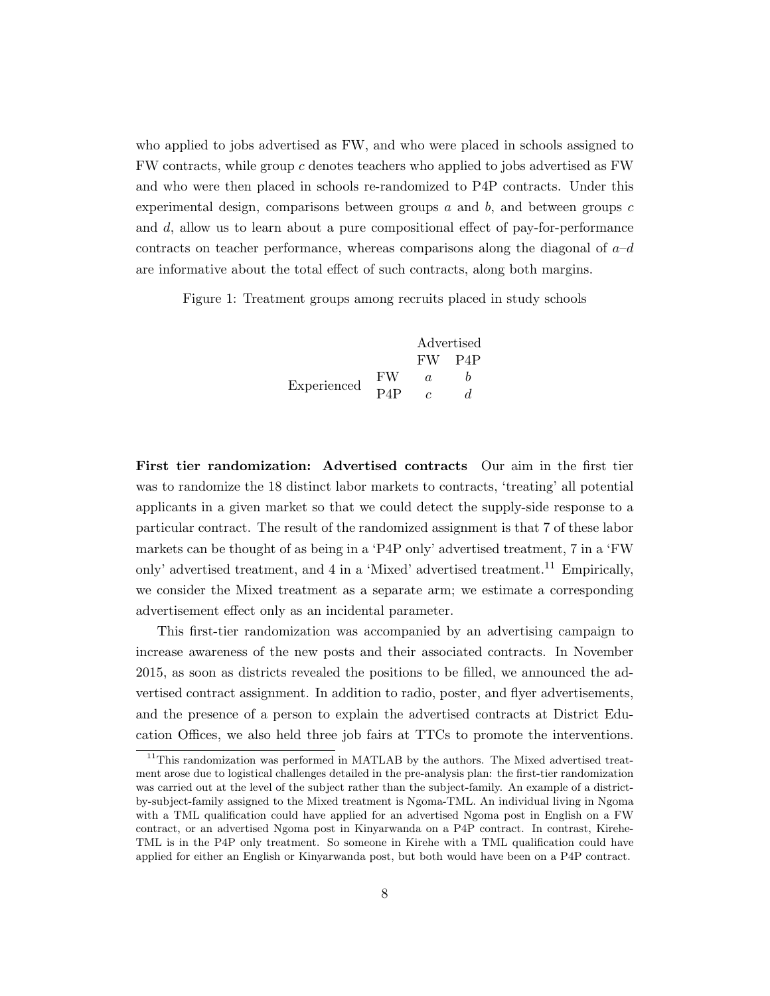who applied to jobs advertised as FW, and who were placed in schools assigned to FW contracts, while group c denotes teachers who applied to jobs advertised as FW and who were then placed in schools re-randomized to P4P contracts. Under this experimental design, comparisons between groups  $a$  and  $b$ , and between groups  $c$ and d, allow us to learn about a pure compositional effect of pay-for-performance contracts on teacher performance, whereas comparisons along the diagonal of  $a-d$ are informative about the total effect of such contracts, along both margins.

Figure 1: Treatment groups among recruits placed in study schools

|             |        | Advertised |                  |  |
|-------------|--------|------------|------------------|--|
|             |        | FW.        | P <sub>4</sub> P |  |
| Experienced | FW     | a.         |                  |  |
|             | $P_4P$ |            |                  |  |

First tier randomization: Advertised contracts Our aim in the first tier was to randomize the 18 distinct labor markets to contracts, 'treating' all potential applicants in a given market so that we could detect the supply-side response to a particular contract. The result of the randomized assignment is that 7 of these labor markets can be thought of as being in a 'P4P only' advertised treatment, 7 in a 'FW only' advertised treatment, and 4 in a 'Mixed' advertised treatment.<sup>11</sup> Empirically, we consider the Mixed treatment as a separate arm; we estimate a corresponding advertisement effect only as an incidental parameter.

This first-tier randomization was accompanied by an advertising campaign to increase awareness of the new posts and their associated contracts. In November 2015, as soon as districts revealed the positions to be filled, we announced the advertised contract assignment. In addition to radio, poster, and flyer advertisements, and the presence of a person to explain the advertised contracts at District Education Offices, we also held three job fairs at TTCs to promote the interventions.

 $11$ This randomization was performed in MATLAB by the authors. The Mixed advertised treatment arose due to logistical challenges detailed in the pre-analysis plan: the first-tier randomization was carried out at the level of the subject rather than the subject-family. An example of a districtby-subject-family assigned to the Mixed treatment is Ngoma-TML. An individual living in Ngoma with a TML qualification could have applied for an advertised Ngoma post in English on a FW contract, or an advertised Ngoma post in Kinyarwanda on a P4P contract. In contrast, Kirehe-TML is in the P4P only treatment. So someone in Kirehe with a TML qualification could have applied for either an English or Kinyarwanda post, but both would have been on a P4P contract.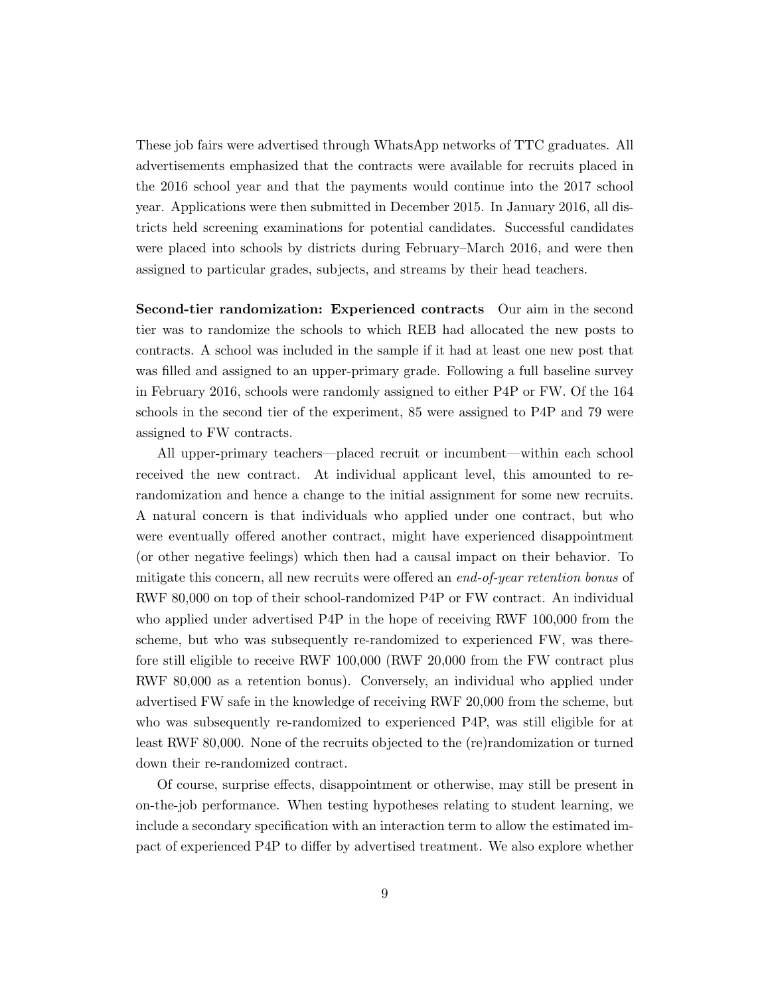These job fairs were advertised through WhatsApp networks of TTC graduates. All advertisements emphasized that the contracts were available for recruits placed in the 2016 school year and that the payments would continue into the 2017 school year. Applications were then submitted in December 2015. In January 2016, all districts held screening examinations for potential candidates. Successful candidates were placed into schools by districts during February–March 2016, and were then assigned to particular grades, subjects, and streams by their head teachers.

Second-tier randomization: Experienced contracts Our aim in the second tier was to randomize the schools to which REB had allocated the new posts to contracts. A school was included in the sample if it had at least one new post that was filled and assigned to an upper-primary grade. Following a full baseline survey in February 2016, schools were randomly assigned to either P4P or FW. Of the 164 schools in the second tier of the experiment, 85 were assigned to P4P and 79 were assigned to FW contracts.

All upper-primary teachers—placed recruit or incumbent—within each school received the new contract. At individual applicant level, this amounted to rerandomization and hence a change to the initial assignment for some new recruits. A natural concern is that individuals who applied under one contract, but who were eventually offered another contract, might have experienced disappointment (or other negative feelings) which then had a causal impact on their behavior. To mitigate this concern, all new recruits were offered an *end-of-year retention bonus* of RWF 80,000 on top of their school-randomized P4P or FW contract. An individual who applied under advertised P4P in the hope of receiving RWF 100,000 from the scheme, but who was subsequently re-randomized to experienced FW, was therefore still eligible to receive RWF 100,000 (RWF 20,000 from the FW contract plus RWF 80,000 as a retention bonus). Conversely, an individual who applied under advertised FW safe in the knowledge of receiving RWF 20,000 from the scheme, but who was subsequently re-randomized to experienced P4P, was still eligible for at least RWF 80,000. None of the recruits objected to the (re)randomization or turned down their re-randomized contract.

Of course, surprise effects, disappointment or otherwise, may still be present in on-the-job performance. When testing hypotheses relating to student learning, we include a secondary specification with an interaction term to allow the estimated impact of experienced P4P to differ by advertised treatment. We also explore whether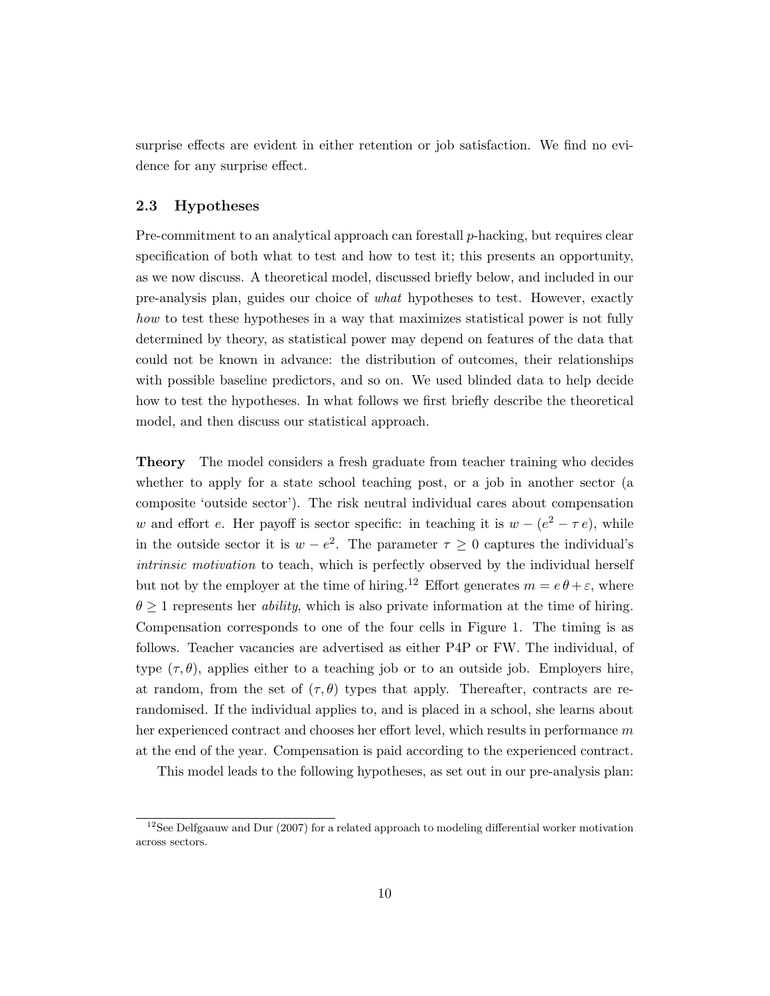surprise effects are evident in either retention or job satisfaction. We find no evidence for any surprise effect.

#### 2.3 Hypotheses

Pre-commitment to an analytical approach can forestall p-hacking, but requires clear specification of both what to test and how to test it; this presents an opportunity, as we now discuss. A theoretical model, discussed briefly below, and included in our pre-analysis plan, guides our choice of what hypotheses to test. However, exactly how to test these hypotheses in a way that maximizes statistical power is not fully determined by theory, as statistical power may depend on features of the data that could not be known in advance: the distribution of outcomes, their relationships with possible baseline predictors, and so on. We used blinded data to help decide how to test the hypotheses. In what follows we first briefly describe the theoretical model, and then discuss our statistical approach.

Theory The model considers a fresh graduate from teacher training who decides whether to apply for a state school teaching post, or a job in another sector (a composite 'outside sector'). The risk neutral individual cares about compensation w and effort e. Her payoff is sector specific: in teaching it is  $w - (e^2 - \tau e)$ , while in the outside sector it is  $w - e^2$ . The parameter  $\tau \geq 0$  captures the individual's intrinsic motivation to teach, which is perfectly observed by the individual herself but not by the employer at the time of hiring.<sup>12</sup> Effort generates  $m = e \theta + \varepsilon$ , where  $\theta \geq 1$  represents her *ability*, which is also private information at the time of hiring. Compensation corresponds to one of the four cells in Figure 1. The timing is as follows. Teacher vacancies are advertised as either P4P or FW. The individual, of type  $(\tau, \theta)$ , applies either to a teaching job or to an outside job. Employers hire, at random, from the set of  $(\tau, \theta)$  types that apply. Thereafter, contracts are rerandomised. If the individual applies to, and is placed in a school, she learns about her experienced contract and chooses her effort level, which results in performance m at the end of the year. Compensation is paid according to the experienced contract.

This model leads to the following hypotheses, as set out in our pre-analysis plan:

 $12$ See Delfgaauw and Dur (2007) for a related approach to modeling differential worker motivation across sectors.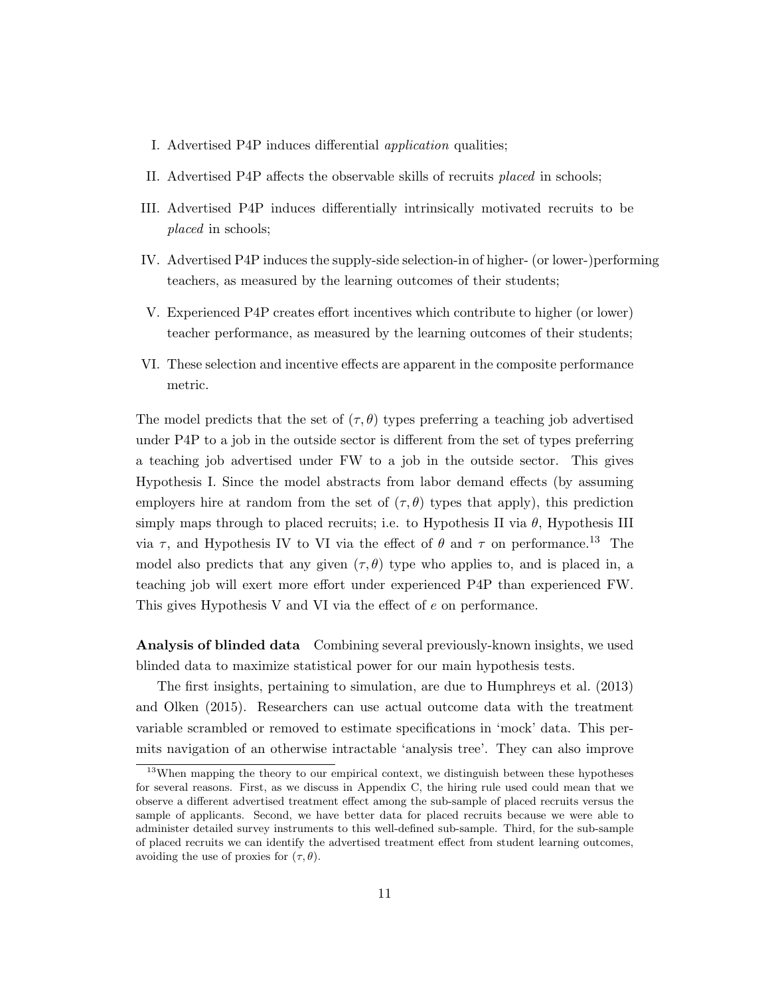- I. Advertised P4P induces differential application qualities;
- II. Advertised P4P affects the observable skills of recruits placed in schools;
- III. Advertised P4P induces differentially intrinsically motivated recruits to be placed in schools;
- IV. Advertised P4P induces the supply-side selection-in of higher- (or lower-)performing teachers, as measured by the learning outcomes of their students;
- V. Experienced P4P creates effort incentives which contribute to higher (or lower) teacher performance, as measured by the learning outcomes of their students;
- VI. These selection and incentive effects are apparent in the composite performance metric.

The model predicts that the set of  $(\tau, \theta)$  types preferring a teaching job advertised under P4P to a job in the outside sector is different from the set of types preferring a teaching job advertised under FW to a job in the outside sector. This gives Hypothesis I. Since the model abstracts from labor demand effects (by assuming employers hire at random from the set of  $(\tau, \theta)$  types that apply), this prediction simply maps through to placed recruits; i.e. to Hypothesis II via  $\theta$ , Hypothesis III via  $\tau$ , and Hypothesis IV to VI via the effect of  $\theta$  and  $\tau$  on performance.<sup>13</sup> The model also predicts that any given  $(\tau, \theta)$  type who applies to, and is placed in, a teaching job will exert more effort under experienced P4P than experienced FW. This gives Hypothesis V and VI via the effect of e on performance.

Analysis of blinded data Combining several previously-known insights, we used blinded data to maximize statistical power for our main hypothesis tests.

The first insights, pertaining to simulation, are due to Humphreys et al. (2013) and Olken (2015). Researchers can use actual outcome data with the treatment variable scrambled or removed to estimate specifications in 'mock' data. This permits navigation of an otherwise intractable 'analysis tree'. They can also improve

<sup>&</sup>lt;sup>13</sup>When mapping the theory to our empirical context, we distinguish between these hypotheses for several reasons. First, as we discuss in Appendix C, the hiring rule used could mean that we observe a different advertised treatment effect among the sub-sample of placed recruits versus the sample of applicants. Second, we have better data for placed recruits because we were able to administer detailed survey instruments to this well-defined sub-sample. Third, for the sub-sample of placed recruits we can identify the advertised treatment effect from student learning outcomes, avoiding the use of proxies for  $(\tau, \theta)$ .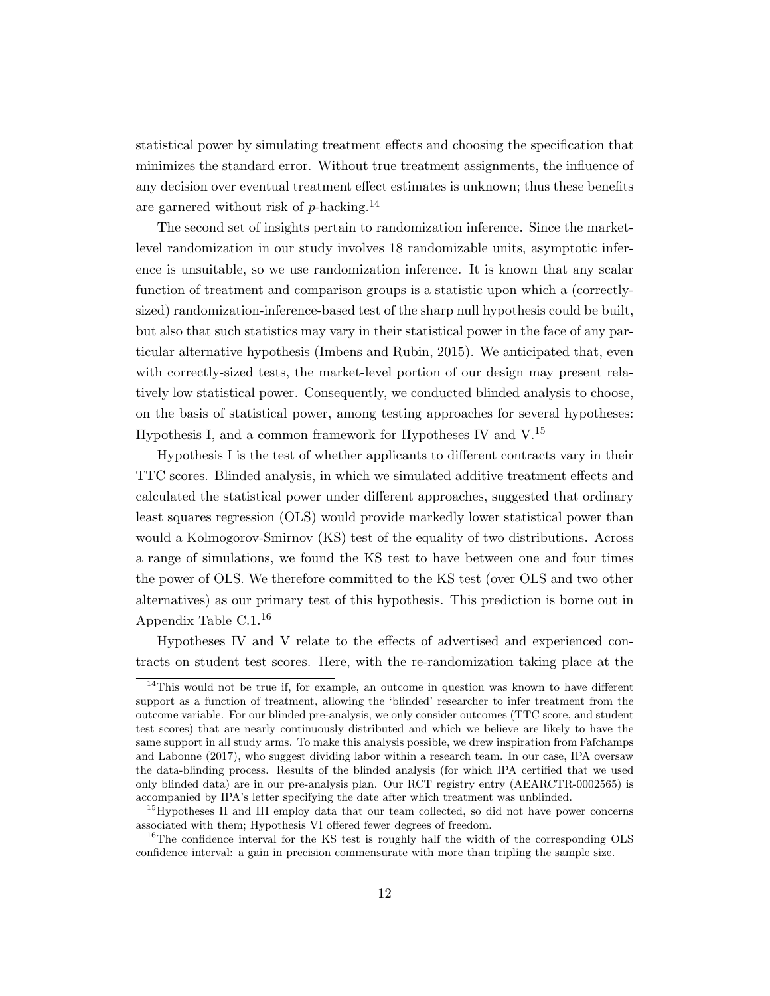statistical power by simulating treatment effects and choosing the specification that minimizes the standard error. Without true treatment assignments, the influence of any decision over eventual treatment effect estimates is unknown; thus these benefits are garnered without risk of  $p$ -hacking.<sup>14</sup>

The second set of insights pertain to randomization inference. Since the marketlevel randomization in our study involves 18 randomizable units, asymptotic inference is unsuitable, so we use randomization inference. It is known that any scalar function of treatment and comparison groups is a statistic upon which a (correctlysized) randomization-inference-based test of the sharp null hypothesis could be built, but also that such statistics may vary in their statistical power in the face of any particular alternative hypothesis (Imbens and Rubin, 2015). We anticipated that, even with correctly-sized tests, the market-level portion of our design may present relatively low statistical power. Consequently, we conducted blinded analysis to choose, on the basis of statistical power, among testing approaches for several hypotheses: Hypothesis I, and a common framework for Hypotheses IV and  $V^{15}$ .

Hypothesis I is the test of whether applicants to different contracts vary in their TTC scores. Blinded analysis, in which we simulated additive treatment effects and calculated the statistical power under different approaches, suggested that ordinary least squares regression (OLS) would provide markedly lower statistical power than would a Kolmogorov-Smirnov (KS) test of the equality of two distributions. Across a range of simulations, we found the KS test to have between one and four times the power of OLS. We therefore committed to the KS test (over OLS and two other alternatives) as our primary test of this hypothesis. This prediction is borne out in Appendix Table C.1.<sup>16</sup>

Hypotheses IV and V relate to the effects of advertised and experienced contracts on student test scores. Here, with the re-randomization taking place at the

 $14$ This would not be true if, for example, an outcome in question was known to have different support as a function of treatment, allowing the 'blinded' researcher to infer treatment from the outcome variable. For our blinded pre-analysis, we only consider outcomes (TTC score, and student test scores) that are nearly continuously distributed and which we believe are likely to have the same support in all study arms. To make this analysis possible, we drew inspiration from Fafchamps and Labonne (2017), who suggest dividing labor within a research team. In our case, IPA oversaw the data-blinding process. Results of the blinded analysis (for which IPA certified that we used only blinded data) are in our pre-analysis plan. Our RCT registry entry (AEARCTR-0002565) is accompanied by IPA's letter specifying the date after which treatment was unblinded.

<sup>&</sup>lt;sup>15</sup>Hypotheses II and III employ data that our team collected, so did not have power concerns associated with them; Hypothesis VI offered fewer degrees of freedom.

 $^{16}$ The confidence interval for the KS test is roughly half the width of the corresponding OLS confidence interval: a gain in precision commensurate with more than tripling the sample size.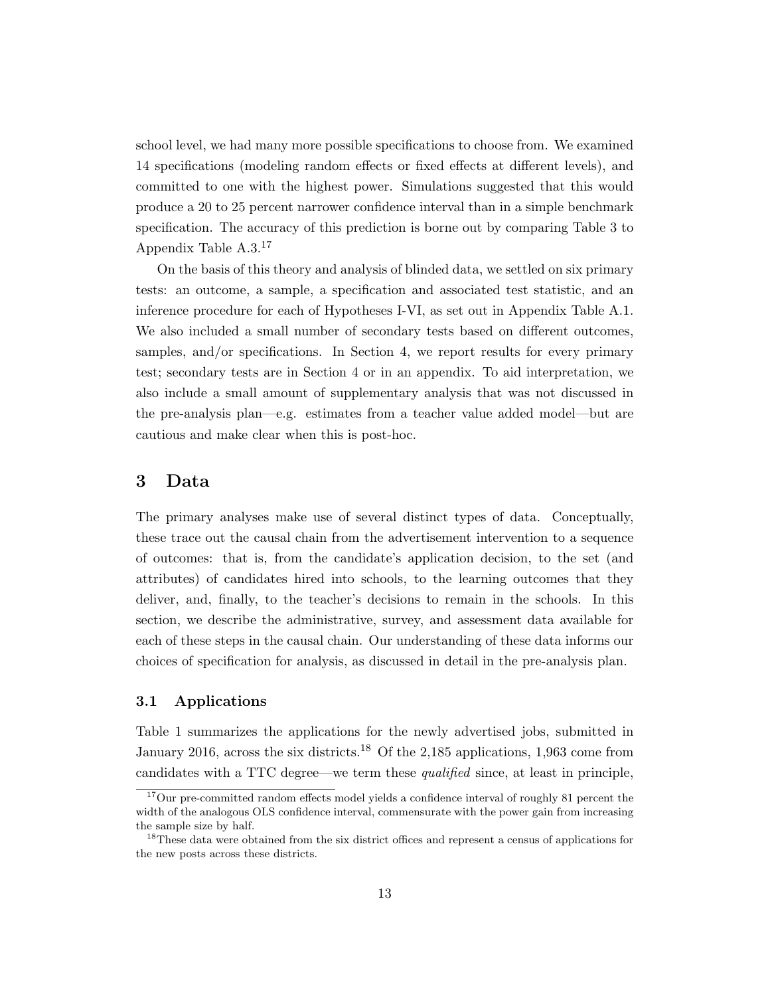school level, we had many more possible specifications to choose from. We examined 14 specifications (modeling random effects or fixed effects at different levels), and committed to one with the highest power. Simulations suggested that this would produce a 20 to 25 percent narrower confidence interval than in a simple benchmark specification. The accuracy of this prediction is borne out by comparing Table 3 to Appendix Table A.3.<sup>17</sup>

On the basis of this theory and analysis of blinded data, we settled on six primary tests: an outcome, a sample, a specification and associated test statistic, and an inference procedure for each of Hypotheses I-VI, as set out in Appendix Table A.1. We also included a small number of secondary tests based on different outcomes, samples, and/or specifications. In Section 4, we report results for every primary test; secondary tests are in Section 4 or in an appendix. To aid interpretation, we also include a small amount of supplementary analysis that was not discussed in the pre-analysis plan—e.g. estimates from a teacher value added model—but are cautious and make clear when this is post-hoc.

### 3 Data

The primary analyses make use of several distinct types of data. Conceptually, these trace out the causal chain from the advertisement intervention to a sequence of outcomes: that is, from the candidate's application decision, to the set (and attributes) of candidates hired into schools, to the learning outcomes that they deliver, and, finally, to the teacher's decisions to remain in the schools. In this section, we describe the administrative, survey, and assessment data available for each of these steps in the causal chain. Our understanding of these data informs our choices of specification for analysis, as discussed in detail in the pre-analysis plan.

#### 3.1 Applications

Table 1 summarizes the applications for the newly advertised jobs, submitted in January 2016, across the six districts.<sup>18</sup> Of the 2,185 applications, 1,963 come from candidates with a TTC degree—we term these qualified since, at least in principle,

 $17$ Our pre-committed random effects model yields a confidence interval of roughly 81 percent the width of the analogous OLS confidence interval, commensurate with the power gain from increasing the sample size by half.

<sup>&</sup>lt;sup>18</sup>These data were obtained from the six district offices and represent a census of applications for the new posts across these districts.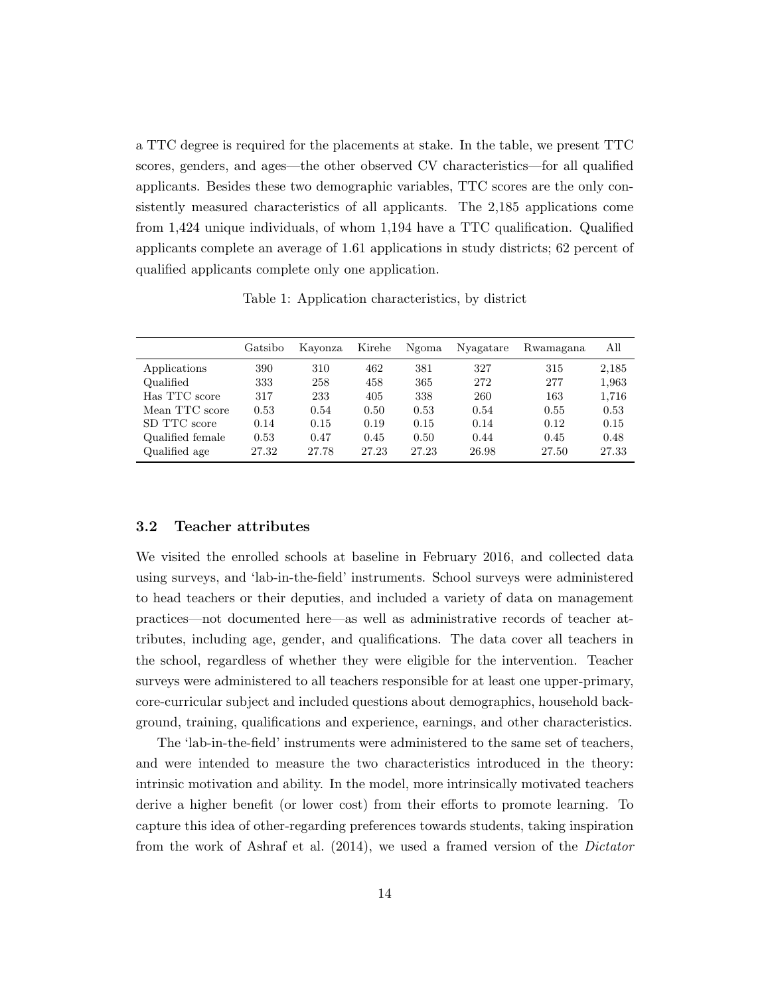a TTC degree is required for the placements at stake. In the table, we present TTC scores, genders, and ages—the other observed CV characteristics—for all qualified applicants. Besides these two demographic variables, TTC scores are the only consistently measured characteristics of all applicants. The 2,185 applications come from 1,424 unique individuals, of whom 1,194 have a TTC qualification. Qualified applicants complete an average of 1.61 applications in study districts; 62 percent of qualified applicants complete only one application.

Table 1: Application characteristics, by district

|                  | Gatsibo | Kayonza | Kirehe | Ngoma | Nyagatare | Rwamagana | All   |
|------------------|---------|---------|--------|-------|-----------|-----------|-------|
| Applications     | 390     | 310     | 462    | 381   | 327       | 315       | 2,185 |
| Qualified        | 333     | 258     | 458    | 365   | 272       | 277       | 1,963 |
| Has TTC score    | 317     | 233     | 405    | 338   | 260       | 163       | 1,716 |
| Mean TTC score   | 0.53    | 0.54    | 0.50   | 0.53  | 0.54      | 0.55      | 0.53  |
| SD TTC score     | 0.14    | 0.15    | 0.19   | 0.15  | 0.14      | 0.12      | 0.15  |
| Qualified female | 0.53    | 0.47    | 0.45   | 0.50  | 0.44      | 0.45      | 0.48  |
| Qualified age    | 27.32   | 27.78   | 27.23  | 27.23 | 26.98     | 27.50     | 27.33 |

#### 3.2 Teacher attributes

We visited the enrolled schools at baseline in February 2016, and collected data using surveys, and 'lab-in-the-field' instruments. School surveys were administered to head teachers or their deputies, and included a variety of data on management practices—not documented here—as well as administrative records of teacher attributes, including age, gender, and qualifications. The data cover all teachers in the school, regardless of whether they were eligible for the intervention. Teacher surveys were administered to all teachers responsible for at least one upper-primary, core-curricular subject and included questions about demographics, household background, training, qualifications and experience, earnings, and other characteristics.

The 'lab-in-the-field' instruments were administered to the same set of teachers, and were intended to measure the two characteristics introduced in the theory: intrinsic motivation and ability. In the model, more intrinsically motivated teachers derive a higher benefit (or lower cost) from their efforts to promote learning. To capture this idea of other-regarding preferences towards students, taking inspiration from the work of Ashraf et al. (2014), we used a framed version of the Dictator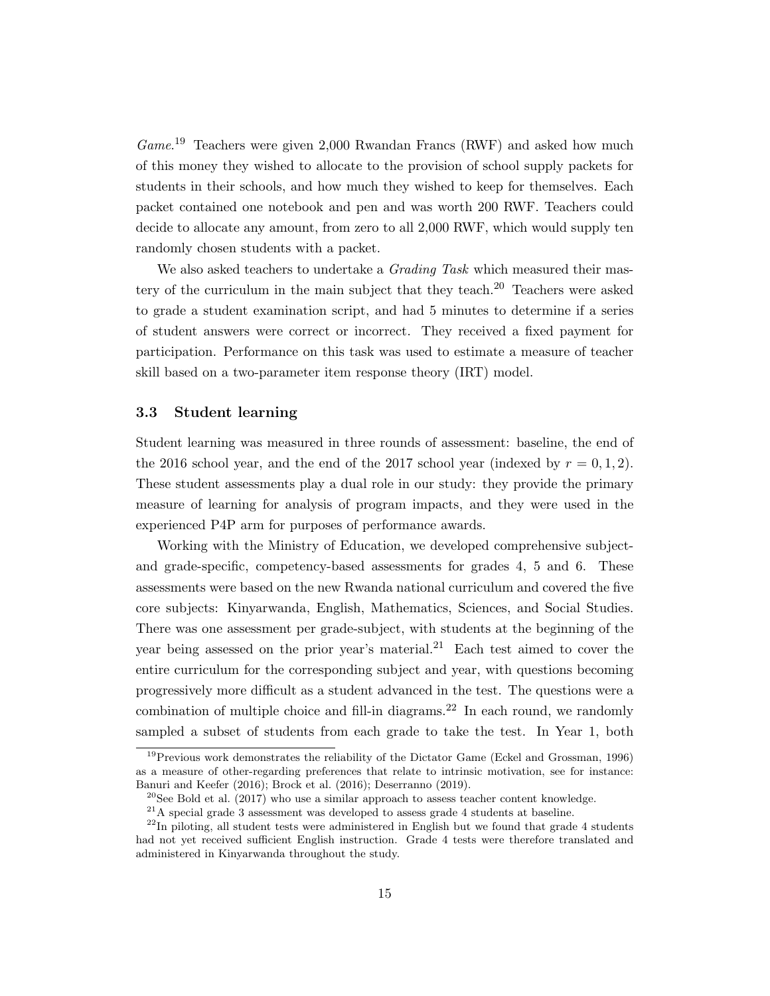Game.<sup>19</sup> Teachers were given 2,000 Rwandan Francs (RWF) and asked how much of this money they wished to allocate to the provision of school supply packets for students in their schools, and how much they wished to keep for themselves. Each packet contained one notebook and pen and was worth 200 RWF. Teachers could decide to allocate any amount, from zero to all 2,000 RWF, which would supply ten randomly chosen students with a packet.

We also asked teachers to undertake a *Grading Task* which measured their mastery of the curriculum in the main subject that they teach.<sup>20</sup> Teachers were asked to grade a student examination script, and had 5 minutes to determine if a series of student answers were correct or incorrect. They received a fixed payment for participation. Performance on this task was used to estimate a measure of teacher skill based on a two-parameter item response theory (IRT) model.

#### 3.3 Student learning

Student learning was measured in three rounds of assessment: baseline, the end of the 2016 school year, and the end of the 2017 school year (indexed by  $r = 0, 1, 2$ ). These student assessments play a dual role in our study: they provide the primary measure of learning for analysis of program impacts, and they were used in the experienced P4P arm for purposes of performance awards.

Working with the Ministry of Education, we developed comprehensive subjectand grade-specific, competency-based assessments for grades 4, 5 and 6. These assessments were based on the new Rwanda national curriculum and covered the five core subjects: Kinyarwanda, English, Mathematics, Sciences, and Social Studies. There was one assessment per grade-subject, with students at the beginning of the year being assessed on the prior year's material.<sup>21</sup> Each test aimed to cover the entire curriculum for the corresponding subject and year, with questions becoming progressively more difficult as a student advanced in the test. The questions were a combination of multiple choice and fill-in diagrams.<sup>22</sup> In each round, we randomly sampled a subset of students from each grade to take the test. In Year 1, both

 $19$ Previous work demonstrates the reliability of the Dictator Game (Eckel and Grossman, 1996) as a measure of other-regarding preferences that relate to intrinsic motivation, see for instance: Banuri and Keefer (2016); Brock et al. (2016); Deserranno (2019).

<sup>&</sup>lt;sup>20</sup>See Bold et al. (2017) who use a similar approach to assess teacher content knowledge.

 $21A$  special grade 3 assessment was developed to assess grade 4 students at baseline.

 $^{22}$ In piloting, all student tests were administered in English but we found that grade 4 students had not yet received sufficient English instruction. Grade 4 tests were therefore translated and administered in Kinyarwanda throughout the study.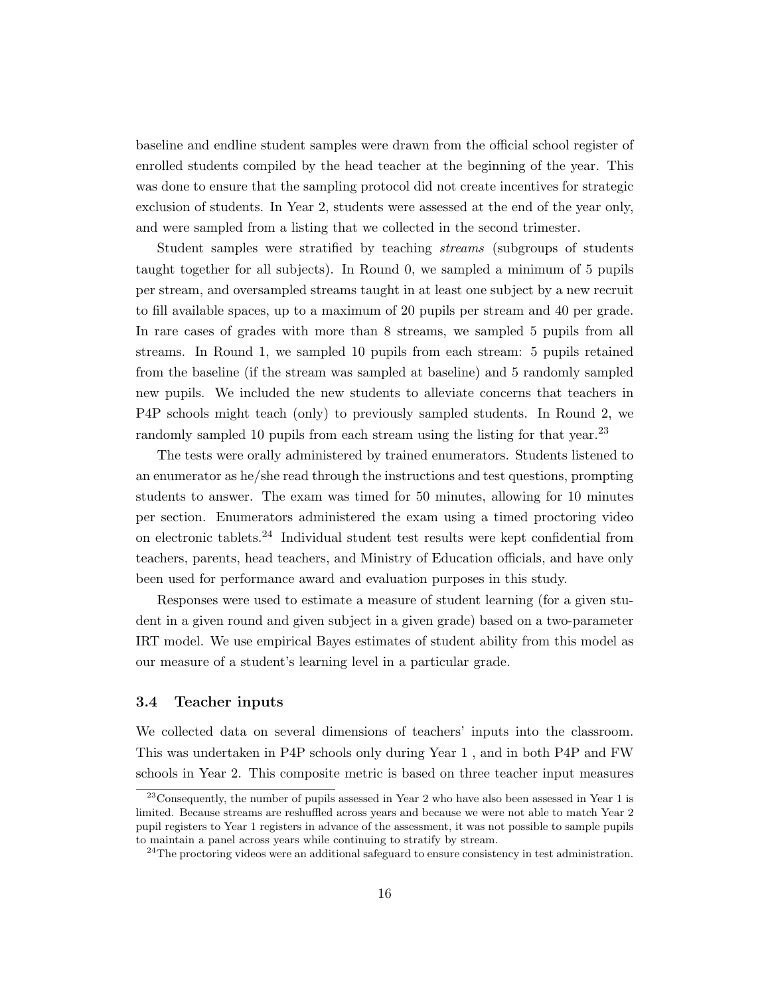baseline and endline student samples were drawn from the official school register of enrolled students compiled by the head teacher at the beginning of the year. This was done to ensure that the sampling protocol did not create incentives for strategic exclusion of students. In Year 2, students were assessed at the end of the year only, and were sampled from a listing that we collected in the second trimester.

Student samples were stratified by teaching streams (subgroups of students taught together for all subjects). In Round 0, we sampled a minimum of 5 pupils per stream, and oversampled streams taught in at least one subject by a new recruit to fill available spaces, up to a maximum of 20 pupils per stream and 40 per grade. In rare cases of grades with more than 8 streams, we sampled 5 pupils from all streams. In Round 1, we sampled 10 pupils from each stream: 5 pupils retained from the baseline (if the stream was sampled at baseline) and 5 randomly sampled new pupils. We included the new students to alleviate concerns that teachers in P4P schools might teach (only) to previously sampled students. In Round 2, we randomly sampled 10 pupils from each stream using the listing for that year.<sup>23</sup>

The tests were orally administered by trained enumerators. Students listened to an enumerator as he/she read through the instructions and test questions, prompting students to answer. The exam was timed for 50 minutes, allowing for 10 minutes per section. Enumerators administered the exam using a timed proctoring video on electronic tablets.<sup>24</sup> Individual student test results were kept confidential from teachers, parents, head teachers, and Ministry of Education officials, and have only been used for performance award and evaluation purposes in this study.

Responses were used to estimate a measure of student learning (for a given student in a given round and given subject in a given grade) based on a two-parameter IRT model. We use empirical Bayes estimates of student ability from this model as our measure of a student's learning level in a particular grade.

#### 3.4 Teacher inputs

We collected data on several dimensions of teachers' inputs into the classroom. This was undertaken in P4P schools only during Year 1 , and in both P4P and FW schools in Year 2. This composite metric is based on three teacher input measures

 $^{23}$ Consequently, the number of pupils assessed in Year 2 who have also been assessed in Year 1 is limited. Because streams are reshuffled across years and because we were not able to match Year 2 pupil registers to Year 1 registers in advance of the assessment, it was not possible to sample pupils to maintain a panel across years while continuing to stratify by stream.

 $^{24}$ The proctoring videos were an additional safeguard to ensure consistency in test administration.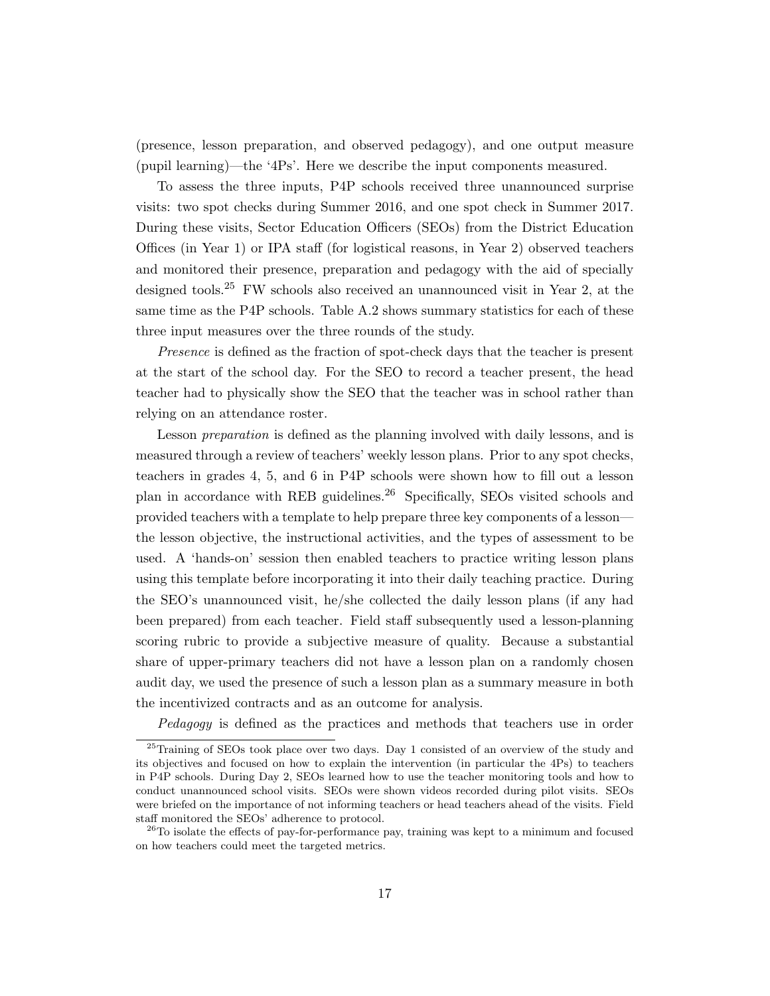(presence, lesson preparation, and observed pedagogy), and one output measure (pupil learning)—the '4Ps'. Here we describe the input components measured.

To assess the three inputs, P4P schools received three unannounced surprise visits: two spot checks during Summer 2016, and one spot check in Summer 2017. During these visits, Sector Education Officers (SEOs) from the District Education Offices (in Year 1) or IPA staff (for logistical reasons, in Year 2) observed teachers and monitored their presence, preparation and pedagogy with the aid of specially designed tools.<sup>25</sup> FW schools also received an unannounced visit in Year 2, at the same time as the P4P schools. Table A.2 shows summary statistics for each of these three input measures over the three rounds of the study.

Presence is defined as the fraction of spot-check days that the teacher is present at the start of the school day. For the SEO to record a teacher present, the head teacher had to physically show the SEO that the teacher was in school rather than relying on an attendance roster.

Lesson *preparation* is defined as the planning involved with daily lessons, and is measured through a review of teachers' weekly lesson plans. Prior to any spot checks, teachers in grades 4, 5, and 6 in P4P schools were shown how to fill out a lesson plan in accordance with REB guidelines.<sup>26</sup> Specifically, SEOs visited schools and provided teachers with a template to help prepare three key components of a lesson the lesson objective, the instructional activities, and the types of assessment to be used. A 'hands-on' session then enabled teachers to practice writing lesson plans using this template before incorporating it into their daily teaching practice. During the SEO's unannounced visit, he/she collected the daily lesson plans (if any had been prepared) from each teacher. Field staff subsequently used a lesson-planning scoring rubric to provide a subjective measure of quality. Because a substantial share of upper-primary teachers did not have a lesson plan on a randomly chosen audit day, we used the presence of such a lesson plan as a summary measure in both the incentivized contracts and as an outcome for analysis.

Pedagogy is defined as the practices and methods that teachers use in order

<sup>25</sup>Training of SEOs took place over two days. Day 1 consisted of an overview of the study and its objectives and focused on how to explain the intervention (in particular the 4Ps) to teachers in P4P schools. During Day 2, SEOs learned how to use the teacher monitoring tools and how to conduct unannounced school visits. SEOs were shown videos recorded during pilot visits. SEOs were briefed on the importance of not informing teachers or head teachers ahead of the visits. Field staff monitored the SEOs' adherence to protocol.

 $^{26}$ To isolate the effects of pay-for-performance pay, training was kept to a minimum and focused on how teachers could meet the targeted metrics.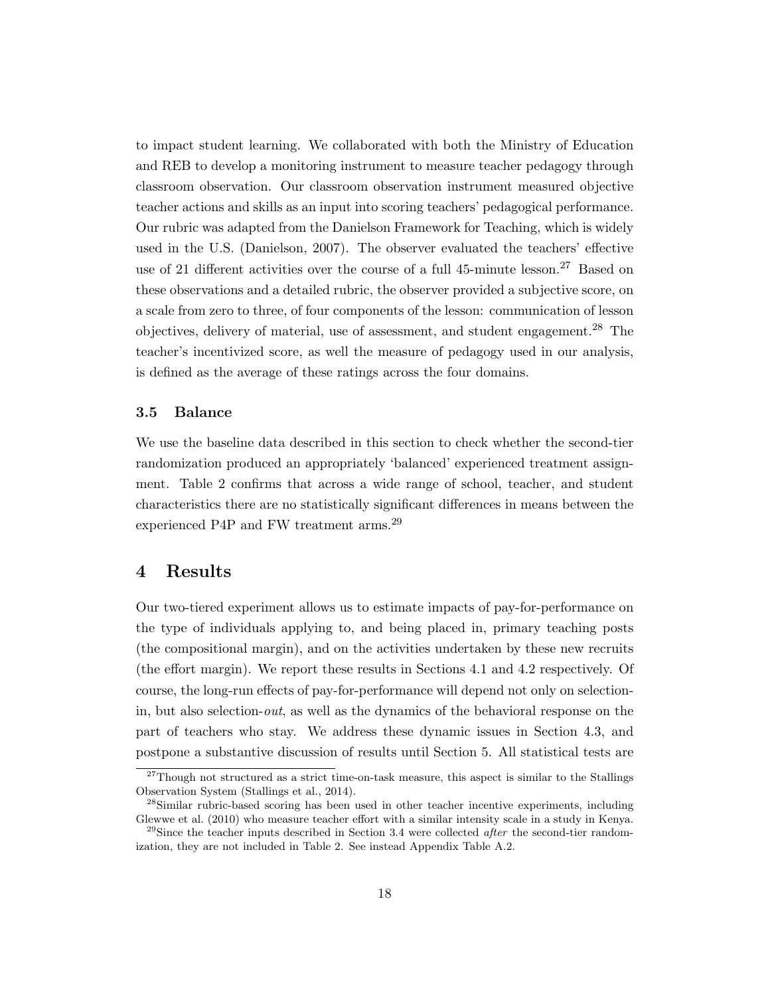to impact student learning. We collaborated with both the Ministry of Education and REB to develop a monitoring instrument to measure teacher pedagogy through classroom observation. Our classroom observation instrument measured objective teacher actions and skills as an input into scoring teachers' pedagogical performance. Our rubric was adapted from the Danielson Framework for Teaching, which is widely used in the U.S. (Danielson, 2007). The observer evaluated the teachers' effective use of 21 different activities over the course of a full 45-minute lesson.<sup>27</sup> Based on these observations and a detailed rubric, the observer provided a subjective score, on a scale from zero to three, of four components of the lesson: communication of lesson objectives, delivery of material, use of assessment, and student engagement.<sup>28</sup> The teacher's incentivized score, as well the measure of pedagogy used in our analysis, is defined as the average of these ratings across the four domains.

#### 3.5 Balance

We use the baseline data described in this section to check whether the second-tier randomization produced an appropriately 'balanced' experienced treatment assignment. Table 2 confirms that across a wide range of school, teacher, and student characteristics there are no statistically significant differences in means between the experienced P4P and FW treatment arms.<sup>29</sup>

### 4 Results

Our two-tiered experiment allows us to estimate impacts of pay-for-performance on the type of individuals applying to, and being placed in, primary teaching posts (the compositional margin), and on the activities undertaken by these new recruits (the effort margin). We report these results in Sections 4.1 and 4.2 respectively. Of course, the long-run effects of pay-for-performance will depend not only on selectionin, but also selection-*out*, as well as the dynamics of the behavioral response on the part of teachers who stay. We address these dynamic issues in Section 4.3, and postpone a substantive discussion of results until Section 5. All statistical tests are

 $27$ Though not structured as a strict time-on-task measure, this aspect is similar to the Stallings Observation System (Stallings et al., 2014).

<sup>&</sup>lt;sup>28</sup>Similar rubric-based scoring has been used in other teacher incentive experiments, including Glewwe et al. (2010) who measure teacher effort with a similar intensity scale in a study in Kenya.

<sup>&</sup>lt;sup>29</sup>Since the teacher inputs described in Section 3.4 were collected *after* the second-tier randomization, they are not included in Table 2. See instead Appendix Table A.2.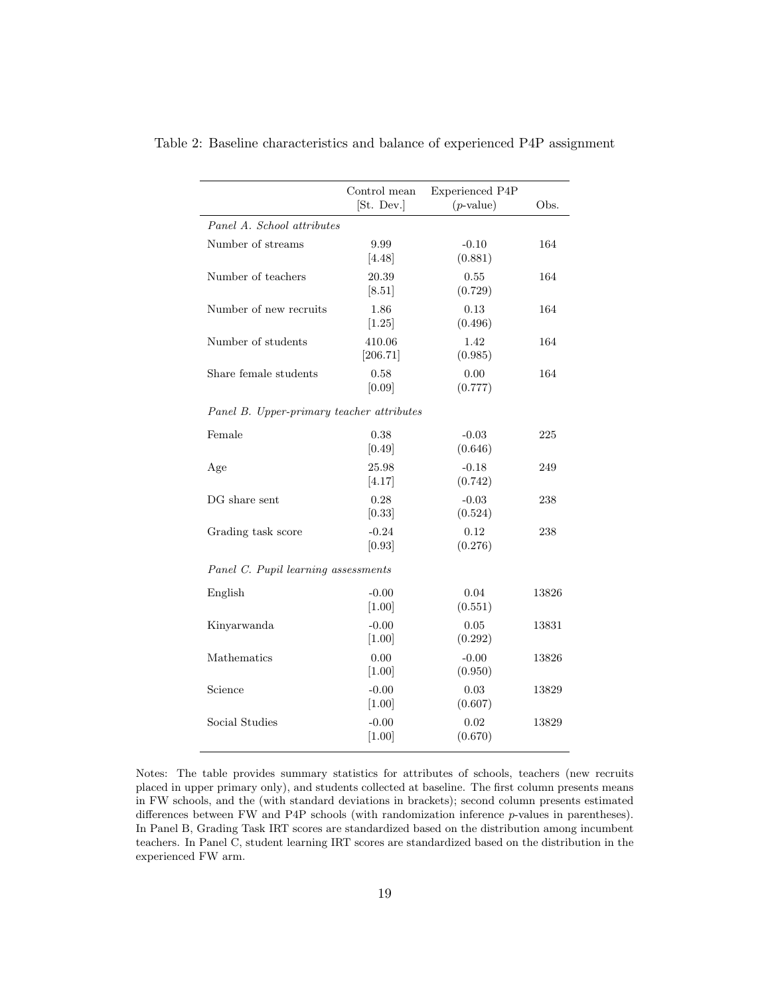|                                           | Control mean<br>[St. Dev.] | Experienced P4P<br>$(p$ -value) | Obs.  |  |  |  |  |
|-------------------------------------------|----------------------------|---------------------------------|-------|--|--|--|--|
| Panel A. School attributes                |                            |                                 |       |  |  |  |  |
| Number of streams                         | 9.99<br>[4.48]             | $-0.10$<br>(0.881)              | 164   |  |  |  |  |
| Number of teachers                        | 20.39<br>[8.51]            | 0.55<br>(0.729)                 | 164   |  |  |  |  |
| Number of new recruits                    | 1.86<br>[1.25]             | 0.13<br>(0.496)                 | 164   |  |  |  |  |
| Number of students                        | 410.06<br>[206.71]         | 1.42<br>(0.985)                 | 164   |  |  |  |  |
| Share female students                     | 0.58<br>[0.09]             | 0.00<br>(0.777)                 | 164   |  |  |  |  |
| Panel B. Upper-primary teacher attributes |                            |                                 |       |  |  |  |  |
| Female                                    | 0.38<br>[0.49]             | $-0.03$<br>(0.646)              | 225   |  |  |  |  |
| Age                                       | 25.98<br>[4.17]            | $-0.18$<br>(0.742)              | 249   |  |  |  |  |
| DG share sent                             | 0.28<br>[0.33]             | $-0.03$<br>(0.524)              | 238   |  |  |  |  |
| Grading task score                        | $-0.24$<br>[0.93]          | 0.12<br>(0.276)                 | 238   |  |  |  |  |
| Panel C. Pupil learning assessments       |                            |                                 |       |  |  |  |  |
| English                                   | $-0.00$<br>$[1.00]$        | 0.04<br>(0.551)                 | 13826 |  |  |  |  |
| Kinyarwanda                               | $-0.00$<br>[1.00]          | 0.05<br>(0.292)                 | 13831 |  |  |  |  |
| Mathematics                               | 0.00<br>[1.00]             | $-0.00$<br>(0.950)              | 13826 |  |  |  |  |
| Science                                   | $-0.00$<br>$[1.00]$        | 0.03<br>(0.607)                 | 13829 |  |  |  |  |
| Social Studies                            | $-0.00$<br>$[1.00]$        | 0.02<br>(0.670)                 | 13829 |  |  |  |  |

Table 2: Baseline characteristics and balance of experienced P4P assignment

Notes: The table provides summary statistics for attributes of schools, teachers (new recruits placed in upper primary only), and students collected at baseline. The first column presents means in FW schools, and the (with standard deviations in brackets); second column presents estimated differences between FW and P4P schools (with randomization inference p-values in parentheses). In Panel B, Grading Task IRT scores are standardized based on the distribution among incumbent teachers. In Panel C, student learning IRT scores are standardized based on the distribution in the experienced FW arm.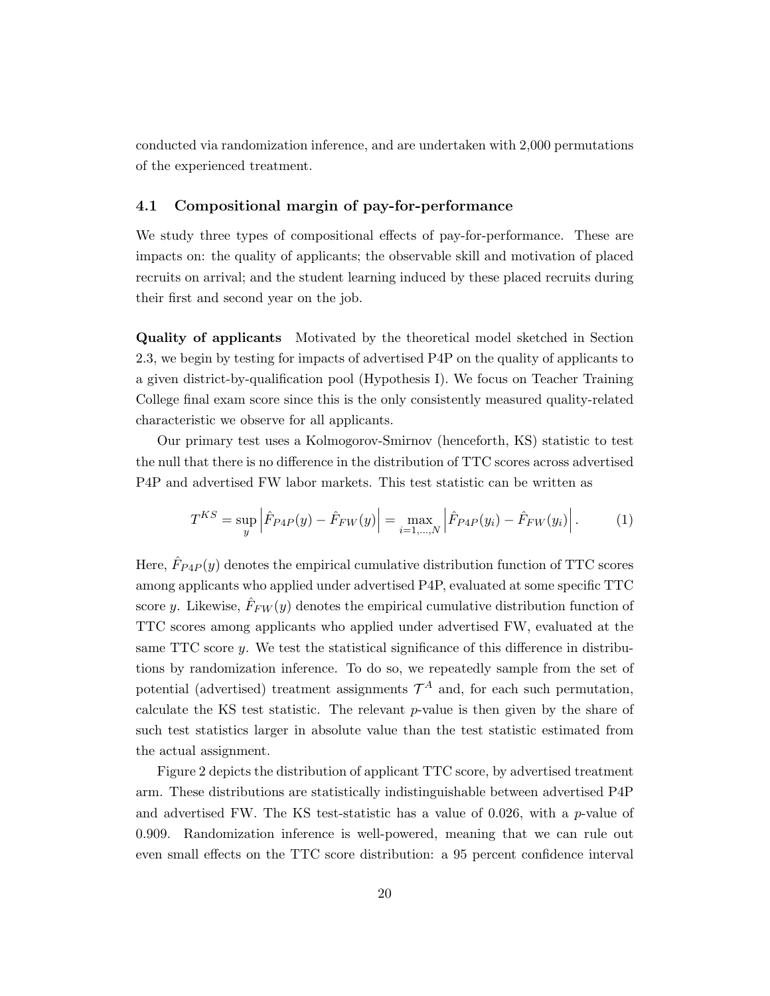conducted via randomization inference, and are undertaken with 2,000 permutations of the experienced treatment.

#### 4.1 Compositional margin of pay-for-performance

We study three types of compositional effects of pay-for-performance. These are impacts on: the quality of applicants; the observable skill and motivation of placed recruits on arrival; and the student learning induced by these placed recruits during their first and second year on the job.

Quality of applicants Motivated by the theoretical model sketched in Section 2.3, we begin by testing for impacts of advertised P4P on the quality of applicants to a given district-by-qualification pool (Hypothesis I). We focus on Teacher Training College final exam score since this is the only consistently measured quality-related characteristic we observe for all applicants.

Our primary test uses a Kolmogorov-Smirnov (henceforth, KS) statistic to test the null that there is no difference in the distribution of TTC scores across advertised P4P and advertised FW labor markets. This test statistic can be written as

$$
T^{KS} = \sup_{y} \left| \hat{F}_{P4P}(y) - \hat{F}_{FW}(y) \right| = \max_{i=1,...,N} \left| \hat{F}_{P4P}(y_i) - \hat{F}_{FW}(y_i) \right|.
$$
 (1)

Here,  $\hat{F}_{P4P}(y)$  denotes the empirical cumulative distribution function of TTC scores among applicants who applied under advertised P4P, evaluated at some specific TTC score y. Likewise,  $\hat{F}_{FW}(y)$  denotes the empirical cumulative distribution function of TTC scores among applicants who applied under advertised FW, evaluated at the same TTC score y. We test the statistical significance of this difference in distributions by randomization inference. To do so, we repeatedly sample from the set of potential (advertised) treatment assignments  $\mathcal{T}^A$  and, for each such permutation, calculate the KS test statistic. The relevant  $p$ -value is then given by the share of such test statistics larger in absolute value than the test statistic estimated from the actual assignment.

Figure 2 depicts the distribution of applicant TTC score, by advertised treatment arm. These distributions are statistically indistinguishable between advertised P4P and advertised FW. The KS test-statistic has a value of 0.026, with a  $p$ -value of 0.909. Randomization inference is well-powered, meaning that we can rule out even small effects on the TTC score distribution: a 95 percent confidence interval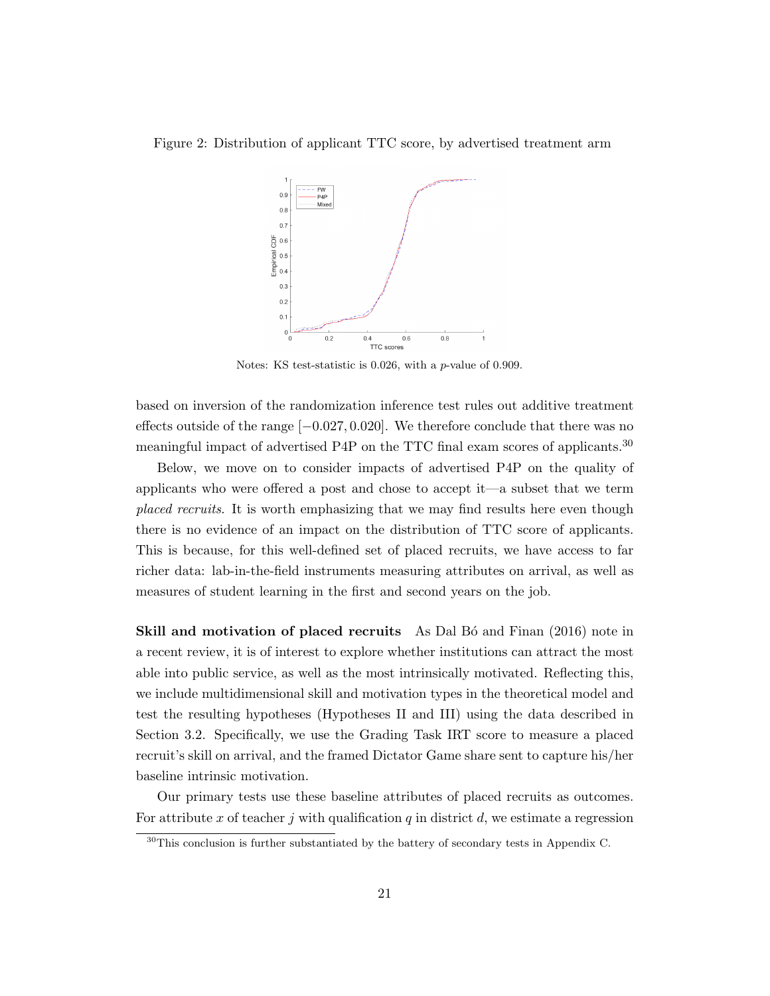#### Figure 2: Distribution of applicant TTC score, by advertised treatment arm



Notes: KS test-statistic is 0.026, with a p-value of 0.909.

based on inversion of the randomization inference test rules out additive treatment effects outside of the range  $[-0.027, 0.020]$ . We therefore conclude that there was no meaningful impact of advertised P4P on the TTC final exam scores of applicants.<sup>30</sup>

Below, we move on to consider impacts of advertised P4P on the quality of applicants who were offered a post and chose to accept it—a subset that we term placed recruits. It is worth emphasizing that we may find results here even though there is no evidence of an impact on the distribution of TTC score of applicants. This is because, for this well-defined set of placed recruits, we have access to far richer data: lab-in-the-field instruments measuring attributes on arrival, as well as measures of student learning in the first and second years on the job.

Skill and motivation of placed recruits As Dal Bó and Finan (2016) note in a recent review, it is of interest to explore whether institutions can attract the most able into public service, as well as the most intrinsically motivated. Reflecting this, we include multidimensional skill and motivation types in the theoretical model and test the resulting hypotheses (Hypotheses II and III) using the data described in Section 3.2. Specifically, we use the Grading Task IRT score to measure a placed recruit's skill on arrival, and the framed Dictator Game share sent to capture his/her baseline intrinsic motivation.

Our primary tests use these baseline attributes of placed recruits as outcomes. For attribute  $x$  of teacher  $j$  with qualification  $q$  in district  $d$ , we estimate a regression

<sup>30</sup>This conclusion is further substantiated by the battery of secondary tests in Appendix C.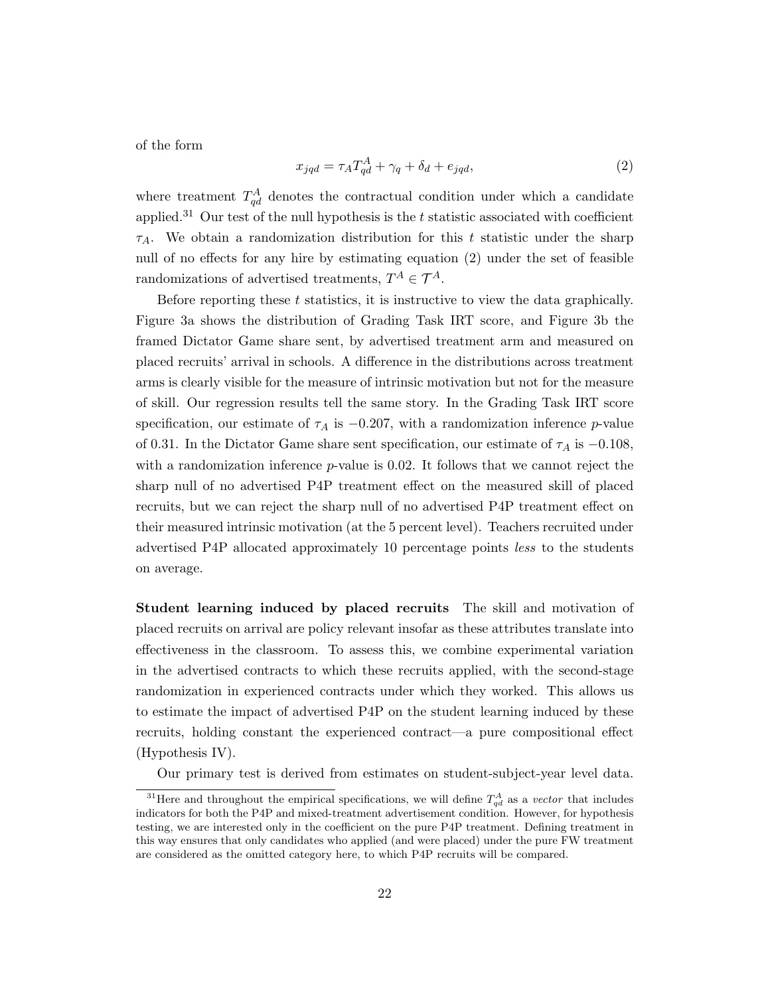of the form

$$
x_{jqd} = \tau_A T_{qd}^A + \gamma_q + \delta_d + e_{jqd},\tag{2}
$$

where treatment  $T_{qd}^A$  denotes the contractual condition under which a candidate applied.<sup>31</sup> Our test of the null hypothesis is the t statistic associated with coefficient  $\tau_A$ . We obtain a randomization distribution for this t statistic under the sharp null of no effects for any hire by estimating equation (2) under the set of feasible randomizations of advertised treatments,  $T^A \in \mathcal{T}^A$ .

Before reporting these t statistics, it is instructive to view the data graphically. Figure 3a shows the distribution of Grading Task IRT score, and Figure 3b the framed Dictator Game share sent, by advertised treatment arm and measured on placed recruits' arrival in schools. A difference in the distributions across treatment arms is clearly visible for the measure of intrinsic motivation but not for the measure of skill. Our regression results tell the same story. In the Grading Task IRT score specification, our estimate of  $\tau_A$  is  $-0.207$ , with a randomization inference p-value of 0.31. In the Dictator Game share sent specification, our estimate of  $\tau_A$  is  $-0.108$ , with a randomization inference  $p$ -value is 0.02. It follows that we cannot reject the sharp null of no advertised P4P treatment effect on the measured skill of placed recruits, but we can reject the sharp null of no advertised P4P treatment effect on their measured intrinsic motivation (at the 5 percent level). Teachers recruited under advertised P4P allocated approximately 10 percentage points less to the students on average.

Student learning induced by placed recruits The skill and motivation of placed recruits on arrival are policy relevant insofar as these attributes translate into effectiveness in the classroom. To assess this, we combine experimental variation in the advertised contracts to which these recruits applied, with the second-stage randomization in experienced contracts under which they worked. This allows us to estimate the impact of advertised P4P on the student learning induced by these recruits, holding constant the experienced contract—a pure compositional effect (Hypothesis IV).

Our primary test is derived from estimates on student-subject-year level data.

<sup>&</sup>lt;sup>31</sup>Here and throughout the empirical specifications, we will define  $T_{qd}^A$  as a *vector* that includes indicators for both the P4P and mixed-treatment advertisement condition. However, for hypothesis testing, we are interested only in the coefficient on the pure P4P treatment. Defining treatment in this way ensures that only candidates who applied (and were placed) under the pure FW treatment are considered as the omitted category here, to which P4P recruits will be compared.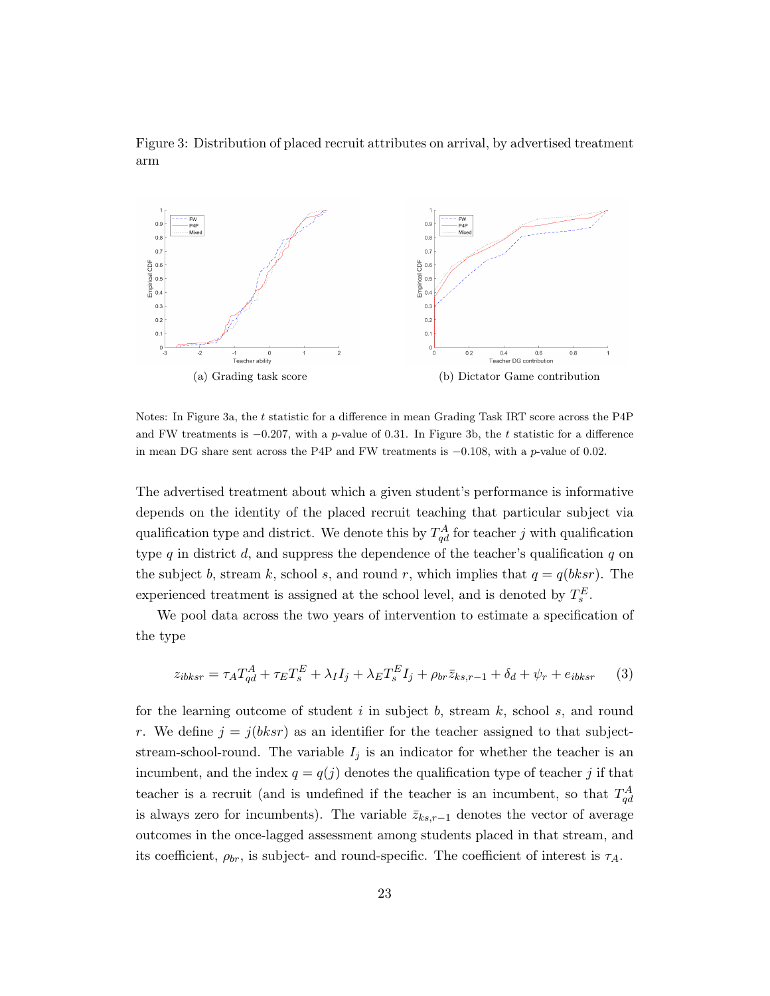Figure 3: Distribution of placed recruit attributes on arrival, by advertised treatment arm



Notes: In Figure 3a, the t statistic for a difference in mean Grading Task IRT score across the P4P and FW treatments is  $-0.207$ , with a p-value of 0.31. In Figure 3b, the t statistic for a difference in mean DG share sent across the P4P and FW treatments is  $-0.108$ , with a p-value of 0.02.

The advertised treatment about which a given student's performance is informative depends on the identity of the placed recruit teaching that particular subject via qualification type and district. We denote this by  $T_{qd}^A$  for teacher j with qualification type  $q$  in district  $d$ , and suppress the dependence of the teacher's qualification  $q$  on the subject b, stream k, school s, and round r, which implies that  $q = q(bksr)$ . The experienced treatment is assigned at the school level, and is denoted by  $T_s^E$ .

We pool data across the two years of intervention to estimate a specification of the type

$$
z_{ibksr} = \tau_A T_{qd}^A + \tau_E T_s^E + \lambda_I I_j + \lambda_E T_s^E I_j + \rho_{br} \bar{z}_{ks,r-1} + \delta_d + \psi_r + e_{ibksr} \tag{3}
$$

for the learning outcome of student  $i$  in subject  $b$ , stream  $k$ , school  $s$ , and round r. We define  $j = j(bksr)$  as an identifier for the teacher assigned to that subjectstream-school-round. The variable  $I_j$  is an indicator for whether the teacher is an incumbent, and the index  $q = q(j)$  denotes the qualification type of teacher j if that teacher is a recruit (and is undefined if the teacher is an incumbent, so that  $T_{qd}^A$ is always zero for incumbents). The variable  $\bar{z}_{ks,r-1}$  denotes the vector of average outcomes in the once-lagged assessment among students placed in that stream, and its coefficient,  $\rho_{br}$ , is subject- and round-specific. The coefficient of interest is  $\tau_A$ .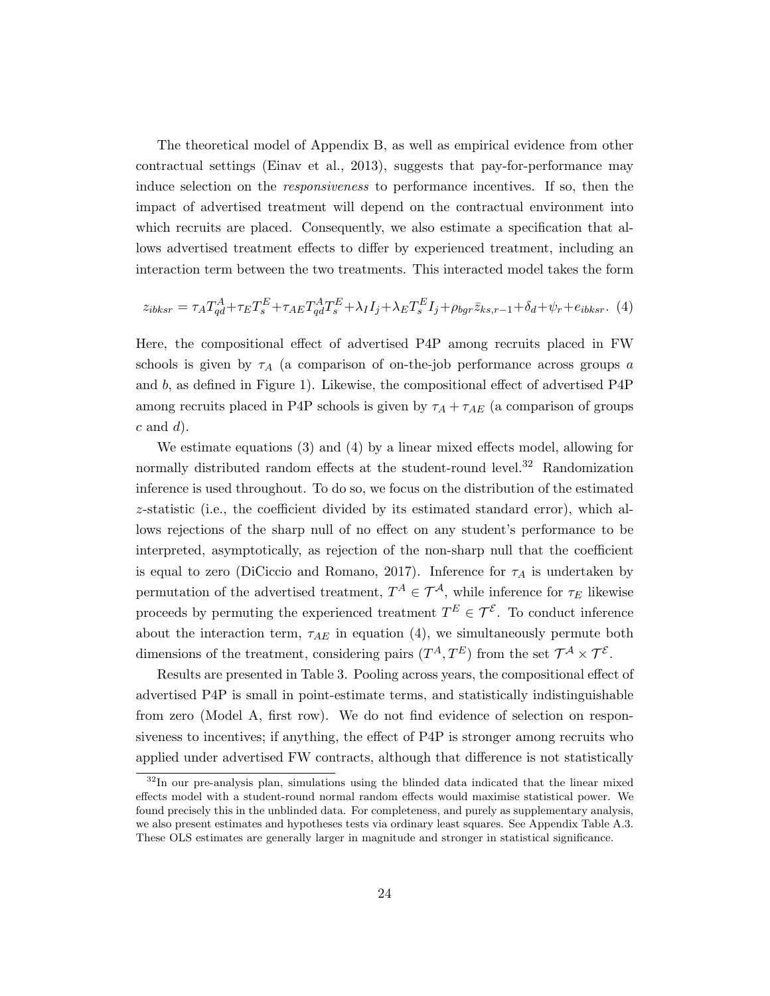The theoretical model of Appendix B, as well as empirical evidence from other contractual settings (Einav et al., 2013), suggests that pay-for-performance may induce selection on the responsiveness to performance incentives. If so, then the impact of advertised treatment will depend on the contractual environment into which recruits are placed. Consequently, we also estimate a specification that allows advertised treatment effects to differ by experienced treatment, including an interaction term between the two treatments. This interacted model takes the form

$$
z_{ibksr} = \tau_A T_{qd}^A + \tau_E T_s^E + \tau_{AE} T_{qd}^A T_s^E + \lambda_I I_j + \lambda_E T_s^E I_j + \rho_{bgr} \bar{z}_{ks,r-1} + \delta_d + \psi_r + e_{ibksr}.
$$
 (4)

Here, the compositional effect of advertised P4P among recruits placed in FW schools is given by  $\tau_A$  (a comparison of on-the-job performance across groups a and b, as defined in Figure 1). Likewise, the compositional effect of advertised P4P among recruits placed in P4P schools is given by  $\tau_A + \tau_{AE}$  (a comparison of groups  $c$  and  $d$ ).

We estimate equations (3) and (4) by a linear mixed effects model, allowing for normally distributed random effects at the student-round level.<sup>32</sup> Randomization inference is used throughout. To do so, we focus on the distribution of the estimated z-statistic (i.e., the coefficient divided by its estimated standard error), which allows rejections of the sharp null of no effect on any student's performance to be interpreted, asymptotically, as rejection of the non-sharp null that the coefficient is equal to zero (DiCiccio and Romano, 2017). Inference for  $\tau_A$  is undertaken by permutation of the advertised treatment,  $T^A \in \mathcal{T}^A$ , while inference for  $\tau_E$  likewise proceeds by permuting the experienced treatment  $T^{E} \in \mathcal{T}^{\mathcal{E}}$ . To conduct inference about the interaction term,  $\tau_{AE}$  in equation (4), we simultaneously permute both dimensions of the treatment, considering pairs  $(T^A, T^E)$  from the set  $\mathcal{T}^A \times \mathcal{T}^{\mathcal{E}}$ .

Results are presented in Table 3. Pooling across years, the compositional effect of advertised P4P is small in point-estimate terms, and statistically indistinguishable from zero (Model A, first row). We do not find evidence of selection on responsiveness to incentives; if anything, the effect of P4P is stronger among recruits who applied under advertised FW contracts, although that difference is not statistically

<sup>&</sup>lt;sup>32</sup>In our pre-analysis plan, simulations using the blinded data indicated that the linear mixed effects model with a student-round normal random effects would maximise statistical power. We found precisely this in the unblinded data. For completeness, and purely as supplementary analysis, we also present estimates and hypotheses tests via ordinary least squares. See Appendix Table A.3. These OLS estimates are generally larger in magnitude and stronger in statistical significance.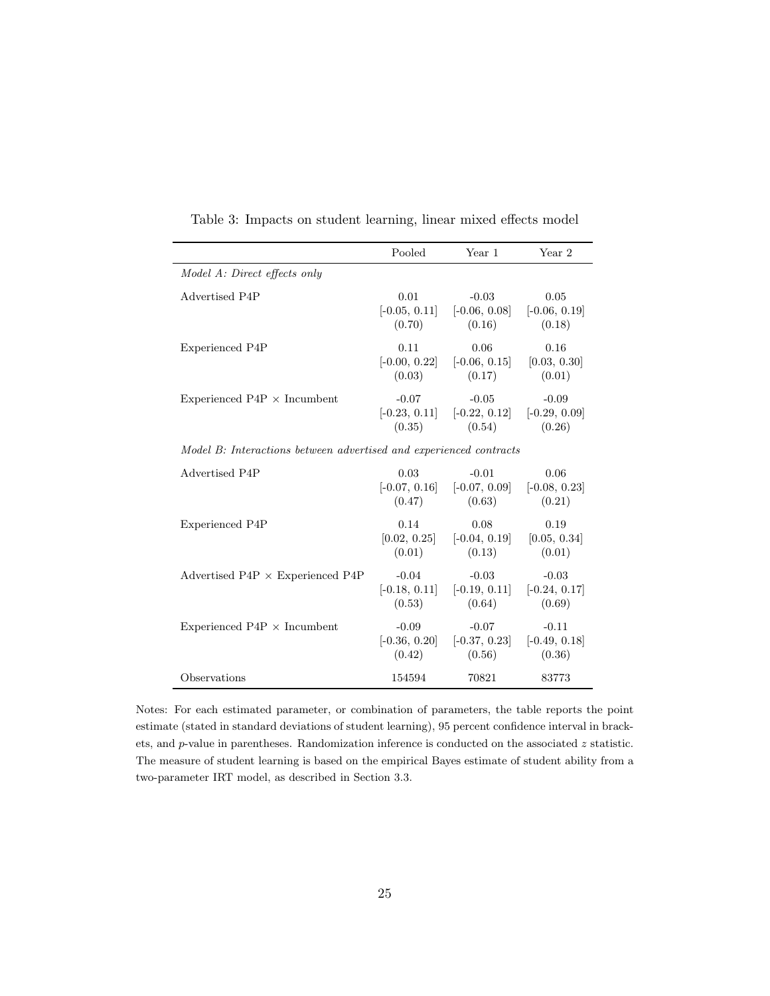|                                                                    | Pooled                         | Year 1                                                               | Year 2                         |  |  |  |
|--------------------------------------------------------------------|--------------------------------|----------------------------------------------------------------------|--------------------------------|--|--|--|
| Model A: Direct effects only                                       |                                |                                                                      |                                |  |  |  |
| Advertised P4P                                                     | 0.01<br>(0.70)                 | $-0.03$<br>$[-0.05, 0.11]$ $[-0.06, 0.08]$ $[-0.06, 0.19]$<br>(0.16) | 0.05<br>(0.18)                 |  |  |  |
| Experienced P4P                                                    | 0.11<br>(0.03)                 | 0.06<br>$[-0.00, 0.22]$ $[-0.06, 0.15]$ $[0.03, 0.30]$<br>(0.17)     | 0.16<br>(0.01)                 |  |  |  |
| Experienced $P4P \times Incumbent$                                 | $-0.07$<br>(0.35)              | $-0.05$<br>$[-0.23, 0.11]$ $[-0.22, 0.12]$ $[-0.29, 0.09]$<br>(0.54) | $-0.09$<br>(0.26)              |  |  |  |
| Model B: Interactions between advertised and experienced contracts |                                |                                                                      |                                |  |  |  |
| Advertised P4P                                                     | 0.03<br>(0.47)                 | $-0.01$<br>$[-0.07, 0.16]$ $[-0.07, 0.09]$ $[-0.08, 0.23]$<br>(0.63) | 0.06<br>(0.21)                 |  |  |  |
| Experienced P4P                                                    | 0.14<br>[0.02, 0.25]<br>(0.01) | 0.08<br>$[-0.04, 0.19]$<br>(0.13)                                    | 0.19<br>[0.05, 0.34]<br>(0.01) |  |  |  |
| Advertised P4P $\times$ Experienced P4P                            | $-0.04$<br>(0.53)              | $-0.03$<br>$[-0.18, 0.11]$ $[-0.19, 0.11]$ $[-0.24, 0.17]$<br>(0.64) | $-0.03$<br>(0.69)              |  |  |  |
| Experienced $P4P \times Incumbent$                                 | $-0.09$<br>(0.42)              | $-0.07$<br>$[-0.36, 0.20]$ $[-0.37, 0.23]$ $[-0.49, 0.18]$<br>(0.56) | $-0.11$<br>(0.36)              |  |  |  |
| Observations                                                       | 154594                         | 70821                                                                | 83773                          |  |  |  |

Table 3: Impacts on student learning, linear mixed effects model

Notes: For each estimated parameter, or combination of parameters, the table reports the point estimate (stated in standard deviations of student learning), 95 percent confidence interval in brackets, and  $p$ -value in parentheses. Randomization inference is conducted on the associated  $z$  statistic. The measure of student learning is based on the empirical Bayes estimate of student ability from a two-parameter IRT model, as described in Section 3.3.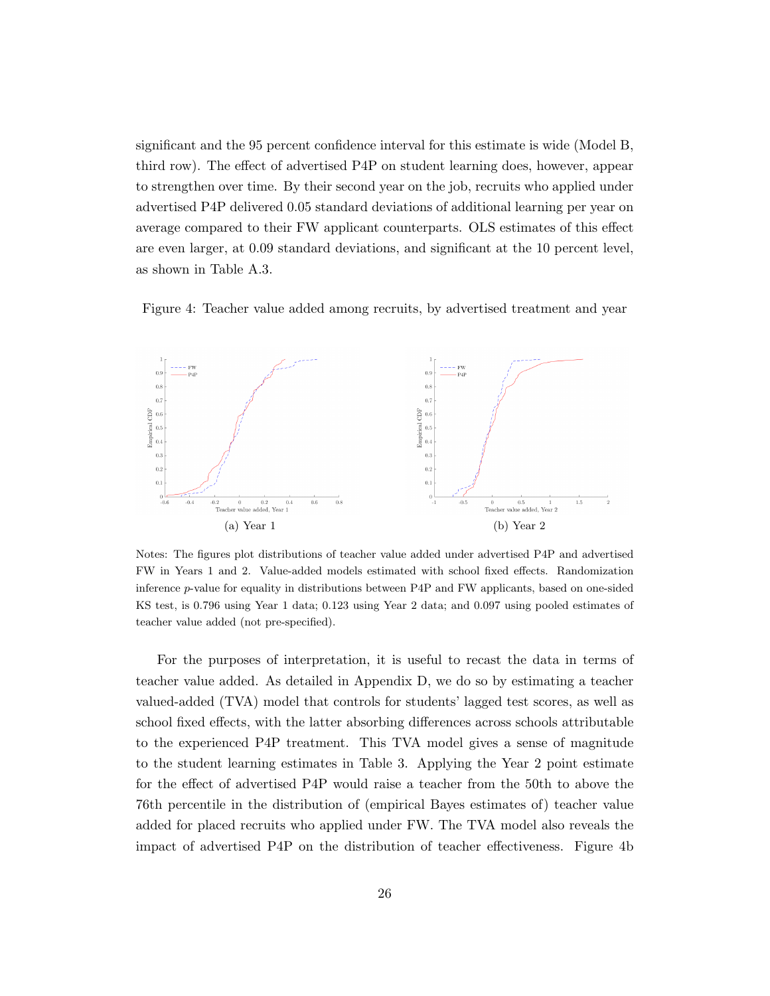significant and the 95 percent confidence interval for this estimate is wide (Model B, third row). The effect of advertised P4P on student learning does, however, appear to strengthen over time. By their second year on the job, recruits who applied under advertised P4P delivered 0.05 standard deviations of additional learning per year on average compared to their FW applicant counterparts. OLS estimates of this effect are even larger, at 0.09 standard deviations, and significant at the 10 percent level, as shown in Table A.3.

Figure 4: Teacher value added among recruits, by advertised treatment and year



Notes: The figures plot distributions of teacher value added under advertised P4P and advertised FW in Years 1 and 2. Value-added models estimated with school fixed effects. Randomization inference p-value for equality in distributions between P4P and FW applicants, based on one-sided KS test, is 0.796 using Year 1 data; 0.123 using Year 2 data; and 0.097 using pooled estimates of teacher value added (not pre-specified).

For the purposes of interpretation, it is useful to recast the data in terms of teacher value added. As detailed in Appendix D, we do so by estimating a teacher valued-added (TVA) model that controls for students' lagged test scores, as well as school fixed effects, with the latter absorbing differences across schools attributable to the experienced P4P treatment. This TVA model gives a sense of magnitude to the student learning estimates in Table 3. Applying the Year 2 point estimate for the effect of advertised P4P would raise a teacher from the 50th to above the 76th percentile in the distribution of (empirical Bayes estimates of) teacher value added for placed recruits who applied under FW. The TVA model also reveals the impact of advertised P4P on the distribution of teacher effectiveness. Figure 4b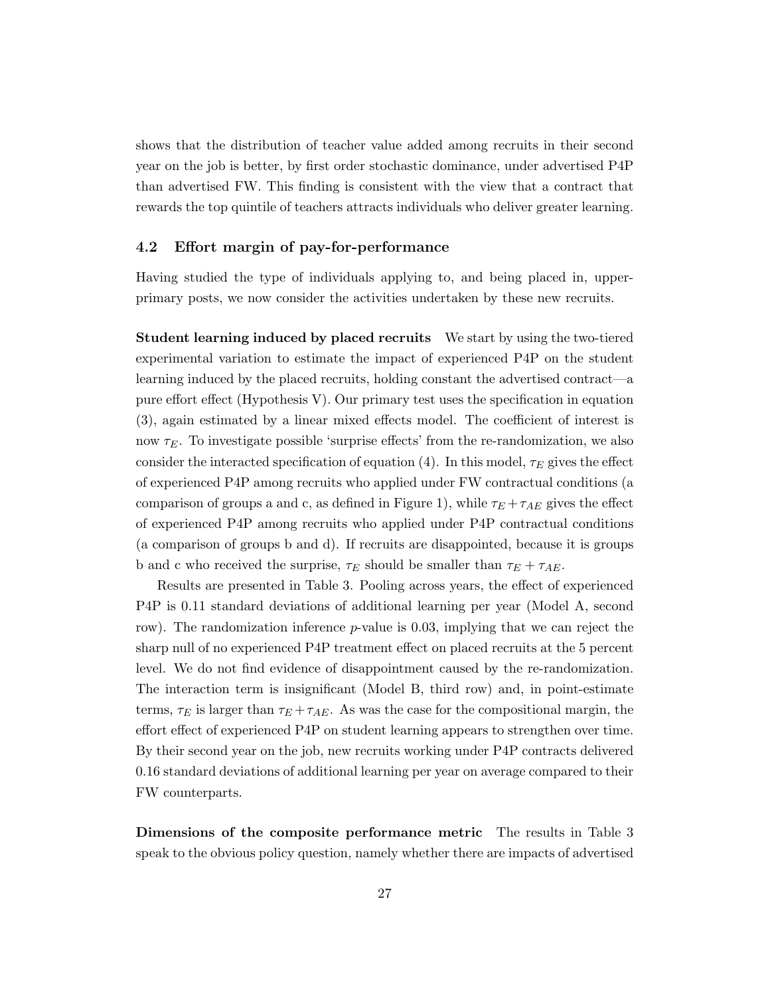shows that the distribution of teacher value added among recruits in their second year on the job is better, by first order stochastic dominance, under advertised P4P than advertised FW. This finding is consistent with the view that a contract that rewards the top quintile of teachers attracts individuals who deliver greater learning.

#### 4.2 Effort margin of pay-for-performance

Having studied the type of individuals applying to, and being placed in, upperprimary posts, we now consider the activities undertaken by these new recruits.

Student learning induced by placed recruits We start by using the two-tiered experimental variation to estimate the impact of experienced P4P on the student learning induced by the placed recruits, holding constant the advertised contract—a pure effort effect (Hypothesis V). Our primary test uses the specification in equation (3), again estimated by a linear mixed effects model. The coefficient of interest is now  $\tau_E$ . To investigate possible 'surprise effects' from the re-randomization, we also consider the interacted specification of equation (4). In this model,  $\tau_E$  gives the effect of experienced P4P among recruits who applied under FW contractual conditions (a comparison of groups a and c, as defined in Figure 1), while  $\tau_E + \tau_{AE}$  gives the effect of experienced P4P among recruits who applied under P4P contractual conditions (a comparison of groups b and d). If recruits are disappointed, because it is groups b and c who received the surprise,  $\tau_E$  should be smaller than  $\tau_E + \tau_{AE}$ .

Results are presented in Table 3. Pooling across years, the effect of experienced P4P is 0.11 standard deviations of additional learning per year (Model A, second row). The randomization inference p-value is 0.03, implying that we can reject the sharp null of no experienced P4P treatment effect on placed recruits at the 5 percent level. We do not find evidence of disappointment caused by the re-randomization. The interaction term is insignificant (Model B, third row) and, in point-estimate terms,  $\tau_E$  is larger than  $\tau_E + \tau_{AE}$ . As was the case for the compositional margin, the effort effect of experienced P4P on student learning appears to strengthen over time. By their second year on the job, new recruits working under P4P contracts delivered 0.16 standard deviations of additional learning per year on average compared to their FW counterparts.

Dimensions of the composite performance metric The results in Table 3 speak to the obvious policy question, namely whether there are impacts of advertised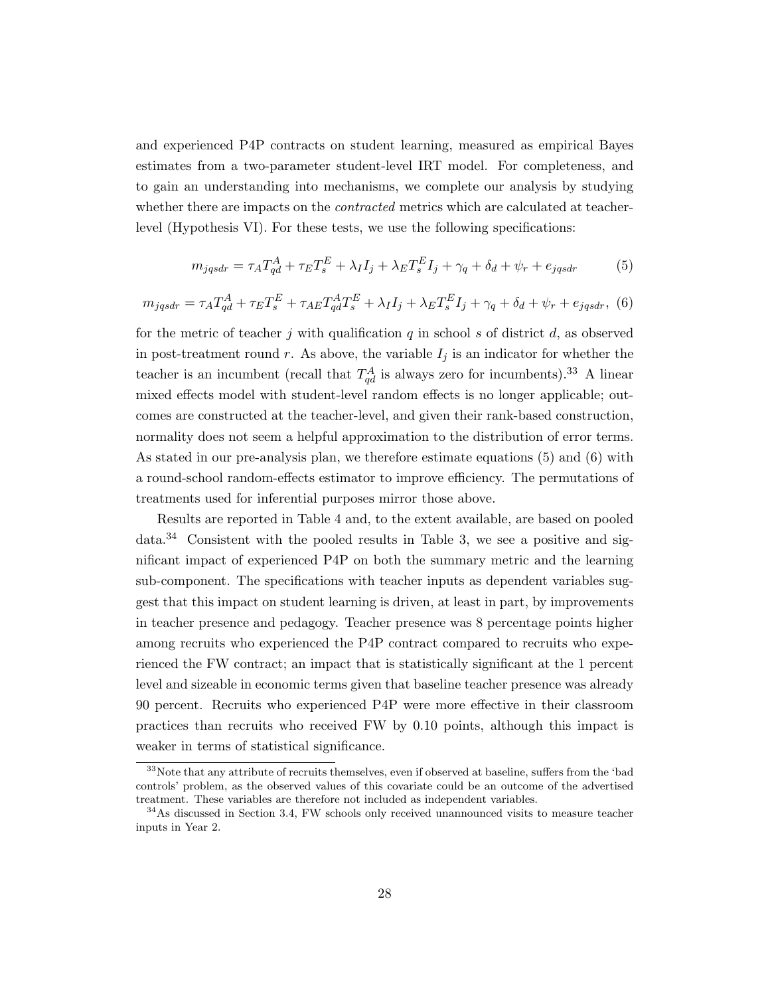and experienced P4P contracts on student learning, measured as empirical Bayes estimates from a two-parameter student-level IRT model. For completeness, and to gain an understanding into mechanisms, we complete our analysis by studying whether there are impacts on the *contracted* metrics which are calculated at teacherlevel (Hypothesis VI). For these tests, we use the following specifications:

$$
m_{jqsdr} = \tau_A T_{qd}^A + \tau_E T_s^E + \lambda_I I_j + \lambda_E T_s^E I_j + \gamma_q + \delta_d + \psi_r + e_{jqsdr} \tag{5}
$$

$$
m_{jqsdr} = \tau_A T_{qd}^A + \tau_E T_s^E + \tau_{AE} T_{qd}^A T_s^E + \lambda_I I_j + \lambda_E T_s^E I_j + \gamma_q + \delta_d + \psi_r + e_{jqsdr}, \tag{6}
$$

for the metric of teacher j with qualification q in school s of district d, as observed in post-treatment round r. As above, the variable  $I_j$  is an indicator for whether the teacher is an incumbent (recall that  $T_{qd}^A$  is always zero for incumbents).<sup>33</sup> A linear mixed effects model with student-level random effects is no longer applicable; outcomes are constructed at the teacher-level, and given their rank-based construction, normality does not seem a helpful approximation to the distribution of error terms. As stated in our pre-analysis plan, we therefore estimate equations (5) and (6) with a round-school random-effects estimator to improve efficiency. The permutations of treatments used for inferential purposes mirror those above.

Results are reported in Table 4 and, to the extent available, are based on pooled data.<sup>34</sup> Consistent with the pooled results in Table 3, we see a positive and significant impact of experienced P4P on both the summary metric and the learning sub-component. The specifications with teacher inputs as dependent variables suggest that this impact on student learning is driven, at least in part, by improvements in teacher presence and pedagogy. Teacher presence was 8 percentage points higher among recruits who experienced the P4P contract compared to recruits who experienced the FW contract; an impact that is statistically significant at the 1 percent level and sizeable in economic terms given that baseline teacher presence was already 90 percent. Recruits who experienced P4P were more effective in their classroom practices than recruits who received FW by 0.10 points, although this impact is weaker in terms of statistical significance.

<sup>&</sup>lt;sup>33</sup>Note that any attribute of recruits themselves, even if observed at baseline, suffers from the 'bad controls' problem, as the observed values of this covariate could be an outcome of the advertised treatment. These variables are therefore not included as independent variables.

<sup>&</sup>lt;sup>34</sup>As discussed in Section 3.4, FW schools only received unannounced visits to measure teacher inputs in Year 2.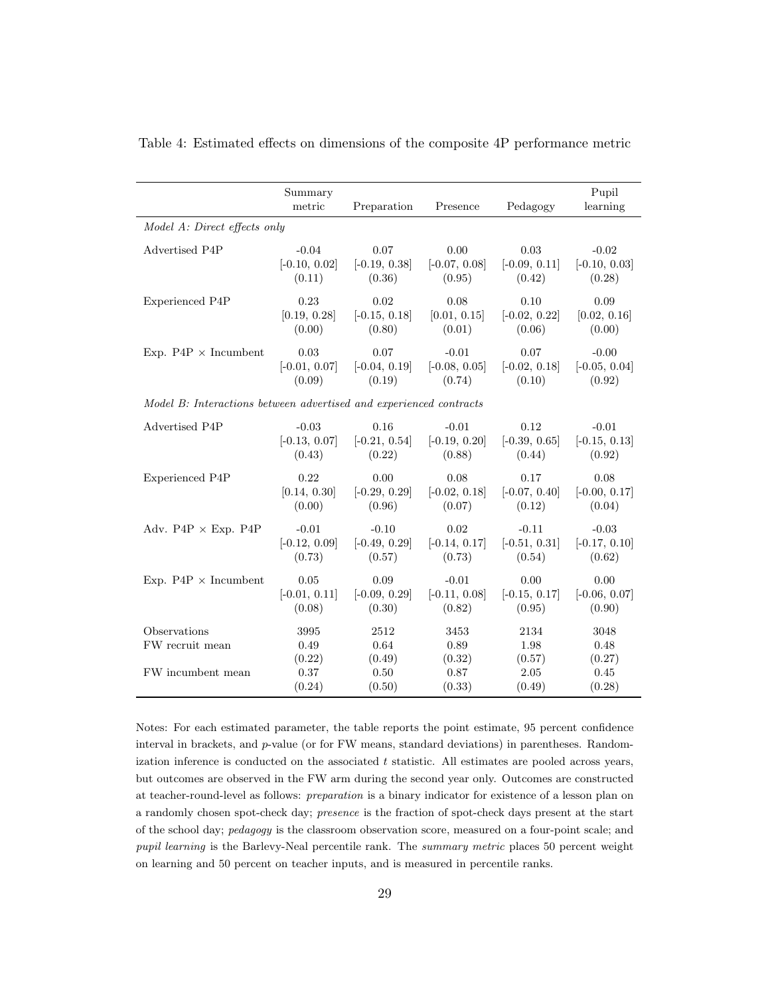|                                                                    | Summary<br>metric      | Preparation            | Presence               | Pedagogy               | Pupil<br>learning      |
|--------------------------------------------------------------------|------------------------|------------------------|------------------------|------------------------|------------------------|
| Model A: Direct effects only                                       |                        |                        |                        |                        |                        |
| Advertised P4P                                                     | $-0.04$                | 0.07                   | 0.00                   | 0.03                   | $-0.02$                |
|                                                                    | $[-0.10, 0.02]$        | $[-0.19, 0.38]$        | $[-0.07, 0.08]$        | $[-0.09, 0.11]$        | $[-0.10, 0.03]$        |
|                                                                    | (0.11)                 | (0.36)                 | (0.95)                 | (0.42)                 | (0.28)                 |
| Experienced P4P                                                    | 0.23                   | 0.02                   | 0.08                   | 0.10                   | 0.09                   |
|                                                                    | [0.19, 0.28]           | $[-0.15, 0.18]$        | [0.01, 0.15]           | $[-0.02, 0.22]$        | [0.02, 0.16]           |
|                                                                    | (0.00)                 | (0.80)                 | (0.01)                 | (0.06)                 | (0.00)                 |
| Exp. $P4P \times Incumbent$                                        | 0.03                   | 0.07                   | $-0.01$                | 0.07                   | $-0.00$                |
|                                                                    | $[-0.01, 0.07]$        | $[-0.04, 0.19]$        | $[-0.08, 0.05]$        | $[-0.02, 0.18]$        | $[-0.05, 0.04]$        |
|                                                                    | (0.09)                 | (0.19)                 | (0.74)                 | (0.10)                 | (0.92)                 |
| Model B: Interactions between advertised and experienced contracts |                        |                        |                        |                        |                        |
| Advertised P4P                                                     | $-0.03$                | 0.16                   | $-0.01$                | 0.12                   | $-0.01$                |
|                                                                    | $[-0.13, 0.07]$        | $[-0.21, 0.54]$        | $[-0.19, 0.20]$        | $[-0.39, 0.65]$        | $[-0.15, 0.13]$        |
|                                                                    | (0.43)                 | (0.22)                 | (0.88)                 | (0.44)                 | (0.92)                 |
| Experienced P4P                                                    | 0.22                   | 0.00                   | 0.08                   | 0.17                   | 0.08                   |
|                                                                    | [0.14, 0.30]           | $[-0.29, 0.29]$        | $[-0.02, 0.18]$        | $[-0.07, 0.40]$        | $[-0.00, 0.17]$        |
|                                                                    | (0.00)                 | (0.96)                 | (0.07)                 | (0.12)                 | (0.04)                 |
| Adv. $P4P \times Exp.$ P4P                                         | $-0.01$                | $-0.10$                | 0.02                   | $-0.11$                | $-0.03$                |
|                                                                    | $[-0.12, 0.09]$        | $[-0.49, 0.29]$        | $[-0.14, 0.17]$        | $[-0.51, 0.31]$        | $[-0.17, 0.10]$        |
|                                                                    | (0.73)                 | (0.57)                 | (0.73)                 | (0.54)                 | (0.62)                 |
| Exp. $P4P \times Incumbent$                                        | $0.05\,$               | 0.09                   | $-0.01$                | 0.00                   | 0.00                   |
|                                                                    | $[-0.01, 0.11]$        | $[-0.09, 0.29]$        | $[-0.11, 0.08]$        | $[-0.15, 0.17]$        | $[-0.06, 0.07]$        |
|                                                                    | (0.08)                 | (0.30)                 | (0.82)                 | (0.95)                 | (0.90)                 |
| Observations<br>FW recruit mean                                    | 3995<br>0.49<br>(0.22) | 2512<br>0.64<br>(0.49) | 3453<br>0.89<br>(0.32) | 2134<br>1.98<br>(0.57) | 3048<br>0.48<br>(0.27) |
| FW incumbent mean                                                  | 0.37                   | 0.50                   | 0.87                   | 2.05                   | 0.45                   |
|                                                                    | (0.24)                 | (0.50)                 | (0.33)                 | (0.49)                 | (0.28)                 |

Table 4: Estimated effects on dimensions of the composite 4P performance metric

Notes: For each estimated parameter, the table reports the point estimate, 95 percent confidence interval in brackets, and  $p$ -value (or for FW means, standard deviations) in parentheses. Randomization inference is conducted on the associated  $t$  statistic. All estimates are pooled across years, but outcomes are observed in the FW arm during the second year only. Outcomes are constructed at teacher-round-level as follows: preparation is a binary indicator for existence of a lesson plan on a randomly chosen spot-check day; presence is the fraction of spot-check days present at the start of the school day; pedagogy is the classroom observation score, measured on a four-point scale; and pupil learning is the Barlevy-Neal percentile rank. The summary metric places 50 percent weight on learning and 50 percent on teacher inputs, and is measured in percentile ranks.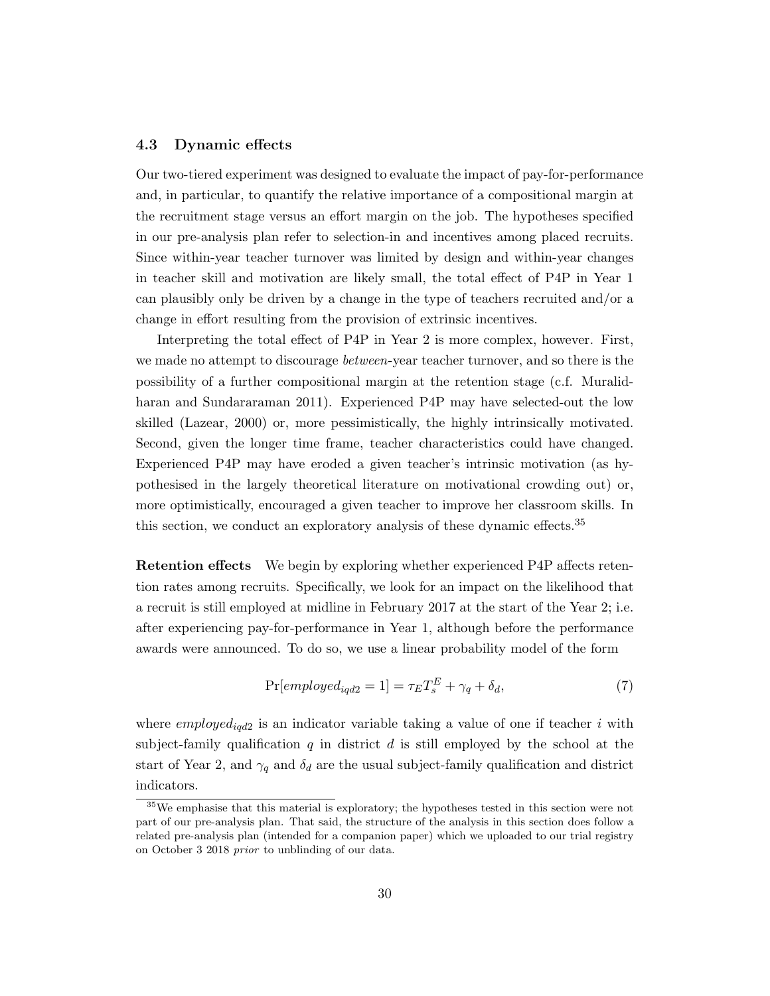#### 4.3 Dynamic effects

Our two-tiered experiment was designed to evaluate the impact of pay-for-performance and, in particular, to quantify the relative importance of a compositional margin at the recruitment stage versus an effort margin on the job. The hypotheses specified in our pre-analysis plan refer to selection-in and incentives among placed recruits. Since within-year teacher turnover was limited by design and within-year changes in teacher skill and motivation are likely small, the total effect of P4P in Year 1 can plausibly only be driven by a change in the type of teachers recruited and/or a change in effort resulting from the provision of extrinsic incentives.

Interpreting the total effect of P4P in Year 2 is more complex, however. First, we made no attempt to discourage between-year teacher turnover, and so there is the possibility of a further compositional margin at the retention stage (c.f. Muralidharan and Sundararaman 2011). Experienced P4P may have selected-out the low skilled (Lazear, 2000) or, more pessimistically, the highly intrinsically motivated. Second, given the longer time frame, teacher characteristics could have changed. Experienced P4P may have eroded a given teacher's intrinsic motivation (as hypothesised in the largely theoretical literature on motivational crowding out) or, more optimistically, encouraged a given teacher to improve her classroom skills. In this section, we conduct an exploratory analysis of these dynamic effects.<sup>35</sup>

Retention effects We begin by exploring whether experienced P4P affects retention rates among recruits. Specifically, we look for an impact on the likelihood that a recruit is still employed at midline in February 2017 at the start of the Year 2; i.e. after experiencing pay-for-performance in Year 1, although before the performance awards were announced. To do so, we use a linear probability model of the form

$$
\Pr[employed_{iqd2} = 1] = \tau_E T_s^E + \gamma_q + \delta_d,\tag{7}
$$

where  $\mathit{employed}_{\mathit{igd2}}$  is an indicator variable taking a value of one if teacher i with subject-family qualification q in district d is still employed by the school at the start of Year 2, and  $\gamma_q$  and  $\delta_d$  are the usual subject-family qualification and district indicators.

<sup>&</sup>lt;sup>35</sup>We emphasise that this material is exploratory; the hypotheses tested in this section were not part of our pre-analysis plan. That said, the structure of the analysis in this section does follow a related pre-analysis plan (intended for a companion paper) which we uploaded to our trial registry on October 3 2018 prior to unblinding of our data.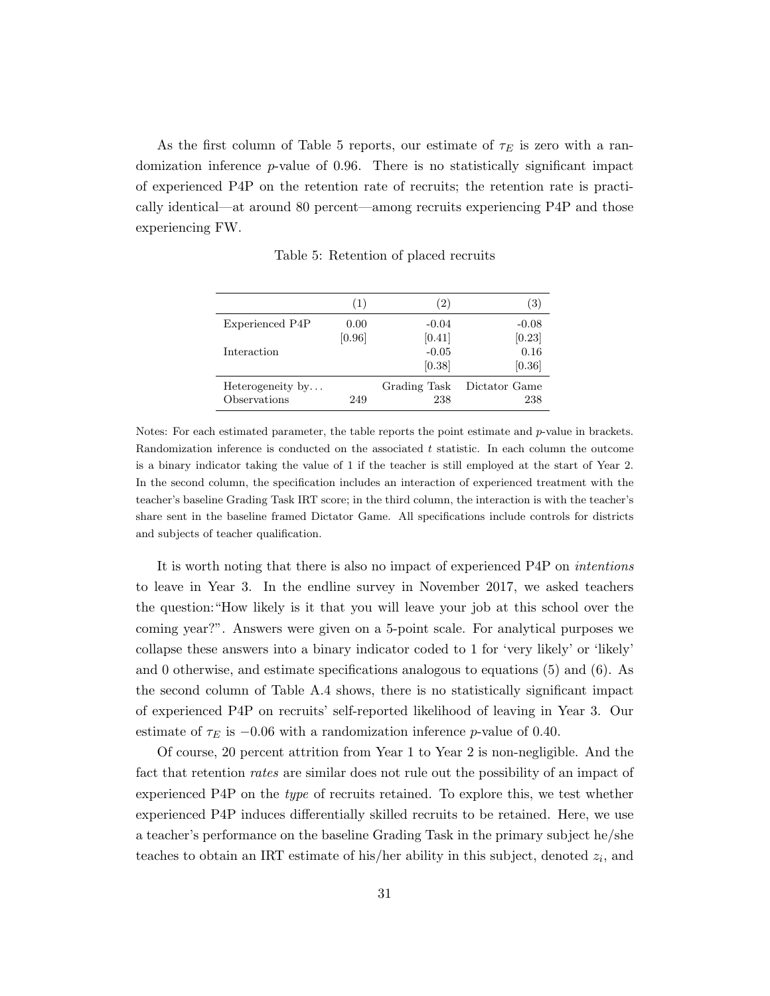As the first column of Table 5 reports, our estimate of  $\tau_E$  is zero with a randomization inference p-value of 0.96. There is no statistically significant impact of experienced P4P on the retention rate of recruits; the retention rate is practically identical—at around 80 percent—among recruits experiencing P4P and those experiencing FW.

|                  | (1)    | (2)               | $\left(3\right)$ |
|------------------|--------|-------------------|------------------|
| Experienced P4P  | 0.00   | $-0.04$           | $-0.08$          |
|                  | [0.96] | [0.41]            | [0.23]           |
| Interaction      |        | $-0.05$<br>[0.38] | 0.16<br>[0.36]   |
| Heterogeneity by | 249    | Grading Task      | Dictator Game    |
| Observations     |        | 238               | 238              |

Table 5: Retention of placed recruits

Notes: For each estimated parameter, the table reports the point estimate and p-value in brackets. Randomization inference is conducted on the associated  $t$  statistic. In each column the outcome is a binary indicator taking the value of 1 if the teacher is still employed at the start of Year 2. In the second column, the specification includes an interaction of experienced treatment with the teacher's baseline Grading Task IRT score; in the third column, the interaction is with the teacher's share sent in the baseline framed Dictator Game. All specifications include controls for districts and subjects of teacher qualification.

It is worth noting that there is also no impact of experienced P4P on intentions to leave in Year 3. In the endline survey in November 2017, we asked teachers the question:"How likely is it that you will leave your job at this school over the coming year?". Answers were given on a 5-point scale. For analytical purposes we collapse these answers into a binary indicator coded to 1 for 'very likely' or 'likely' and 0 otherwise, and estimate specifications analogous to equations (5) and (6). As the second column of Table A.4 shows, there is no statistically significant impact of experienced P4P on recruits' self-reported likelihood of leaving in Year 3. Our estimate of  $\tau_E$  is  $-0.06$  with a randomization inference p-value of 0.40.

Of course, 20 percent attrition from Year 1 to Year 2 is non-negligible. And the fact that retention *rates* are similar does not rule out the possibility of an impact of experienced P4P on the type of recruits retained. To explore this, we test whether experienced P4P induces differentially skilled recruits to be retained. Here, we use a teacher's performance on the baseline Grading Task in the primary subject he/she teaches to obtain an IRT estimate of his/her ability in this subject, denoted  $z_i$ , and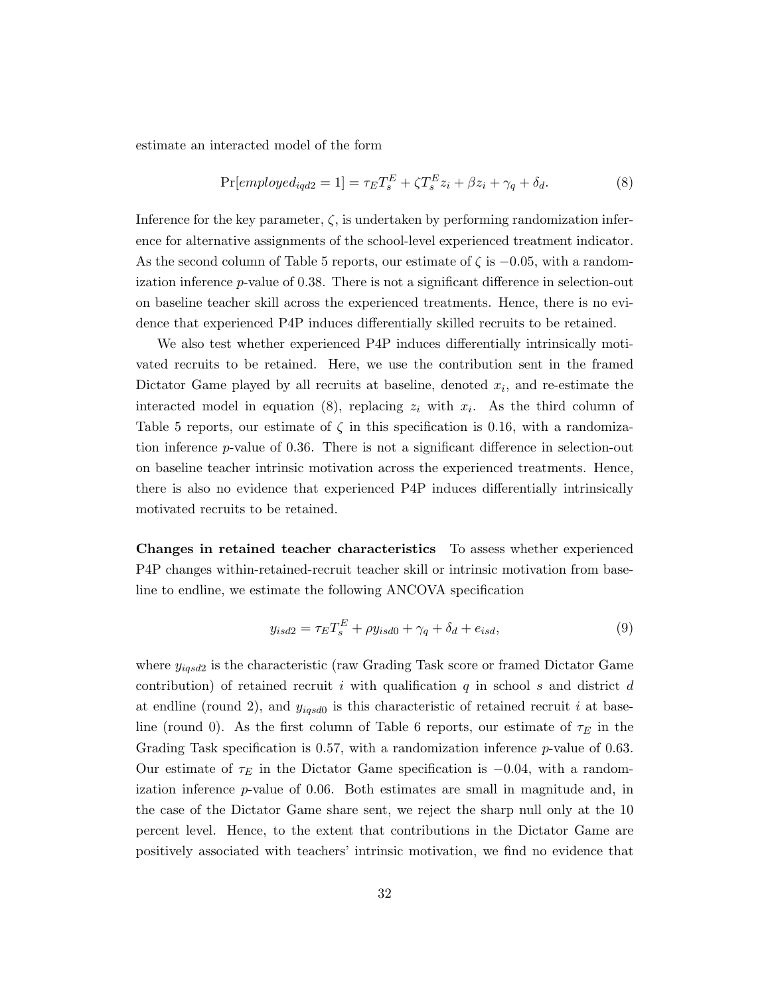estimate an interacted model of the form

$$
\Pr[emptyed_{iqd2} = 1] = \tau_E T_s^E + \zeta T_s^E z_i + \beta z_i + \gamma_q + \delta_d.
$$
\n(8)

Inference for the key parameter,  $\zeta$ , is undertaken by performing randomization inference for alternative assignments of the school-level experienced treatment indicator. As the second column of Table 5 reports, our estimate of  $\zeta$  is  $-0.05$ , with a randomization inference p-value of 0.38. There is not a significant difference in selection-out on baseline teacher skill across the experienced treatments. Hence, there is no evidence that experienced P4P induces differentially skilled recruits to be retained.

We also test whether experienced P4P induces differentially intrinsically motivated recruits to be retained. Here, we use the contribution sent in the framed Dictator Game played by all recruits at baseline, denoted  $x_i$ , and re-estimate the interacted model in equation (8), replacing  $z_i$  with  $x_i$ . As the third column of Table 5 reports, our estimate of  $\zeta$  in this specification is 0.16, with a randomization inference p-value of 0.36. There is not a significant difference in selection-out on baseline teacher intrinsic motivation across the experienced treatments. Hence, there is also no evidence that experienced P4P induces differentially intrinsically motivated recruits to be retained.

Changes in retained teacher characteristics To assess whether experienced P4P changes within-retained-recruit teacher skill or intrinsic motivation from baseline to endline, we estimate the following ANCOVA specification

$$
y_{isd2} = \tau_E T_s^E + \rho y_{isd0} + \gamma_q + \delta_d + e_{isd},\tag{9}
$$

where  $y_{igsd2}$  is the characteristic (raw Grading Task score or framed Dictator Game contribution) of retained recruit i with qualification  $q$  in school s and district d at endline (round 2), and  $y_{igsd0}$  is this characteristic of retained recruit i at baseline (round 0). As the first column of Table 6 reports, our estimate of  $\tau_E$  in the Grading Task specification is 0.57, with a randomization inference  $p$ -value of 0.63. Our estimate of  $\tau_E$  in the Dictator Game specification is  $-0.04$ , with a randomization inference p-value of 0.06. Both estimates are small in magnitude and, in the case of the Dictator Game share sent, we reject the sharp null only at the 10 percent level. Hence, to the extent that contributions in the Dictator Game are positively associated with teachers' intrinsic motivation, we find no evidence that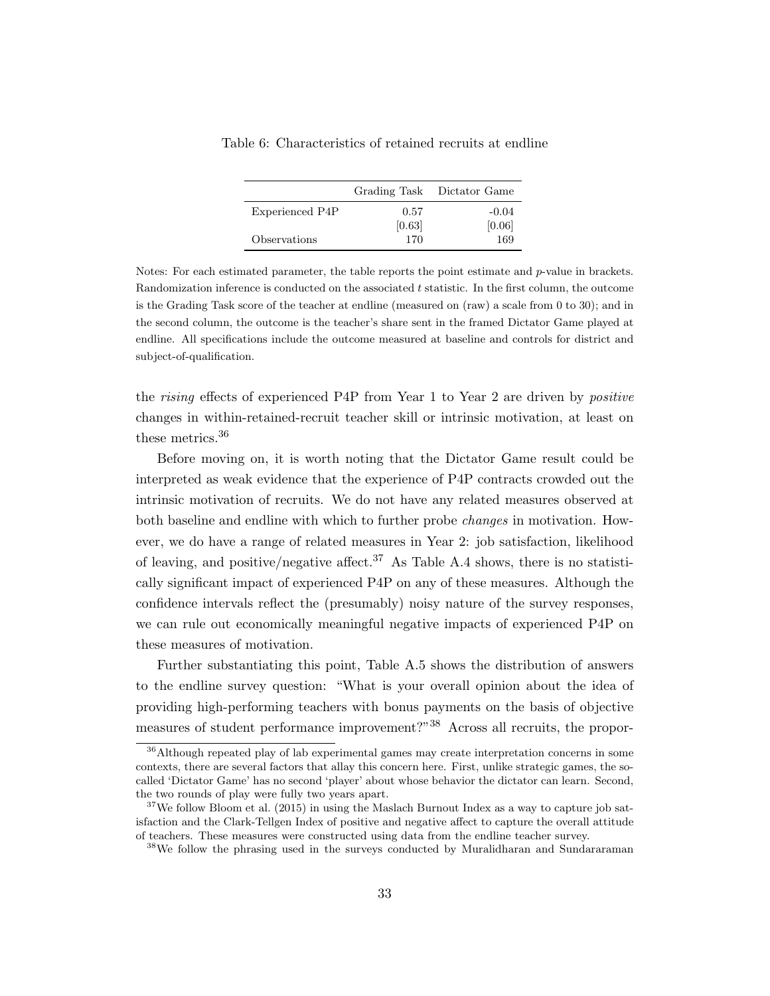|                 |        | Grading Task Dictator Game |
|-----------------|--------|----------------------------|
| Experienced P4P | 0.57   | $-0.04$                    |
|                 | [0.63] | [0.06]                     |
| Observations    | 170    | 169                        |

Table 6: Characteristics of retained recruits at endline

Notes: For each estimated parameter, the table reports the point estimate and p-value in brackets. Randomization inference is conducted on the associated  $t$  statistic. In the first column, the outcome is the Grading Task score of the teacher at endline (measured on (raw) a scale from 0 to 30); and in the second column, the outcome is the teacher's share sent in the framed Dictator Game played at endline. All specifications include the outcome measured at baseline and controls for district and subject-of-qualification.

the *rising* effects of experienced P4P from Year 1 to Year 2 are driven by *positive* changes in within-retained-recruit teacher skill or intrinsic motivation, at least on these metrics.<sup>36</sup>

Before moving on, it is worth noting that the Dictator Game result could be interpreted as weak evidence that the experience of P4P contracts crowded out the intrinsic motivation of recruits. We do not have any related measures observed at both baseline and endline with which to further probe changes in motivation. However, we do have a range of related measures in Year 2: job satisfaction, likelihood of leaving, and positive/negative affect.<sup>37</sup> As Table A.4 shows, there is no statistically significant impact of experienced P4P on any of these measures. Although the confidence intervals reflect the (presumably) noisy nature of the survey responses, we can rule out economically meaningful negative impacts of experienced P4P on these measures of motivation.

Further substantiating this point, Table A.5 shows the distribution of answers to the endline survey question: "What is your overall opinion about the idea of providing high-performing teachers with bonus payments on the basis of objective measures of student performance improvement?"<sup>38</sup> Across all recruits, the propor-

<sup>36</sup>Although repeated play of lab experimental games may create interpretation concerns in some contexts, there are several factors that allay this concern here. First, unlike strategic games, the socalled 'Dictator Game' has no second 'player' about whose behavior the dictator can learn. Second, the two rounds of play were fully two years apart.

 $37$ We follow Bloom et al. (2015) in using the Maslach Burnout Index as a way to capture job satisfaction and the Clark-Tellgen Index of positive and negative affect to capture the overall attitude of teachers. These measures were constructed using data from the endline teacher survey.

<sup>&</sup>lt;sup>38</sup>We follow the phrasing used in the surveys conducted by Muralidharan and Sundararaman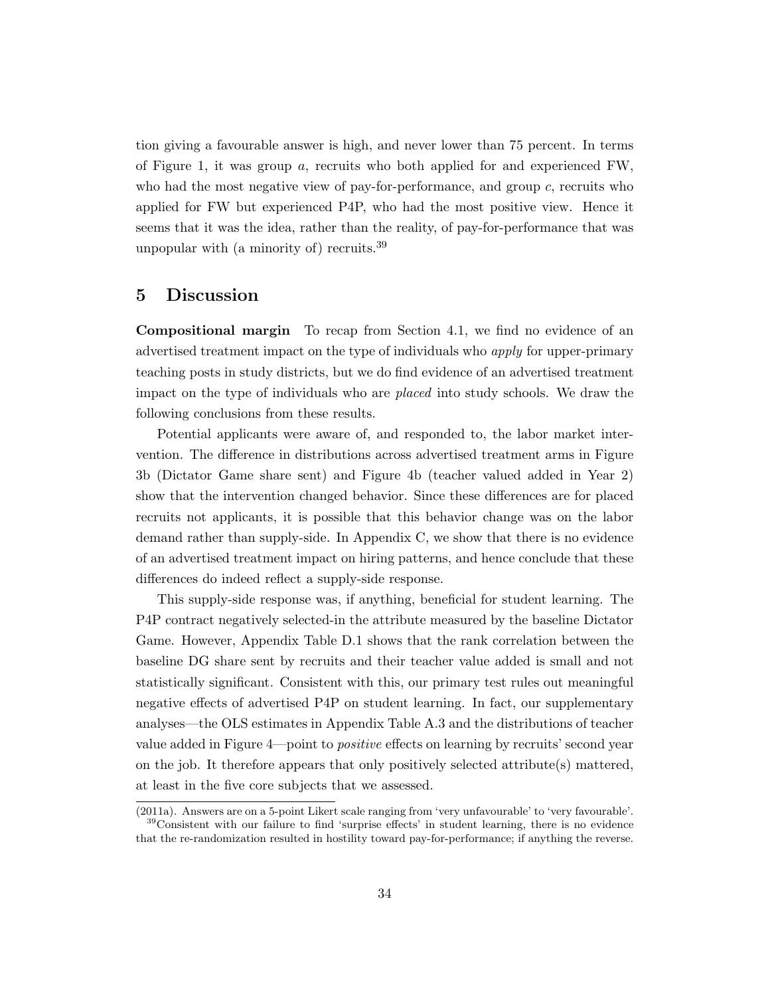tion giving a favourable answer is high, and never lower than 75 percent. In terms of Figure 1, it was group a, recruits who both applied for and experienced FW, who had the most negative view of pay-for-performance, and group  $c$ , recruits who applied for FW but experienced P4P, who had the most positive view. Hence it seems that it was the idea, rather than the reality, of pay-for-performance that was unpopular with (a minority of) recruits.  $39$ 

#### 5 Discussion

Compositional margin To recap from Section 4.1, we find no evidence of an advertised treatment impact on the type of individuals who apply for upper-primary teaching posts in study districts, but we do find evidence of an advertised treatment impact on the type of individuals who are placed into study schools. We draw the following conclusions from these results.

Potential applicants were aware of, and responded to, the labor market intervention. The difference in distributions across advertised treatment arms in Figure 3b (Dictator Game share sent) and Figure 4b (teacher valued added in Year 2) show that the intervention changed behavior. Since these differences are for placed recruits not applicants, it is possible that this behavior change was on the labor demand rather than supply-side. In Appendix C, we show that there is no evidence of an advertised treatment impact on hiring patterns, and hence conclude that these differences do indeed reflect a supply-side response.

This supply-side response was, if anything, beneficial for student learning. The P4P contract negatively selected-in the attribute measured by the baseline Dictator Game. However, Appendix Table D.1 shows that the rank correlation between the baseline DG share sent by recruits and their teacher value added is small and not statistically significant. Consistent with this, our primary test rules out meaningful negative effects of advertised P4P on student learning. In fact, our supplementary analyses—the OLS estimates in Appendix Table A.3 and the distributions of teacher value added in Figure 4—point to positive effects on learning by recruits' second year on the job. It therefore appears that only positively selected attribute(s) mattered, at least in the five core subjects that we assessed.

<sup>(2011</sup>a). Answers are on a 5-point Likert scale ranging from 'very unfavourable' to 'very favourable'. <sup>39</sup>Consistent with our failure to find 'surprise effects' in student learning, there is no evidence that the re-randomization resulted in hostility toward pay-for-performance; if anything the reverse.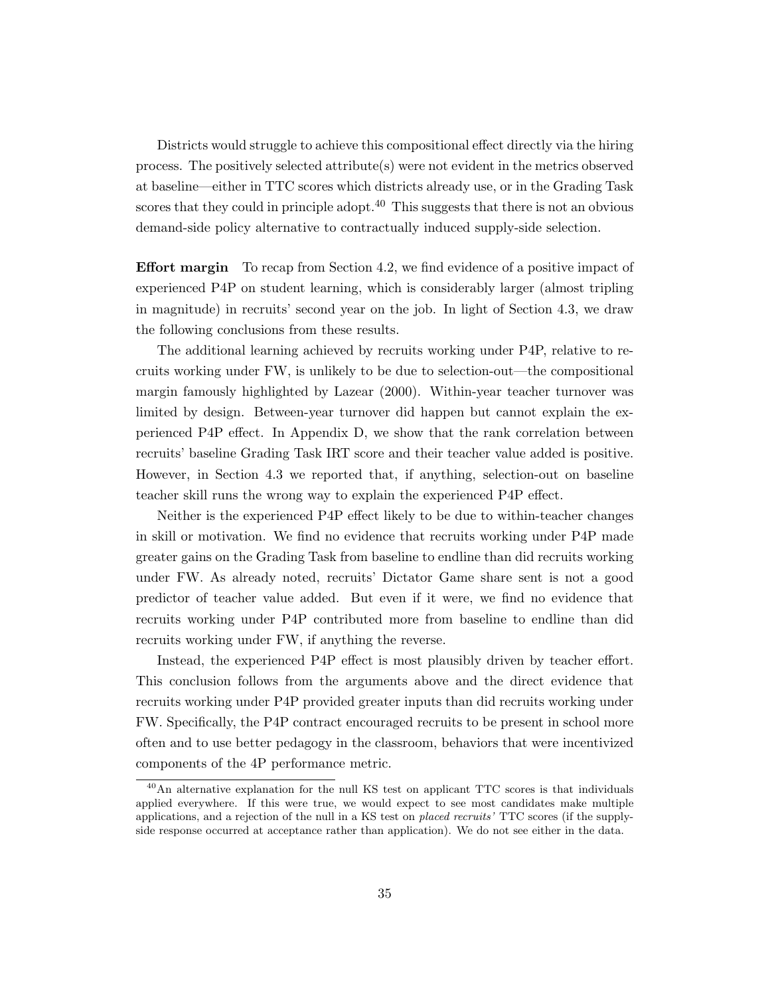Districts would struggle to achieve this compositional effect directly via the hiring process. The positively selected attribute(s) were not evident in the metrics observed at baseline—either in TTC scores which districts already use, or in the Grading Task scores that they could in principle adopt.<sup>40</sup> This suggests that there is not an obvious demand-side policy alternative to contractually induced supply-side selection.

Effort margin To recap from Section 4.2, we find evidence of a positive impact of experienced P4P on student learning, which is considerably larger (almost tripling in magnitude) in recruits' second year on the job. In light of Section 4.3, we draw the following conclusions from these results.

The additional learning achieved by recruits working under P4P, relative to recruits working under FW, is unlikely to be due to selection-out—the compositional margin famously highlighted by Lazear (2000). Within-year teacher turnover was limited by design. Between-year turnover did happen but cannot explain the experienced P4P effect. In Appendix D, we show that the rank correlation between recruits' baseline Grading Task IRT score and their teacher value added is positive. However, in Section 4.3 we reported that, if anything, selection-out on baseline teacher skill runs the wrong way to explain the experienced P4P effect.

Neither is the experienced P4P effect likely to be due to within-teacher changes in skill or motivation. We find no evidence that recruits working under P4P made greater gains on the Grading Task from baseline to endline than did recruits working under FW. As already noted, recruits' Dictator Game share sent is not a good predictor of teacher value added. But even if it were, we find no evidence that recruits working under P4P contributed more from baseline to endline than did recruits working under FW, if anything the reverse.

Instead, the experienced P4P effect is most plausibly driven by teacher effort. This conclusion follows from the arguments above and the direct evidence that recruits working under P4P provided greater inputs than did recruits working under FW. Specifically, the P4P contract encouraged recruits to be present in school more often and to use better pedagogy in the classroom, behaviors that were incentivized components of the 4P performance metric.

<sup>&</sup>lt;sup>40</sup>An alternative explanation for the null KS test on applicant TTC scores is that individuals applied everywhere. If this were true, we would expect to see most candidates make multiple applications, and a rejection of the null in a KS test on *placed recruits'* TTC scores (if the supplyside response occurred at acceptance rather than application). We do not see either in the data.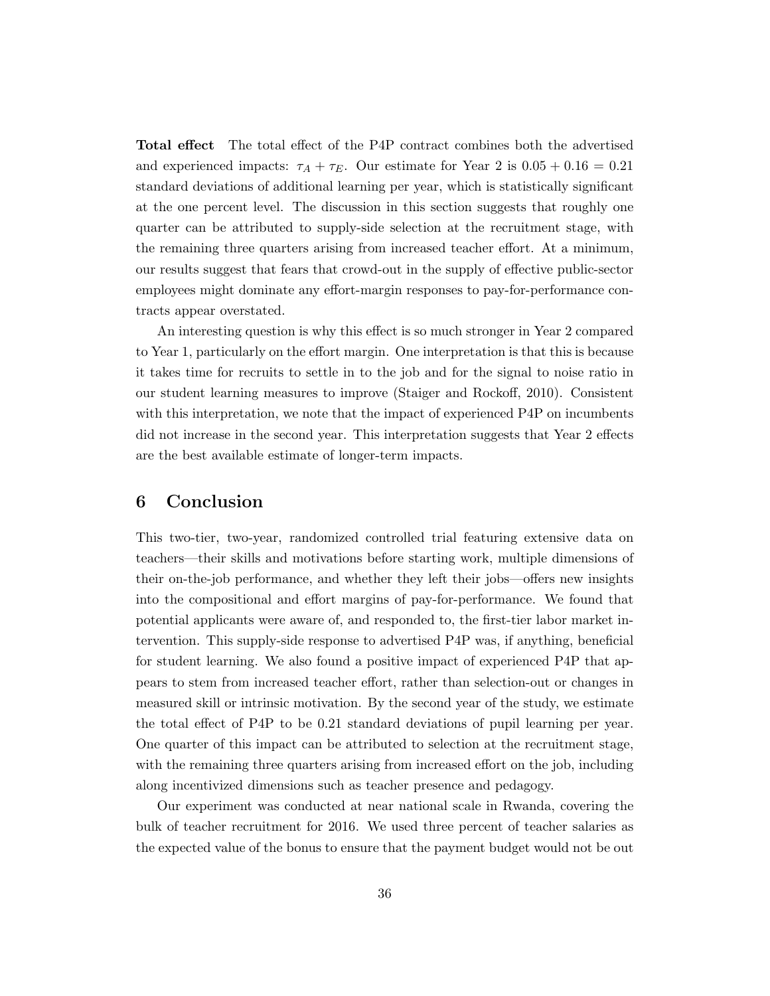Total effect The total effect of the P4P contract combines both the advertised and experienced impacts:  $\tau_A + \tau_E$ . Our estimate for Year 2 is  $0.05 + 0.16 = 0.21$ standard deviations of additional learning per year, which is statistically significant at the one percent level. The discussion in this section suggests that roughly one quarter can be attributed to supply-side selection at the recruitment stage, with the remaining three quarters arising from increased teacher effort. At a minimum, our results suggest that fears that crowd-out in the supply of effective public-sector employees might dominate any effort-margin responses to pay-for-performance contracts appear overstated.

An interesting question is why this effect is so much stronger in Year 2 compared to Year 1, particularly on the effort margin. One interpretation is that this is because it takes time for recruits to settle in to the job and for the signal to noise ratio in our student learning measures to improve (Staiger and Rockoff, 2010). Consistent with this interpretation, we note that the impact of experienced P4P on incumbents did not increase in the second year. This interpretation suggests that Year 2 effects are the best available estimate of longer-term impacts.

### 6 Conclusion

This two-tier, two-year, randomized controlled trial featuring extensive data on teachers—their skills and motivations before starting work, multiple dimensions of their on-the-job performance, and whether they left their jobs—offers new insights into the compositional and effort margins of pay-for-performance. We found that potential applicants were aware of, and responded to, the first-tier labor market intervention. This supply-side response to advertised P4P was, if anything, beneficial for student learning. We also found a positive impact of experienced P4P that appears to stem from increased teacher effort, rather than selection-out or changes in measured skill or intrinsic motivation. By the second year of the study, we estimate the total effect of P4P to be 0.21 standard deviations of pupil learning per year. One quarter of this impact can be attributed to selection at the recruitment stage, with the remaining three quarters arising from increased effort on the job, including along incentivized dimensions such as teacher presence and pedagogy.

Our experiment was conducted at near national scale in Rwanda, covering the bulk of teacher recruitment for 2016. We used three percent of teacher salaries as the expected value of the bonus to ensure that the payment budget would not be out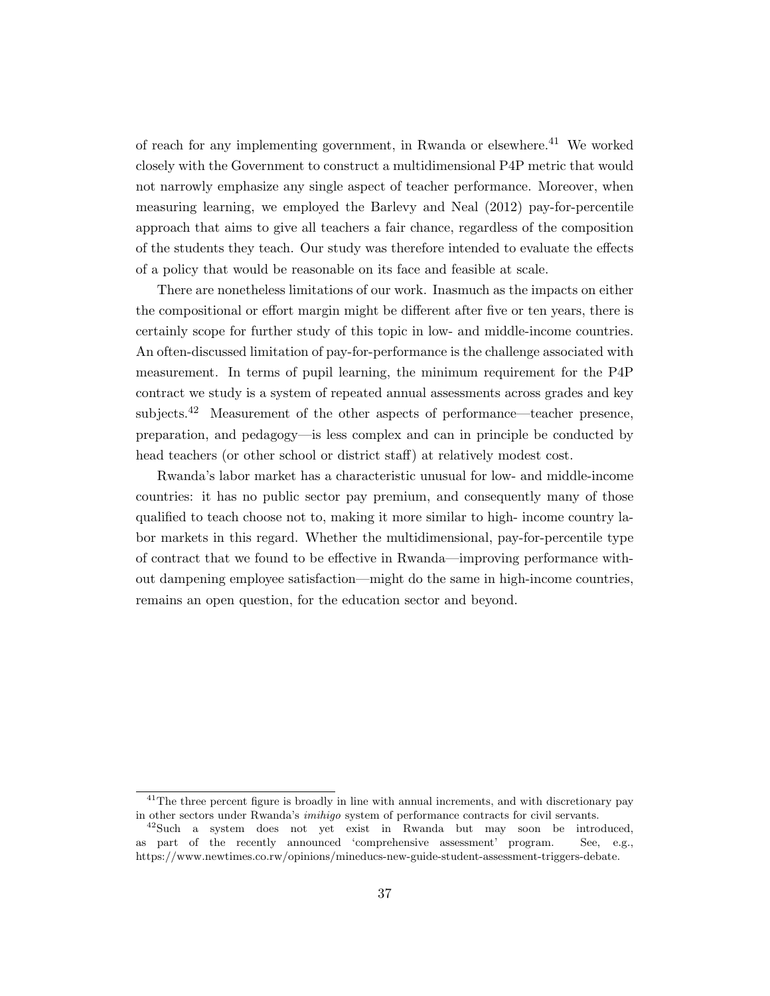of reach for any implementing government, in Rwanda or elsewhere.<sup>41</sup> We worked closely with the Government to construct a multidimensional P4P metric that would not narrowly emphasize any single aspect of teacher performance. Moreover, when measuring learning, we employed the Barlevy and Neal (2012) pay-for-percentile approach that aims to give all teachers a fair chance, regardless of the composition of the students they teach. Our study was therefore intended to evaluate the effects of a policy that would be reasonable on its face and feasible at scale.

There are nonetheless limitations of our work. Inasmuch as the impacts on either the compositional or effort margin might be different after five or ten years, there is certainly scope for further study of this topic in low- and middle-income countries. An often-discussed limitation of pay-for-performance is the challenge associated with measurement. In terms of pupil learning, the minimum requirement for the P4P contract we study is a system of repeated annual assessments across grades and key subjects.<sup>42</sup> Measurement of the other aspects of performance—teacher presence, preparation, and pedagogy—is less complex and can in principle be conducted by head teachers (or other school or district staff) at relatively modest cost.

Rwanda's labor market has a characteristic unusual for low- and middle-income countries: it has no public sector pay premium, and consequently many of those qualified to teach choose not to, making it more similar to high- income country labor markets in this regard. Whether the multidimensional, pay-for-percentile type of contract that we found to be effective in Rwanda—improving performance without dampening employee satisfaction—might do the same in high-income countries, remains an open question, for the education sector and beyond.

<sup>&</sup>lt;sup>41</sup>The three percent figure is broadly in line with annual increments, and with discretionary pay in other sectors under Rwanda's imihigo system of performance contracts for civil servants.

<sup>&</sup>lt;sup>42</sup>Such a system does not yet exist in Rwanda but may soon be introduced, as part of the recently announced 'comprehensive assessment' program. See, e.g., https://www.newtimes.co.rw/opinions/mineducs-new-guide-student-assessment-triggers-debate.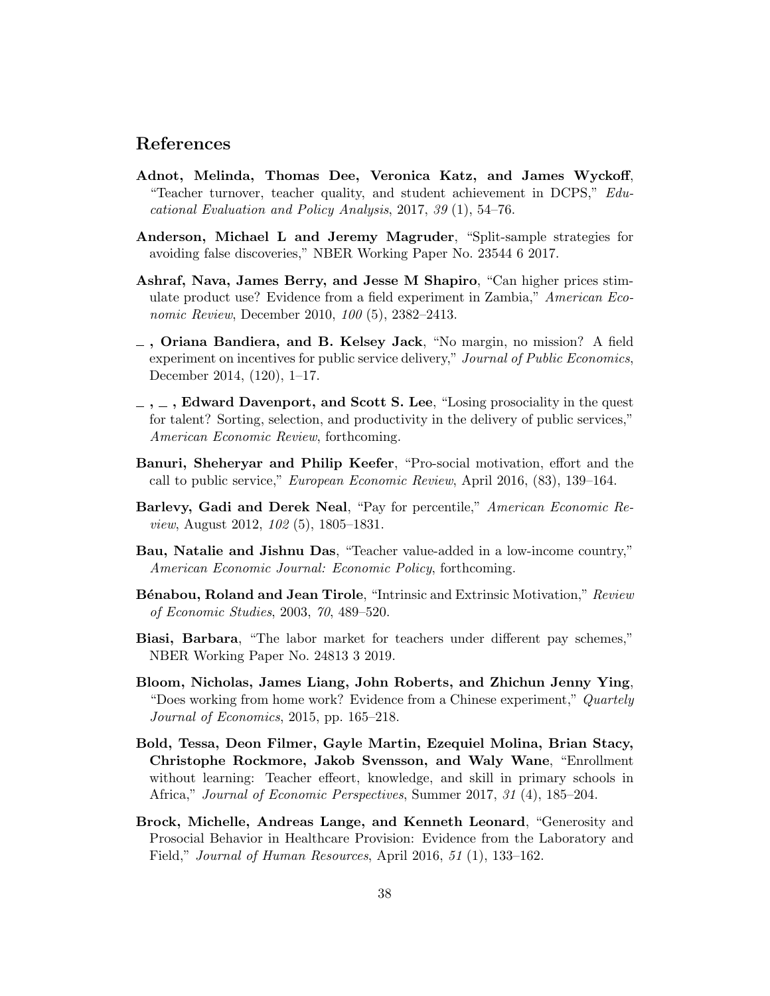### References

- Adnot, Melinda, Thomas Dee, Veronica Katz, and James Wyckoff, "Teacher turnover, teacher quality, and student achievement in DCPS," Educational Evaluation and Policy Analysis, 2017, 39 (1), 54–76.
- Anderson, Michael L and Jeremy Magruder, "Split-sample strategies for avoiding false discoveries," NBER Working Paper No. 23544 6 2017.
- Ashraf, Nava, James Berry, and Jesse M Shapiro, "Can higher prices stimulate product use? Evidence from a field experiment in Zambia," American Economic Review, December 2010, 100 (5), 2382–2413.
- $\overline{\phantom{a}}$ , Oriana Bandiera, and B. Kelsey Jack, "No margin, no mission? A field experiment on incentives for public service delivery," Journal of Public Economics, December 2014, (120), 1–17.
- $\ldots$ , Edward Davenport, and Scott S. Lee, "Losing prosociality in the quest" for talent? Sorting, selection, and productivity in the delivery of public services," American Economic Review, forthcoming.
- Banuri, Sheheryar and Philip Keefer, "Pro-social motivation, effort and the call to public service," European Economic Review, April 2016, (83), 139–164.
- Barlevy, Gadi and Derek Neal, "Pay for percentile," American Economic Review, August 2012, 102 (5), 1805–1831.
- Bau, Natalie and Jishnu Das, "Teacher value-added in a low-income country," American Economic Journal: Economic Policy, forthcoming.
- Bénabou, Roland and Jean Tirole, "Intrinsic and Extrinsic Motivation," Review of Economic Studies, 2003, 70, 489–520.
- Biasi, Barbara, "The labor market for teachers under different pay schemes," NBER Working Paper No. 24813 3 2019.
- Bloom, Nicholas, James Liang, John Roberts, and Zhichun Jenny Ying, "Does working from home work? Evidence from a Chinese experiment," Quartely Journal of Economics, 2015, pp. 165–218.
- Bold, Tessa, Deon Filmer, Gayle Martin, Ezequiel Molina, Brian Stacy, Christophe Rockmore, Jakob Svensson, and Waly Wane, "Enrollment without learning: Teacher effeort, knowledge, and skill in primary schools in Africa," Journal of Economic Perspectives, Summer 2017, 31 (4), 185–204.
- Brock, Michelle, Andreas Lange, and Kenneth Leonard, "Generosity and Prosocial Behavior in Healthcare Provision: Evidence from the Laboratory and Field," *Journal of Human Resources*, April 2016, 51 (1), 133–162.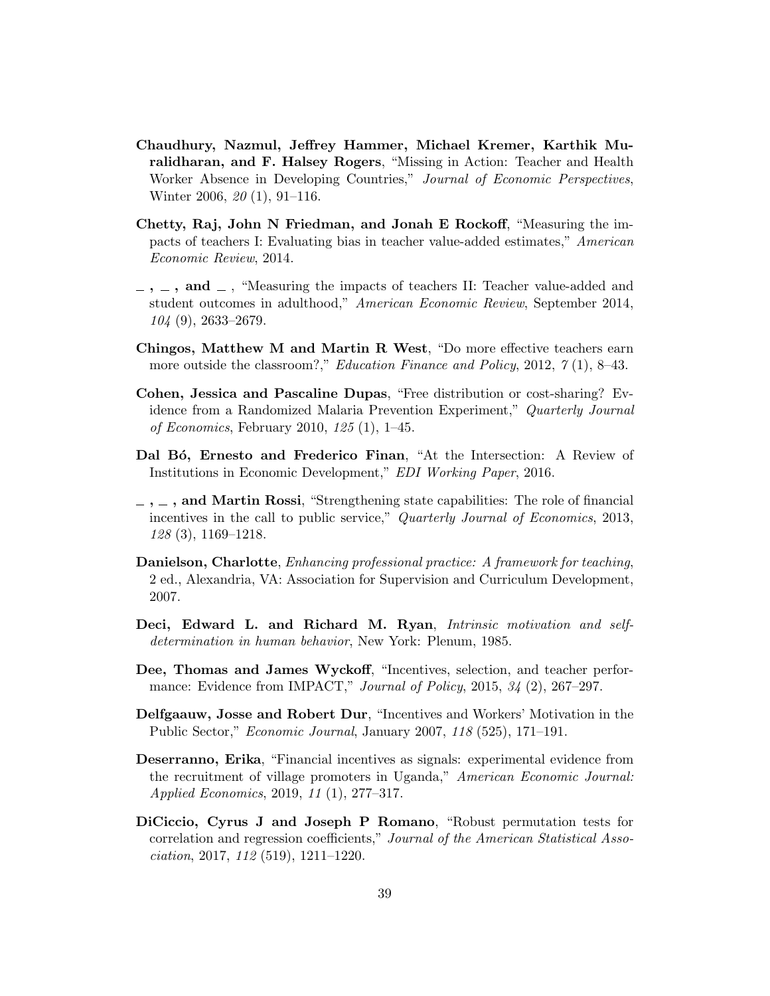- Chaudhury, Nazmul, Jeffrey Hammer, Michael Kremer, Karthik Muralidharan, and F. Halsey Rogers, "Missing in Action: Teacher and Health Worker Absence in Developing Countries," Journal of Economic Perspectives, Winter 2006, 20 (1), 91–116.
- Chetty, Raj, John N Friedman, and Jonah E Rockoff, "Measuring the impacts of teachers I: Evaluating bias in teacher value-added estimates," American Economic Review, 2014.
- $-$ ,  $-$ , and  $-$ , "Measuring the impacts of teachers II: Teacher value-added and student outcomes in adulthood," American Economic Review, September 2014, 104 (9), 2633–2679.
- Chingos, Matthew M and Martin R West, "Do more effective teachers earn more outside the classroom?," *Education Finance and Policy*, 2012, 7(1), 8-43.
- Cohen, Jessica and Pascaline Dupas, "Free distribution or cost-sharing? Evidence from a Randomized Malaria Prevention Experiment," Quarterly Journal of Economics, February 2010, 125 (1), 1–45.
- Dal Bó, Ernesto and Frederico Finan, "At the Intersection: A Review of Institutions in Economic Development," EDI Working Paper, 2016.
- $-$ ,  $-$ , and Martin Rossi, "Strengthening state capabilities: The role of financial incentives in the call to public service," Quarterly Journal of Economics, 2013, 128 (3), 1169–1218.
- Danielson, Charlotte, Enhancing professional practice: A framework for teaching, 2 ed., Alexandria, VA: Association for Supervision and Curriculum Development, 2007.
- Deci, Edward L. and Richard M. Ryan, Intrinsic motivation and selfdetermination in human behavior, New York: Plenum, 1985.
- Dee, Thomas and James Wyckoff, "Incentives, selection, and teacher performance: Evidence from IMPACT," Journal of Policy, 2015,  $34$  (2), 267–297.
- Delfgaauw, Josse and Robert Dur, "Incentives and Workers' Motivation in the Public Sector," Economic Journal, January 2007, 118 (525), 171–191.
- Deserranno, Erika, "Financial incentives as signals: experimental evidence from the recruitment of village promoters in Uganda," American Economic Journal: Applied Economics, 2019, 11 (1), 277–317.
- DiCiccio, Cyrus J and Joseph P Romano, "Robust permutation tests for correlation and regression coefficients," Journal of the American Statistical Association, 2017, 112 (519), 1211–1220.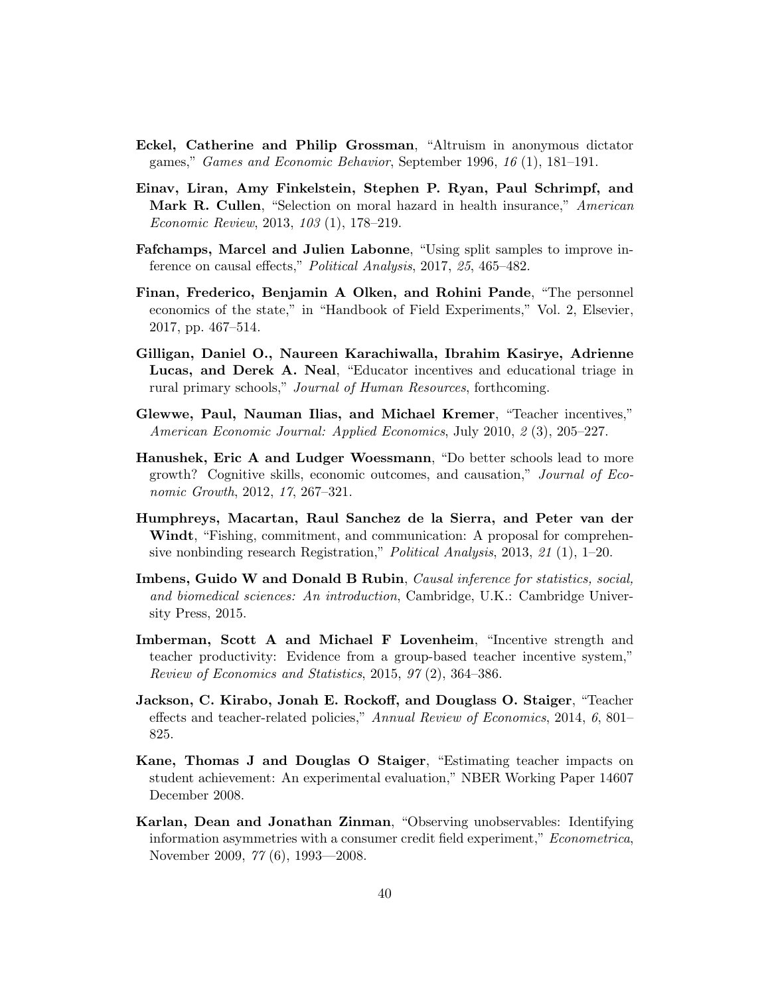- Eckel, Catherine and Philip Grossman, "Altruism in anonymous dictator games," Games and Economic Behavior, September 1996, 16 (1), 181–191.
- Einav, Liran, Amy Finkelstein, Stephen P. Ryan, Paul Schrimpf, and Mark R. Cullen, "Selection on moral hazard in health insurance," American Economic Review, 2013, 103 (1), 178–219.
- Fafchamps, Marcel and Julien Labonne, "Using split samples to improve inference on causal effects," Political Analysis, 2017, 25, 465–482.
- Finan, Frederico, Benjamin A Olken, and Rohini Pande, "The personnel economics of the state," in "Handbook of Field Experiments," Vol. 2, Elsevier, 2017, pp. 467–514.
- Gilligan, Daniel O., Naureen Karachiwalla, Ibrahim Kasirye, Adrienne Lucas, and Derek A. Neal, "Educator incentives and educational triage in rural primary schools," Journal of Human Resources, forthcoming.
- Glewwe, Paul, Nauman Ilias, and Michael Kremer, "Teacher incentives," American Economic Journal: Applied Economics, July 2010, 2 (3), 205–227.
- Hanushek, Eric A and Ludger Woessmann, "Do better schools lead to more growth? Cognitive skills, economic outcomes, and causation," Journal of Economic Growth, 2012, 17, 267–321.
- Humphreys, Macartan, Raul Sanchez de la Sierra, and Peter van der Windt, "Fishing, commitment, and communication: A proposal for comprehensive nonbinding research Registration," Political Analysis, 2013, 21 (1), 1–20.
- Imbens, Guido W and Donald B Rubin, Causal inference for statistics, social, and biomedical sciences: An introduction, Cambridge, U.K.: Cambridge University Press, 2015.
- Imberman, Scott A and Michael F Lovenheim, "Incentive strength and teacher productivity: Evidence from a group-based teacher incentive system," Review of Economics and Statistics, 2015, 97 (2), 364–386.
- Jackson, C. Kirabo, Jonah E. Rockoff, and Douglass O. Staiger, "Teacher effects and teacher-related policies," Annual Review of Economics, 2014, 6, 801– 825.
- Kane, Thomas J and Douglas O Staiger, "Estimating teacher impacts on student achievement: An experimental evaluation," NBER Working Paper 14607 December 2008.
- Karlan, Dean and Jonathan Zinman, "Observing unobservables: Identifying information asymmetries with a consumer credit field experiment," Econometrica, November 2009, 77 (6), 1993—2008.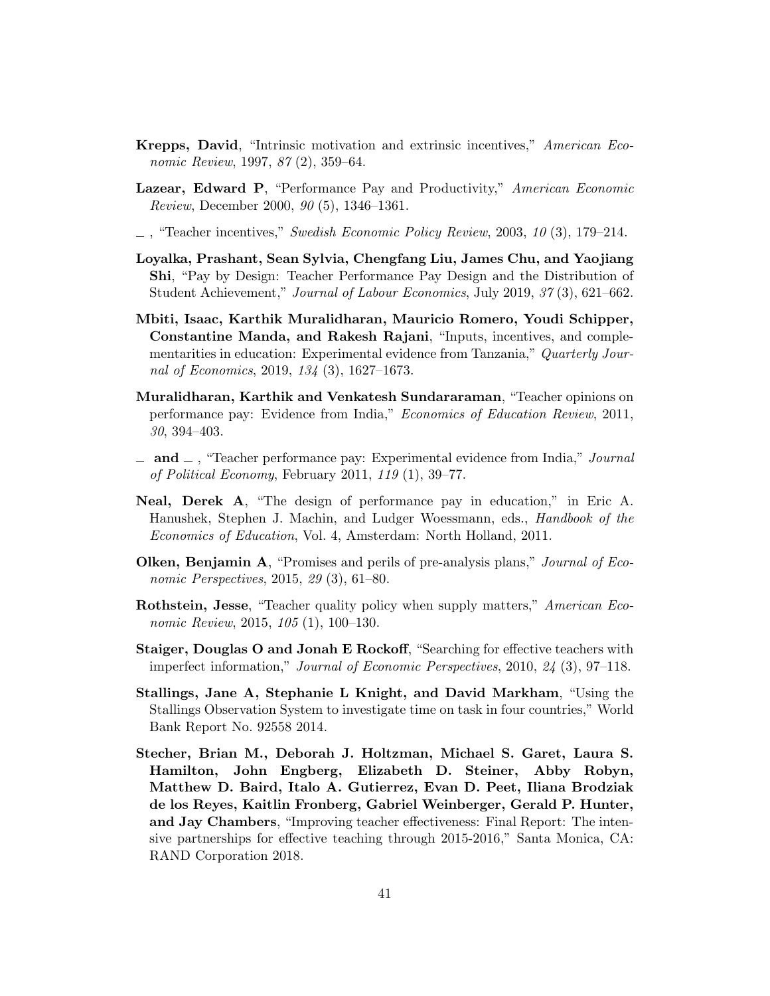- Krepps, David, "Intrinsic motivation and extrinsic incentives," American Economic Review, 1997, 87 (2), 359–64.
- Lazear, Edward P, "Performance Pay and Productivity," American Economic Review, December 2000, 90 (5), 1346–1361.

 $\ldots$ , "Teacher incentives," Swedish Economic Policy Review, 2003, 10 (3), 179–214.

- Loyalka, Prashant, Sean Sylvia, Chengfang Liu, James Chu, and Yaojiang Shi, "Pay by Design: Teacher Performance Pay Design and the Distribution of Student Achievement," Journal of Labour Economics, July 2019, 37 (3), 621–662.
- Mbiti, Isaac, Karthik Muralidharan, Mauricio Romero, Youdi Schipper, Constantine Manda, and Rakesh Rajani, "Inputs, incentives, and complementarities in education: Experimental evidence from Tanzania," Quarterly Journal of Economics, 2019, 134 (3), 1627–1673.
- Muralidharan, Karthik and Venkatesh Sundararaman, "Teacher opinions on performance pay: Evidence from India," Economics of Education Review, 2011, 30, 394–403.
- $\Box$  and  $\Box$ , "Teacher performance pay: Experimental evidence from India," Journal of Political Economy, February 2011, 119 (1), 39–77.
- Neal, Derek A, "The design of performance pay in education," in Eric A. Hanushek, Stephen J. Machin, and Ludger Woessmann, eds., Handbook of the Economics of Education, Vol. 4, Amsterdam: North Holland, 2011.
- **Olken, Benjamin A**, "Promises and perils of pre-analysis plans," *Journal of Eco*nomic Perspectives, 2015, 29 (3), 61–80.
- Rothstein, Jesse, "Teacher quality policy when supply matters," American Economic Review, 2015, 105 (1), 100–130.
- Staiger, Douglas O and Jonah E Rockoff, "Searching for effective teachers with imperfect information," Journal of Economic Perspectives, 2010, 24 (3), 97–118.
- Stallings, Jane A, Stephanie L Knight, and David Markham, "Using the Stallings Observation System to investigate time on task in four countries," World Bank Report No. 92558 2014.
- Stecher, Brian M., Deborah J. Holtzman, Michael S. Garet, Laura S. Hamilton, John Engberg, Elizabeth D. Steiner, Abby Robyn, Matthew D. Baird, Italo A. Gutierrez, Evan D. Peet, Iliana Brodziak de los Reyes, Kaitlin Fronberg, Gabriel Weinberger, Gerald P. Hunter, and Jay Chambers, "Improving teacher effectiveness: Final Report: The intensive partnerships for effective teaching through 2015-2016," Santa Monica, CA: RAND Corporation 2018.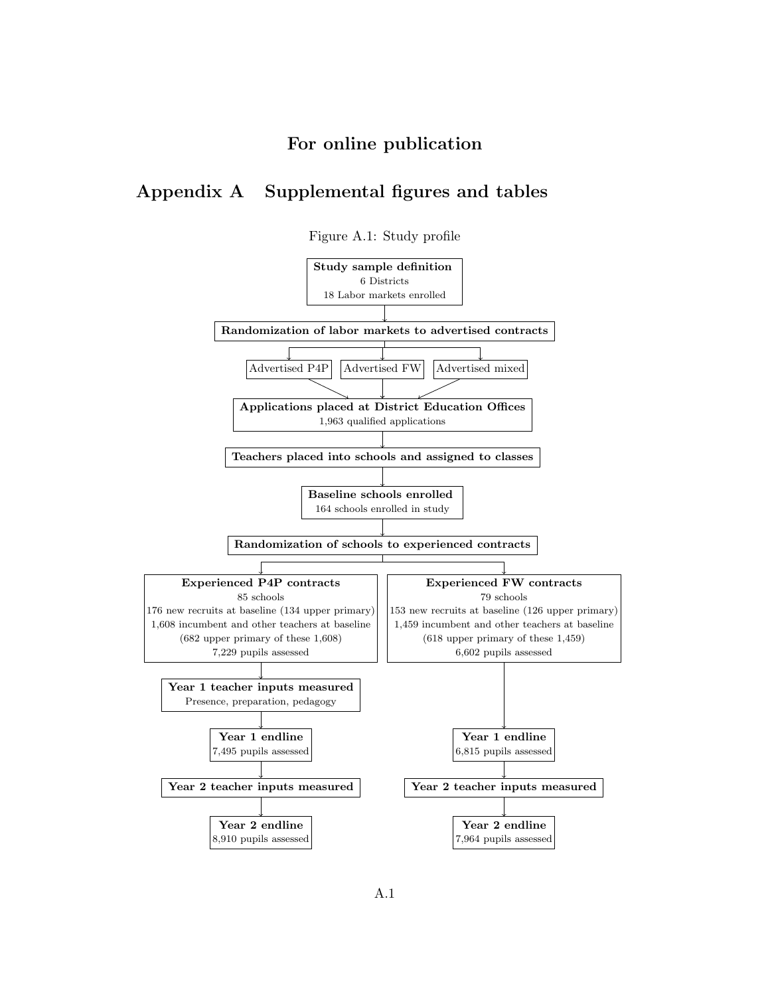# For online publication

# Appendix A Supplemental figures and tables



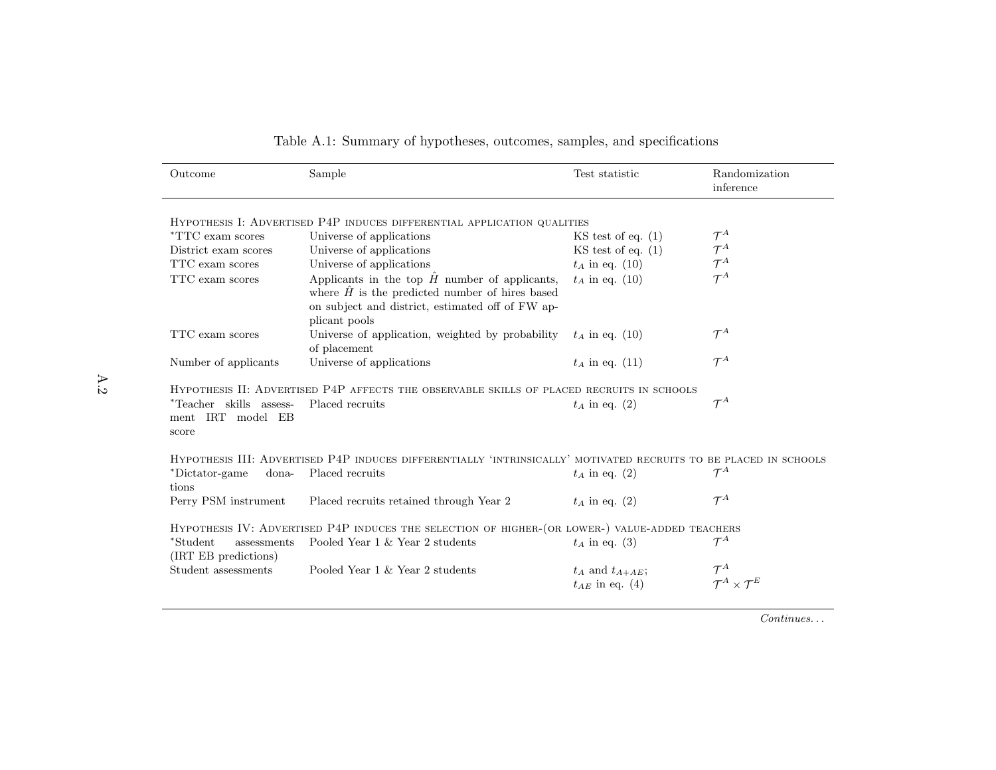| Outcome                                               | Sample                                                                                                                                                                               | Test statistic                                   | Randomization<br>inference           |
|-------------------------------------------------------|--------------------------------------------------------------------------------------------------------------------------------------------------------------------------------------|--------------------------------------------------|--------------------------------------|
|                                                       | HYPOTHESIS I: ADVERTISED P4P INDUCES DIFFERENTIAL APPLICATION QUALITIES                                                                                                              |                                                  |                                      |
| <i>*TTC</i> exam scores                               | Universe of applications                                                                                                                                                             |                                                  | $\mathcal{T}^A$                      |
| District exam scores                                  | Universe of applications                                                                                                                                                             | $KS$ test of eq. $(1)$<br>$KS$ test of eq. $(1)$ | $\mathcal{T}^A$                      |
| TTC exam scores                                       | Universe of applications                                                                                                                                                             | $t_A$ in eq. (10)                                | $\mathcal{T}^A$                      |
| TTC exam scores                                       | Applicants in the top $\hat{H}$ number of applicants,<br>where $\hat{H}$ is the predicted number of hires based<br>on subject and district, estimated off of FW ap-<br>plicant pools | $t_A$ in eq. (10)                                | $\mathcal{T}^A$                      |
| TTC exam scores                                       | Universe of application, weighted by probability<br>of placement                                                                                                                     | $t_A$ in eq. (10)                                | $\mathcal{T}^A$                      |
| Number of applicants                                  | Universe of applications                                                                                                                                                             | $t_A$ in eq. (11)                                | $\mathcal{T}^A$                      |
|                                                       | HYPOTHESIS II: ADVERTISED P4P AFFECTS THE OBSERVABLE SKILLS OF PLACED RECRUITS IN SCHOOLS                                                                                            |                                                  |                                      |
| *Teacher skills assess-<br>ment IRT model EB<br>score | Placed recruits                                                                                                                                                                      | $t_A$ in eq. (2)                                 | $\mathcal{T}^A$                      |
|                                                       | HYPOTHESIS III: ADVERTISED P4P INDUCES DIFFERENTIALLY 'INTRINSICALLY' MOTIVATED RECRUITS TO BE PLACED IN SCHOOLS                                                                     |                                                  |                                      |
| *Dictator-game<br>dona-<br>tions                      | Placed recruits                                                                                                                                                                      | $t_A$ in eq. (2)                                 | $\mathcal{T}^A$                      |
| Perry PSM instrument                                  | Placed recruits retained through Year 2                                                                                                                                              | $t_A$ in eq. (2)                                 | $\mathcal{T}^A$                      |
|                                                       | HYPOTHESIS IV: ADVERTISED P4P INDUCES THE SELECTION OF HIGHER-(OR LOWER-) VALUE-ADDED TEACHERS                                                                                       |                                                  |                                      |
| *Student<br>assessments<br>(IRT EB predictions)       | Pooled Year 1 & Year 2 students                                                                                                                                                      | $t_A$ in eq. (3)                                 | $\mathcal{T}^A$                      |
| Student assessments                                   | Pooled Year $1 \&$ Year $2$ students                                                                                                                                                 | $t_A$ and $t_{A+AE}$ ;<br>$t_{AE}$ in eq. (4)    | $\mathcal{T}^A \times \mathcal{T}^E$ |

|  |  |  |  | Table A.1: Summary of hypotheses, outcomes, samples, and specifications |
|--|--|--|--|-------------------------------------------------------------------------|
|  |  |  |  |                                                                         |

Continues. . .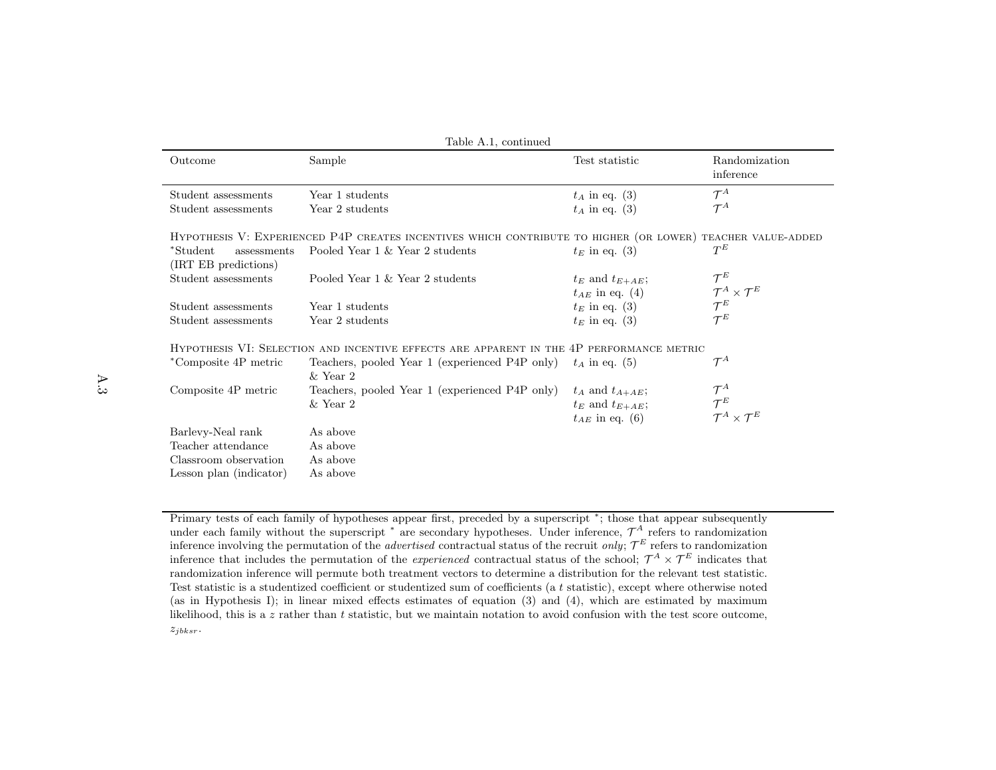| Table A.1, continued                            |                                                                                                            |                                               |                                                         |  |  |  |
|-------------------------------------------------|------------------------------------------------------------------------------------------------------------|-----------------------------------------------|---------------------------------------------------------|--|--|--|
| Outcome                                         | Sample                                                                                                     | Test statistic                                | Randomization<br>inference                              |  |  |  |
| Student assessments                             | Year 1 students                                                                                            | $t_A$ in eq. (3)                              | $\mathcal{T}^A$                                         |  |  |  |
| Student assessments                             | Year 2 students                                                                                            | $t_A$ in eq. (3)                              | $\mathcal{T}^A$                                         |  |  |  |
|                                                 | HYPOTHESIS V: EXPERIENCED P4P CREATES INCENTIVES WHICH CONTRIBUTE TO HIGHER (OR LOWER) TEACHER VALUE-ADDED |                                               |                                                         |  |  |  |
| *Student<br>assessments<br>(IRT EB predictions) | Pooled Year 1 & Year 2 students                                                                            | $t_E$ in eq. (3)                              | $T^{E}$                                                 |  |  |  |
| Student assessments                             | Pooled Year 1 & Year 2 students                                                                            | $t_E$ and $t_{E+AE}$ ;<br>$t_{AE}$ in eq. (4) | $\mathcal{T}^E$<br>$\mathcal{T}^A \times \mathcal{T}^E$ |  |  |  |
| Student assessments                             | Year 1 students                                                                                            | $t_E$ in eq. (3)                              | $\mathcal{T}^E$                                         |  |  |  |
| Student assessments                             | Year 2 students                                                                                            | $t_E$ in eq. (3)                              | $\mathcal{T}^E$                                         |  |  |  |
|                                                 | HYPOTHESIS VI: SELECTION AND INCENTIVE EFFECTS ARE APPARENT IN THE 4P PERFORMANCE METRIC                   |                                               |                                                         |  |  |  |
| *Composite 4P metric                            | Teachers, pooled Year 1 (experienced P4P only)<br>$&$ Year 2                                               | $t_A$ in eq. (5)                              | $\mathcal{T}^A$                                         |  |  |  |
| Composite 4P metric                             | Teachers, pooled Year 1 (experienced P4P only)                                                             | $t_A$ and $t_{A+AE}$ ;                        | $\mathcal{T}^A$                                         |  |  |  |
|                                                 | $&$ Year 2                                                                                                 | $t_E$ and $t_{E+AE}$ ;<br>$t_{AE}$ in eq. (6) | $\mathcal{T}^E$<br>$\mathcal{T}^A \times \mathcal{T}^E$ |  |  |  |
| Barlevy-Neal rank                               | As above                                                                                                   |                                               |                                                         |  |  |  |
| Teacher attendance                              | As above                                                                                                   |                                               |                                                         |  |  |  |
| Classroom observation                           | As above                                                                                                   |                                               |                                                         |  |  |  |
| Lesson plan (indicator)                         | As above                                                                                                   |                                               |                                                         |  |  |  |

Primary tests of each family of hypotheses appear first, preceded by <sup>a</sup> superscript <sup>∗</sup>; those that appear subsequentlyunder each family without the superscript  $*$  are secondary hypotheses. Under inference,  $\mathcal{T}^A$  refers to randomization inference involving the permutation of the *advertised* contractual status of the recruit *only*;  $\mathcal{T}^E$  refers to randomization inference that includes the permutation of the experienced contractual status of the school;  $\mathcal{T}^A \times \mathcal{T}^E$  indicates that randomization inference will permute both treatment vectors to determine <sup>a</sup> distribution for the relevant test statistic.Test statistic is a studentized coefficient or studentized sum of coefficients (a  $t$  statistic), except where otherwise noted (as in Hypothesis I); in linear mixed effects estimates of equation (3) and (4), which are estimated by maximumlikelihood, this is a z rather than t statistic, but we maintain notation to avoid confusion with the test score outcome,  $z_{jbksr}$ .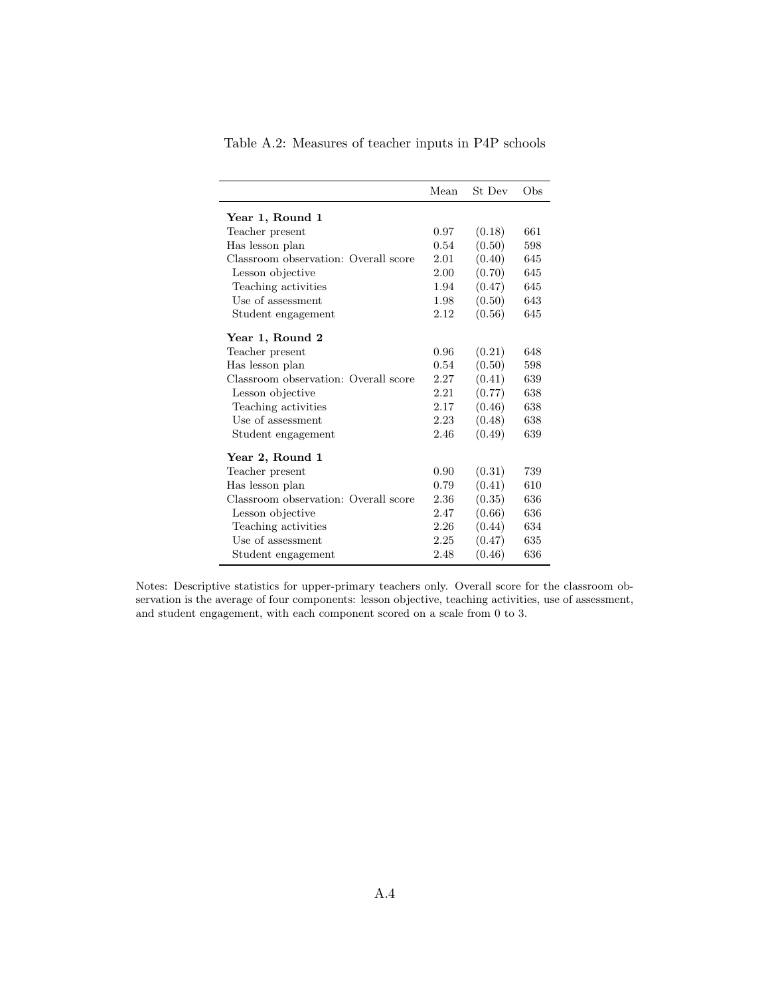|                                      | Mean | St Dev | Obs |
|--------------------------------------|------|--------|-----|
| Year 1, Round 1                      |      |        |     |
| Teacher present                      | 0.97 | (0.18) | 661 |
| Has lesson plan                      | 0.54 | (0.50) | 598 |
| Classroom observation: Overall score | 2.01 | (0.40) | 645 |
| Lesson objective                     | 2.00 | (0.70) | 645 |
| Teaching activities                  | 1.94 | (0.47) | 645 |
| Use of assessment                    | 1.98 | (0.50) | 643 |
| Student engagement                   | 2.12 | (0.56) | 645 |
|                                      |      |        |     |
| Year 1, Round 2                      |      |        |     |
| Teacher present                      | 0.96 | (0.21) | 648 |
| Has lesson plan                      | 0.54 | (0.50) | 598 |
| Classroom observation: Overall score | 2.27 | (0.41) | 639 |
| Lesson objective                     | 2.21 | (0.77) | 638 |
| Teaching activities                  | 2.17 | (0.46) | 638 |
| Use of assessment                    | 2.23 | (0.48) | 638 |
| Student engagement                   | 2.46 | (0.49) | 639 |
|                                      |      |        |     |
| Year 2, Round 1                      |      |        |     |
| Teacher present                      | 0.90 | (0.31) | 739 |
| Has lesson plan                      | 0.79 | (0.41) | 610 |
| Classroom observation: Overall score | 2.36 | (0.35) | 636 |
| Lesson objective                     | 2.47 | (0.66) | 636 |
| Teaching activities                  | 2.26 | (0.44) | 634 |
| Use of assessment                    | 2.25 | (0.47) | 635 |
| Student engagement                   | 2.48 | (0.46) | 636 |
|                                      |      |        |     |

Table A.2: Measures of teacher inputs in P4P schools

Notes: Descriptive statistics for upper-primary teachers only. Overall score for the classroom observation is the average of four components: lesson objective, teaching activities, use of assessment, and student engagement, with each component scored on a scale from 0 to 3.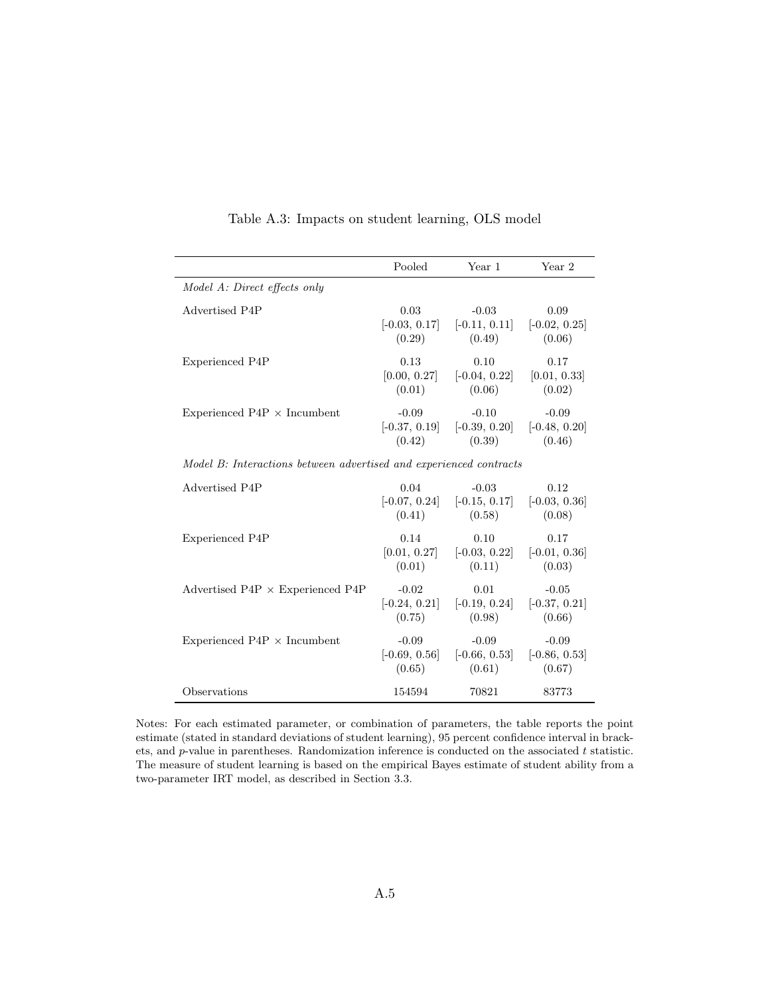|                                                                    | Pooled                               | Year 1                                                               | Year 2                               |  |
|--------------------------------------------------------------------|--------------------------------------|----------------------------------------------------------------------|--------------------------------------|--|
| Model A: Direct effects only                                       |                                      |                                                                      |                                      |  |
| Advertised P4P                                                     | 0.03<br>(0.29)                       | $-0.03$<br>$[-0.03, 0.17]$ $[-0.11, 0.11]$ $[-0.02, 0.25]$<br>(0.49) | 0.09<br>(0.06)                       |  |
| <b>Experienced P4P</b>                                             | 0.13<br>(0.01)                       | 0.10<br>$[0.00, 0.27]$ $[-0.04, 0.22]$<br>(0.06)                     | 0.17<br>[0.01, 0.33]<br>(0.02)       |  |
| Experienced $P4P \times Incumbent$                                 | $-0.09$<br>(0.42)                    | $-0.10$<br>$[-0.37, 0.19]$ $[-0.39, 0.20]$<br>(0.39)                 | $-0.09$<br>$[-0.48, 0.20]$<br>(0.46) |  |
| Model B: Interactions between advertised and experienced contracts |                                      |                                                                      |                                      |  |
| Advertised P4P                                                     | 0.04<br>(0.41)                       | $-0.03$<br>$[-0.07, 0.24]$ $[-0.15, 0.17]$ $[-0.03, 0.36]$<br>(0.58) | 0.12<br>(0.08)                       |  |
| <b>Experienced P4P</b>                                             | 0.14<br>[0.01, 0.27]<br>(0.01)       | 0.10<br>$[-0.03, 0.22]$<br>(0.11)                                    | 0.17<br>$[-0.01, 0.36]$<br>(0.03)    |  |
| Advertised P4P $\times$ Experienced P4P                            | $-0.02$<br>$[-0.24, 0.21]$<br>(0.75) | 0.01<br>$[-0.19, 0.24]$ $[-0.37, 0.21]$<br>(0.98)                    | $-0.05$<br>(0.66)                    |  |
| Experienced $P4P \times Incumbent$                                 | $-0.09$<br>(0.65)                    | $-0.09$<br>$[-0.69, 0.56]$ $[-0.66, 0.53]$ $[-0.86, 0.53]$<br>(0.61) | $-0.09$<br>(0.67)                    |  |
| Observations                                                       | 154594                               | 70821                                                                | 83773                                |  |

Table A.3: Impacts on student learning, OLS model

Notes: For each estimated parameter, or combination of parameters, the table reports the point estimate (stated in standard deviations of student learning), 95 percent confidence interval in brackets, and  $p$ -value in parentheses. Randomization inference is conducted on the associated  $t$  statistic. The measure of student learning is based on the empirical Bayes estimate of student ability from a two-parameter IRT model, as described in Section 3.3.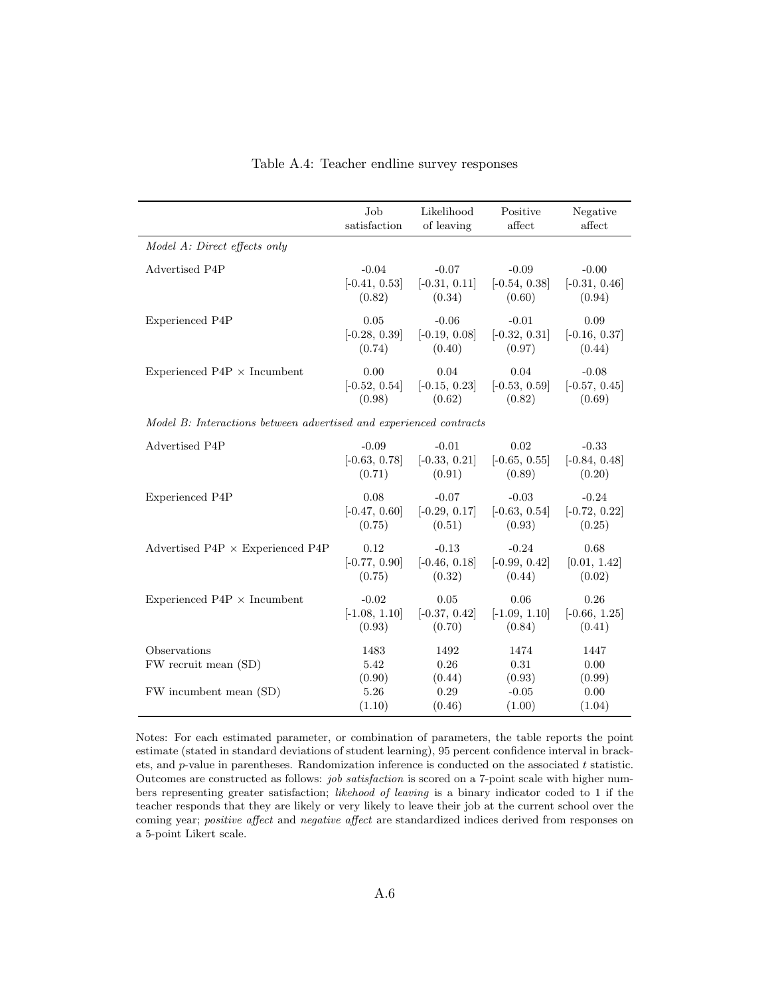|                                                                    | Job                    | Likelihood             | Positive               | Negative               |  |
|--------------------------------------------------------------------|------------------------|------------------------|------------------------|------------------------|--|
|                                                                    | satisfaction           | of leaving             | affect                 | affect                 |  |
| Model A: Direct effects only                                       |                        |                        |                        |                        |  |
| Advertised P4P                                                     | $-0.04$                | $-0.07$                | $-0.09$                | $-0.00$                |  |
|                                                                    | $[-0.41, 0.53]$        | $[-0.31, 0.11]$        | $[-0.54, 0.38]$        | $[-0.31, 0.46]$        |  |
|                                                                    | (0.82)                 | (0.34)                 | (0.60)                 | (0.94)                 |  |
| Experienced P4P                                                    | 0.05                   | $-0.06$                | $-0.01$                | 0.09                   |  |
|                                                                    | $[-0.28, 0.39]$        | $[-0.19, 0.08]$        | $[-0.32, 0.31]$        | $[-0.16, 0.37]$        |  |
|                                                                    | (0.74)                 | (0.40)                 | (0.97)                 | (0.44)                 |  |
| Experienced $P4P \times Incumbent$                                 | 0.00                   | 0.04                   | 0.04                   | $-0.08$                |  |
|                                                                    | $[-0.52, 0.54]$        | $[-0.15, 0.23]$        | $[-0.53, 0.59]$        | $[-0.57, 0.45]$        |  |
|                                                                    | (0.98)                 | (0.62)                 | (0.82)                 | (0.69)                 |  |
| Model B: Interactions between advertised and experienced contracts |                        |                        |                        |                        |  |
| Advertised P4P                                                     | $-0.09$                | $-0.01$                | $0.02\,$               | $-0.33$                |  |
|                                                                    | $[-0.63, 0.78]$        | $[-0.33, 0.21]$        | $[-0.65, 0.55]$        | $[-0.84, 0.48]$        |  |
|                                                                    | (0.71)                 | (0.91)                 | (0.89)                 | (0.20)                 |  |
| <b>Experienced P4P</b>                                             | 0.08                   | $-0.07$                | $-0.03$                | $-0.24$                |  |
|                                                                    | $[-0.47, 0.60]$        | $[-0.29, 0.17]$        | $[-0.63, 0.54]$        | $[-0.72, 0.22]$        |  |
|                                                                    | (0.75)                 | (0.51)                 | (0.93)                 | (0.25)                 |  |
| Advertised P4P $\times$ Experienced P4P                            | 0.12                   | $-0.13$                | $-0.24$                | 0.68                   |  |
|                                                                    | $[-0.77, 0.90]$        | $[-0.46, 0.18]$        | $[-0.99, 0.42]$        | [0.01, 1.42]           |  |
|                                                                    | (0.75)                 | (0.32)                 | (0.44)                 | (0.02)                 |  |
| Experienced $P4P \times Incumbent$                                 | $-0.02$                | 0.05                   | 0.06                   | 0.26                   |  |
|                                                                    | $[-1.08, 1.10]$        | $[-0.37, 0.42]$        | $[-1.09, 1.10]$        | $[-0.66, 1.25]$        |  |
|                                                                    | (0.93)                 | (0.70)                 | (0.84)                 | (0.41)                 |  |
| Observations<br>FW recruit mean (SD)                               | 1483<br>5.42<br>(0.90) | 1492<br>0.26<br>(0.44) | 1474<br>0.31<br>(0.93) | 1447<br>0.00<br>(0.99) |  |
| FW incumbent mean (SD)                                             | 5.26                   | 0.29                   | $-0.05$                | 0.00                   |  |
|                                                                    | (1.10)                 | (0.46)                 | (1.00)                 | (1.04)                 |  |

Table A.4: Teacher endline survey responses

Notes: For each estimated parameter, or combination of parameters, the table reports the point estimate (stated in standard deviations of student learning), 95 percent confidence interval in brackets, and  $p$ -value in parentheses. Randomization inference is conducted on the associated  $t$  statistic. Outcomes are constructed as follows: job satisfaction is scored on a 7-point scale with higher numbers representing greater satisfaction; likehood of leaving is a binary indicator coded to 1 if the teacher responds that they are likely or very likely to leave their job at the current school over the coming year; positive affect and negative affect are standardized indices derived from responses on a 5-point Likert scale.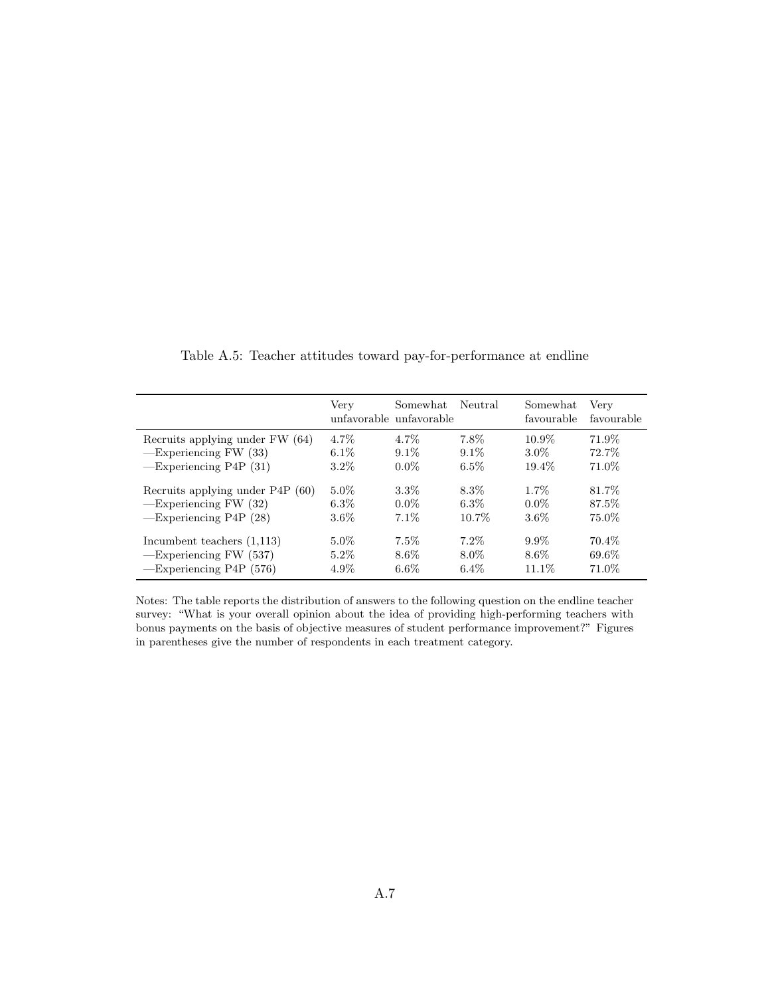|                                                                                           | Very                          | Somewhat<br>unfavorable unfavorable | Neutral                       | Somewhat<br>favourable    | Very<br>favourable       |
|-------------------------------------------------------------------------------------------|-------------------------------|-------------------------------------|-------------------------------|---------------------------|--------------------------|
| Recruits applying under FW (64)                                                           | $4.7\%$                       | 4.7%                                | 7.8%                          | $10.9\%$                  | 71.9%                    |
| $-$ Experiencing FW $(33)$<br>$-$ Experiencing P4P $(31)$                                 | $6.1\%$<br>$3.2\%$            | $9.1\%$<br>$0.0\%$                  | $9.1\%$<br>$6.5\%$            | $3.0\%$<br>19.4%          | 72.7%<br>71.0%           |
|                                                                                           |                               |                                     |                               |                           |                          |
| Recruits applying under P4P (60)<br>$-$ Experiencing FW $(32)$                            | $5.0\%$<br>$6.3\%$            | $3.3\%$<br>$0.0\%$                  | 8.3%<br>$6.3\%$               | $1.7\%$<br>$0.0\%$        | 81.7%<br>87.5%           |
| $-$ Experiencing P4P $(28)$                                                               | $3.6\%$                       | $7.1\%$                             | $10.7\%$                      | $3.6\%$                   | 75.0%                    |
| Incumbent teachers $(1,113)$<br>$-$ Experiencing FW $(537)$<br>$-$ Experiencing P4P (576) | $5.0\%$<br>$5.2\%$<br>$4.9\%$ | $7.5\%$<br>$8.6\%$<br>$6.6\%$       | $7.2\%$<br>$8.0\%$<br>$6.4\%$ | $9.9\%$<br>8.6%<br>11.1\% | 70.4\%<br>69.6%<br>71.0% |

Table A.5: Teacher attitudes toward pay-for-performance at endline

Notes: The table reports the distribution of answers to the following question on the endline teacher survey: "What is your overall opinion about the idea of providing high-performing teachers with bonus payments on the basis of objective measures of student performance improvement?" Figures in parentheses give the number of respondents in each treatment category.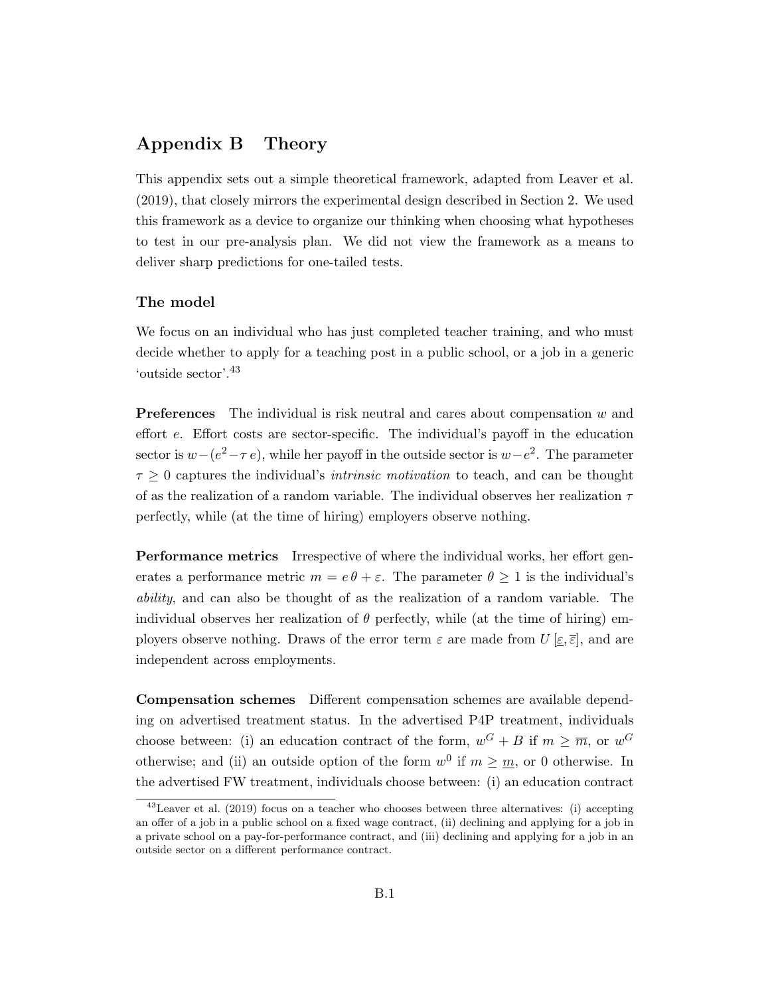# Appendix B Theory

This appendix sets out a simple theoretical framework, adapted from Leaver et al. (2019), that closely mirrors the experimental design described in Section 2. We used this framework as a device to organize our thinking when choosing what hypotheses to test in our pre-analysis plan. We did not view the framework as a means to deliver sharp predictions for one-tailed tests.

#### The model

We focus on an individual who has just completed teacher training, and who must decide whether to apply for a teaching post in a public school, or a job in a generic 'outside sector'.<sup>43</sup>

**Preferences** The individual is risk neutral and cares about compensation  $w$  and effort e. Effort costs are sector-specific. The individual's payoff in the education sector is  $w-(e^2-\tau e)$ , while her payoff in the outside sector is  $w-e^2$ . The parameter  $\tau \geq 0$  captures the individual's *intrinsic motivation* to teach, and can be thought of as the realization of a random variable. The individual observes her realization  $\tau$ perfectly, while (at the time of hiring) employers observe nothing.

**Performance metrics** Irrespective of where the individual works, her effort generates a performance metric  $m = e \theta + \varepsilon$ . The parameter  $\theta \ge 1$  is the individual's ability, and can also be thought of as the realization of a random variable. The individual observes her realization of  $\theta$  perfectly, while (at the time of hiring) employers observe nothing. Draws of the error term  $\varepsilon$  are made from  $U[\varepsilon,\overline{\varepsilon}]$ , and are independent across employments.

Compensation schemes Different compensation schemes are available depending on advertised treatment status. In the advertised P4P treatment, individuals choose between: (i) an education contract of the form,  $w^G + B$  if  $m \geq \overline{m}$ , or  $w^G$ otherwise; and (ii) an outside option of the form  $w^0$  if  $m \geq m$ , or 0 otherwise. In the advertised FW treatment, individuals choose between: (i) an education contract

<sup>43</sup>Leaver et al. (2019) focus on a teacher who chooses between three alternatives: (i) accepting an offer of a job in a public school on a fixed wage contract, (ii) declining and applying for a job in a private school on a pay-for-performance contract, and (iii) declining and applying for a job in an outside sector on a different performance contract.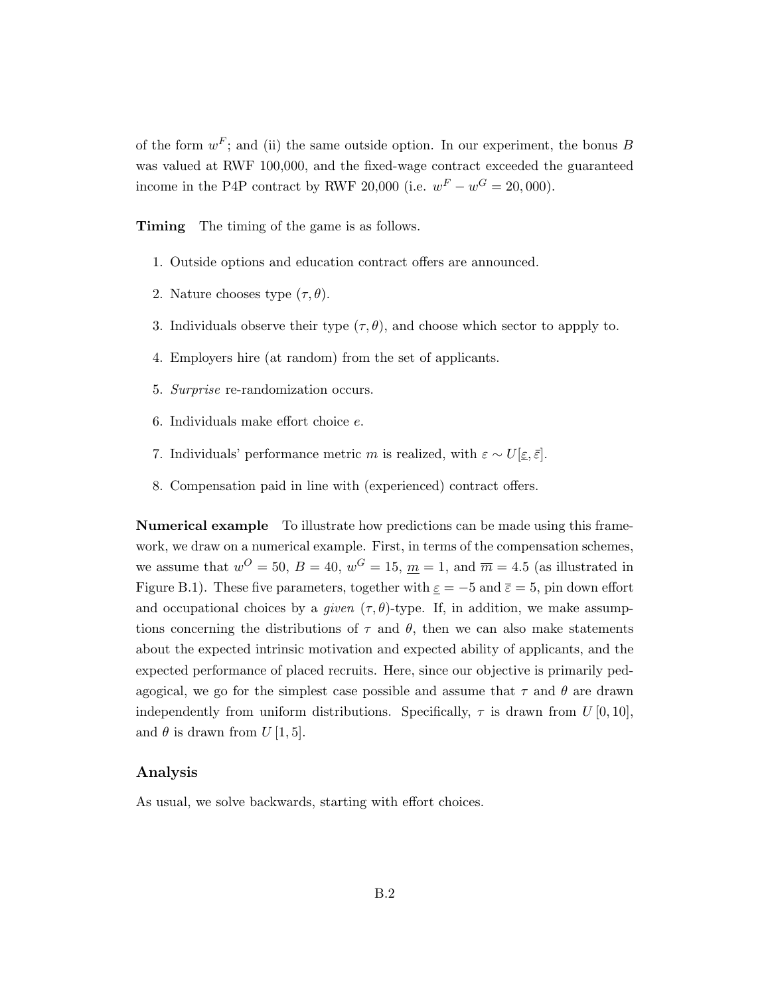of the form  $w^F$ ; and (ii) the same outside option. In our experiment, the bonus B was valued at RWF 100,000, and the fixed-wage contract exceeded the guaranteed income in the P4P contract by RWF 20,000 (i.e.  $w^F - w^G = 20,000$ ).

Timing The timing of the game is as follows.

- 1. Outside options and education contract offers are announced.
- 2. Nature chooses type  $(\tau, \theta)$ .
- 3. Individuals observe their type  $(\tau, \theta)$ , and choose which sector to appply to.
- 4. Employers hire (at random) from the set of applicants.
- 5. Surprise re-randomization occurs.
- 6. Individuals make effort choice e.
- 7. Individuals' performance metric m is realized, with  $\varepsilon \sim U[\underline{\varepsilon}, \overline{\varepsilon}]$ .
- 8. Compensation paid in line with (experienced) contract offers.

Numerical example To illustrate how predictions can be made using this framework, we draw on a numerical example. First, in terms of the compensation schemes, we assume that  $w^O = 50$ ,  $B = 40$ ,  $w^G = 15$ ,  $m = 1$ , and  $\overline{m} = 4.5$  (as illustrated in Figure B.1). These five parameters, together with  $\underline{\varepsilon} = -5$  and  $\overline{\varepsilon} = 5$ , pin down effort and occupational choices by a given  $(\tau, \theta)$ -type. If, in addition, we make assumptions concerning the distributions of  $\tau$  and  $\theta$ , then we can also make statements about the expected intrinsic motivation and expected ability of applicants, and the expected performance of placed recruits. Here, since our objective is primarily pedagogical, we go for the simplest case possible and assume that  $\tau$  and  $\theta$  are drawn independently from uniform distributions. Specifically,  $\tau$  is drawn from  $U[0, 10]$ , and  $\theta$  is drawn from  $U$  [1, 5].

#### Analysis

As usual, we solve backwards, starting with effort choices.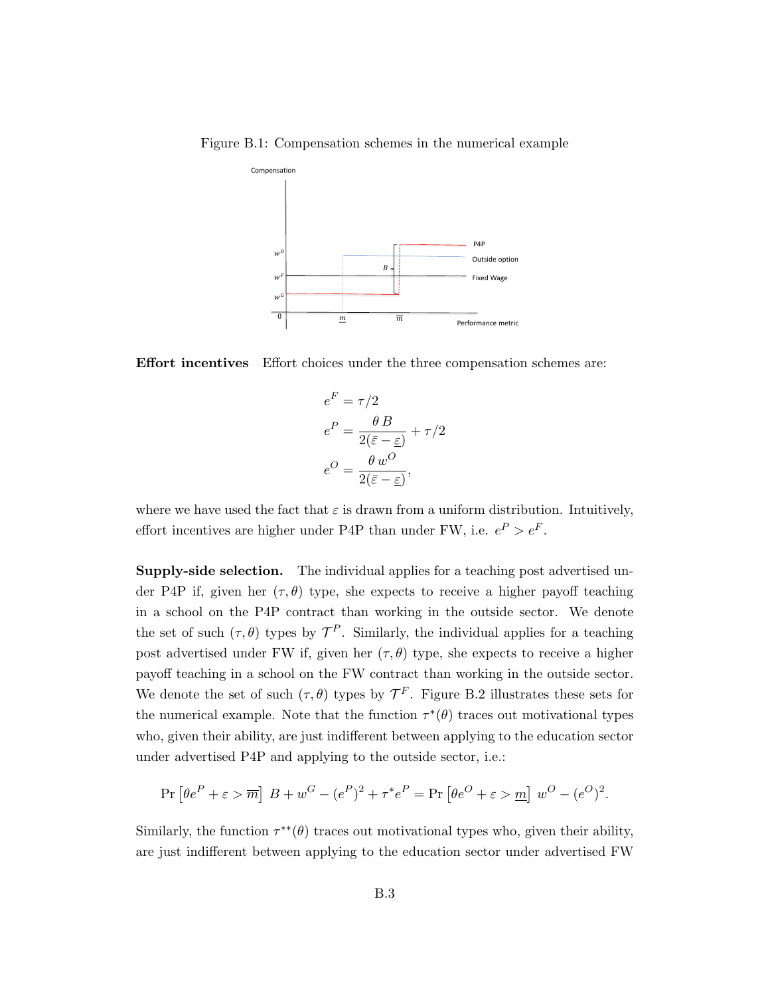

Figure B.1: Compensation schemes in the numerical example

Effort incentives Effort choices under the three compensation schemes are:

$$
e^{F} = \tau/2
$$
  
\n
$$
e^{P} = \frac{\theta B}{2(\bar{\varepsilon} - \underline{\varepsilon})} + \tau/2
$$
  
\n
$$
e^{O} = \frac{\theta w^{O}}{2(\bar{\varepsilon} - \underline{\varepsilon})},
$$

where we have used the fact that  $\varepsilon$  is drawn from a uniform distribution. Intuitively, effort incentives are higher under P4P than under FW, i.e.  $e^P > e^F$ .

Supply-side selection. The individual applies for a teaching post advertised under P4P if, given her  $(\tau, \theta)$  type, she expects to receive a higher payoff teaching in a school on the P4P contract than working in the outside sector. We denote the set of such  $(\tau, \theta)$  types by  $\mathcal{T}^P$ . Similarly, the individual applies for a teaching post advertised under FW if, given her  $(\tau, \theta)$  type, she expects to receive a higher payoff teaching in a school on the FW contract than working in the outside sector. We denote the set of such  $(\tau, \theta)$  types by  $\mathcal{T}^F$ . Figure B.2 illustrates these sets for the numerical example. Note that the function  $\tau^*(\theta)$  traces out motivational types who, given their ability, are just indifferent between applying to the education sector under advertised P4P and applying to the outside sector, i.e.:

$$
\Pr\left[\theta e^P + \varepsilon > \overline{m}\right] B + w^G - (e^P)^2 + \tau^* e^P = \Pr\left[\theta e^O + \varepsilon > \underline{m}\right] w^O - (e^O)^2.
$$

Similarly, the function  $\tau^{**}(\theta)$  traces out motivational types who, given their ability, are just indifferent between applying to the education sector under advertised FW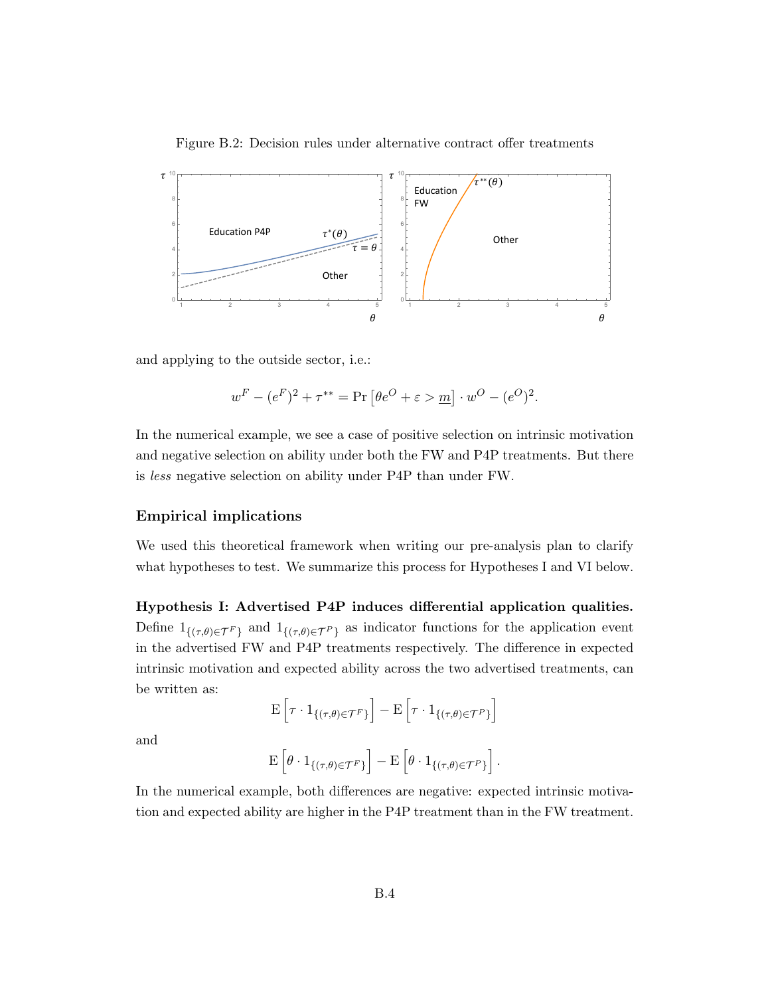

Figure B.2: Decision rules under alternative contract offer treatments

and applying to the outside sector, i.e.:

$$
w^F-(e^F)^2+\tau^{**}=\Pr\left[\theta e^O+\varepsilon >\underline{m}\right]\cdot w^O-(e^O)^2.
$$

In the numerical example, we see a case of positive selection on intrinsic motivation and negative selection on ability under both the FW and P4P treatments. But there is less negative selection on ability under P4P than under FW.

#### Empirical implications

We used this theoretical framework when writing our pre-analysis plan to clarify what hypotheses to test. We summarize this process for Hypotheses I and VI below.

Hypothesis I: Advertised P4P induces differential application qualities. Define  $1_{\{(\tau,\theta)\in\mathcal{T}^F\}}$  and  $1_{\{(\tau,\theta)\in\mathcal{T}^P\}}$  as indicator functions for the application event in the advertised FW and P4P treatments respectively. The difference in expected intrinsic motivation and expected ability across the two advertised treatments, can be written as:

$$
\mathbf{E}\left[\tau \cdot \mathbf{1}_{\{(\tau,\theta) \in \mathcal{T}^F\}}\right] - \mathbf{E}\left[\tau \cdot \mathbf{1}_{\{(\tau,\theta) \in \mathcal{T}^P\}}\right]
$$

and

$$
\mathbf{E}\left[\theta\cdot\mathbf{1}_{\{(\tau,\theta)\in\mathcal{T}^F\}}\right]-\mathbf{E}\left[\theta\cdot\mathbf{1}_{\{(\tau,\theta)\in\mathcal{T}^P\}}\right].
$$

In the numerical example, both differences are negative: expected intrinsic motivation and expected ability are higher in the P4P treatment than in the FW treatment.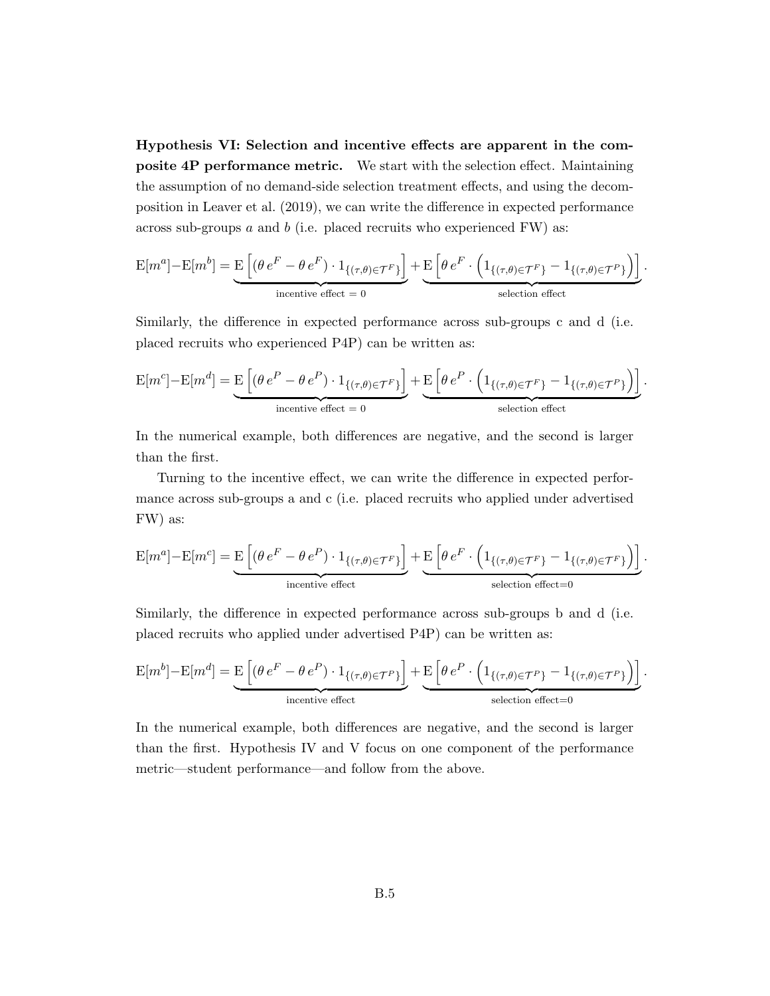Hypothesis VI: Selection and incentive effects are apparent in the composite 4P performance metric. We start with the selection effect. Maintaining the assumption of no demand-side selection treatment effects, and using the decomposition in Leaver et al. (2019), we can write the difference in expected performance across sub-groups  $a$  and  $b$  (i.e. placed recruits who experienced FW) as:

$$
\mathcal{E}[m^a] - \mathcal{E}[m^b] = \underbrace{\mathcal{E}\left[(\theta e^F - \theta e^F) \cdot 1_{\{(\tau,\theta) \in \mathcal{T}^F\}}\right]}_{\text{incentive effect}} + \underbrace{\mathcal{E}\left[\theta e^F \cdot \left(1_{\{(\tau,\theta) \in \mathcal{T}^F\}} - 1_{\{(\tau,\theta) \in \mathcal{T}^P\}}\right)\right]}_{\text{selection effect}}.
$$

Similarly, the difference in expected performance across sub-groups c and d (i.e. placed recruits who experienced P4P) can be written as:

$$
\mathbf{E}[m^c] - \mathbf{E}[m^d] = \underbrace{\mathbf{E}\left[ (\theta e^P - \theta e^P) \cdot 1_{\{(\tau,\theta) \in \mathcal{T}^F\}}\right]}_{\text{incentive effect}} + \underbrace{\mathbf{E}\left[ \theta e^P \cdot \left(1_{\{(\tau,\theta) \in \mathcal{T}^F\}} - 1_{\{(\tau,\theta) \in \mathcal{T}^P\}}\right)\right]}_{\text{selection effect}}.
$$

In the numerical example, both differences are negative, and the second is larger than the first.

Turning to the incentive effect, we can write the difference in expected performance across sub-groups a and c (i.e. placed recruits who applied under advertised FW) as:

$$
\mathcal{E}[m^a] - \mathcal{E}[m^c] = \underbrace{\mathcal{E}\left[(\theta e^F - \theta e^P) \cdot 1_{\{(\tau,\theta) \in \mathcal{T}^F\}}\right]}_{\text{incentive effect}} + \underbrace{\mathcal{E}\left[\theta e^F \cdot \left(1_{\{(\tau,\theta) \in \mathcal{T}^F\}} - 1_{\{(\tau,\theta) \in \mathcal{T}^F\}}\right)\right]}_{\text{selection effect}=0}.
$$

Similarly, the difference in expected performance across sub-groups b and d (i.e. placed recruits who applied under advertised P4P) can be written as:

$$
\mathbf{E}[m^b] - \mathbf{E}[m^d] = \underbrace{\mathbf{E}\left[ (\theta e^F - \theta e^P) \cdot 1_{\{(\tau,\theta) \in \mathcal{T}^P\}} \right]}_{\text{incentive effect}} + \underbrace{\mathbf{E}\left[ \theta e^P \cdot \left( 1_{\{(\tau,\theta) \in \mathcal{T}^P\}} - 1_{\{(\tau,\theta) \in \mathcal{T}^P\}} \right) \right]}_{\text{selection effect}.
$$

In the numerical example, both differences are negative, and the second is larger than the first. Hypothesis IV and V focus on one component of the performance metric—student performance—and follow from the above.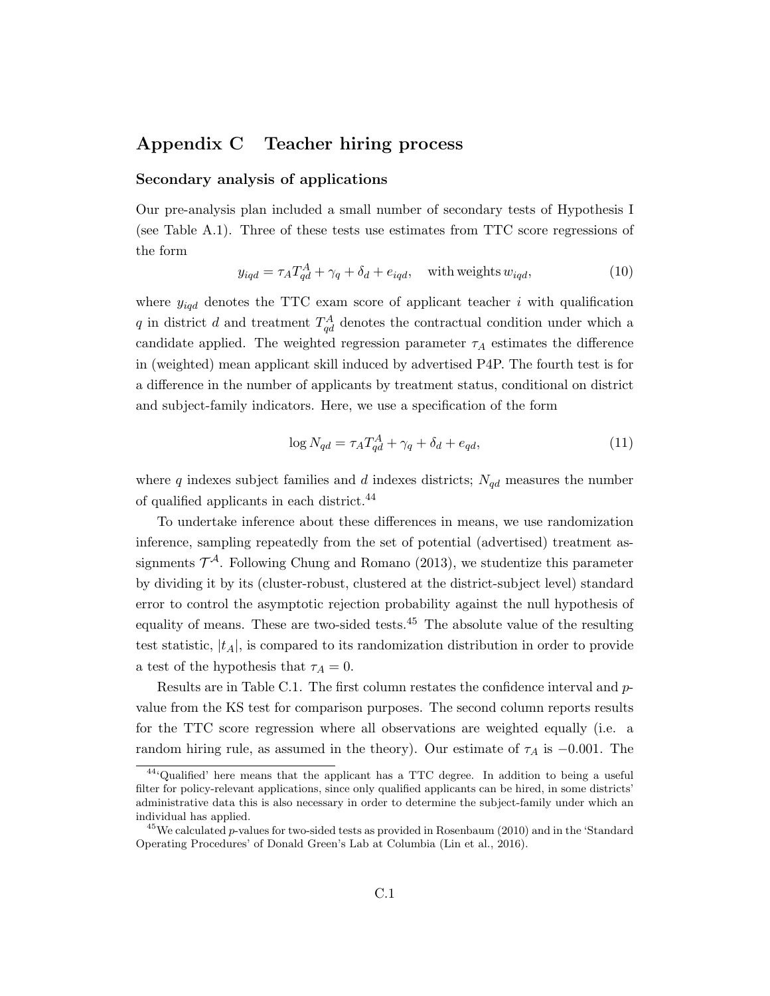# Appendix C Teacher hiring process

#### Secondary analysis of applications

Our pre-analysis plan included a small number of secondary tests of Hypothesis I (see Table A.1). Three of these tests use estimates from TTC score regressions of the form

$$
y_{iqd} = \tau_A T_{qd}^A + \gamma_q + \delta_d + e_{iqd}, \quad \text{with weights } w_{iqd}, \tag{10}
$$

where  $y_{iqd}$  denotes the TTC exam score of applicant teacher i with qualification q in district d and treatment  $T_{qd}^A$  denotes the contractual condition under which a candidate applied. The weighted regression parameter  $\tau_A$  estimates the difference in (weighted) mean applicant skill induced by advertised P4P. The fourth test is for a difference in the number of applicants by treatment status, conditional on district and subject-family indicators. Here, we use a specification of the form

$$
\log N_{qd} = \tau_A T_{qd}^A + \gamma_q + \delta_d + e_{qd},\tag{11}
$$

where  $q$  indexes subject families and  $d$  indexes districts;  $N_{qd}$  measures the number of qualified applicants in each district.<sup>44</sup>

To undertake inference about these differences in means, we use randomization inference, sampling repeatedly from the set of potential (advertised) treatment assignments  $\mathcal{T}^{\mathcal{A}}$ . Following Chung and Romano (2013), we studentize this parameter by dividing it by its (cluster-robust, clustered at the district-subject level) standard error to control the asymptotic rejection probability against the null hypothesis of equality of means. These are two-sided tests.<sup>45</sup> The absolute value of the resulting test statistic,  $|t_A|$ , is compared to its randomization distribution in order to provide a test of the hypothesis that  $\tau_A = 0$ .

Results are in Table C.1. The first column restates the confidence interval and  $p$ value from the KS test for comparison purposes. The second column reports results for the TTC score regression where all observations are weighted equally (i.e. a random hiring rule, as assumed in the theory). Our estimate of  $\tau_A$  is -0.001. The

<sup>44</sup>'Qualified' here means that the applicant has a TTC degree. In addition to being a useful filter for policy-relevant applications, since only qualified applicants can be hired, in some districts' administrative data this is also necessary in order to determine the subject-family under which an individual has applied.

<sup>&</sup>lt;sup>45</sup>We calculated p-values for two-sided tests as provided in Rosenbaum (2010) and in the 'Standard Operating Procedures' of Donald Green's Lab at Columbia (Lin et al., 2016).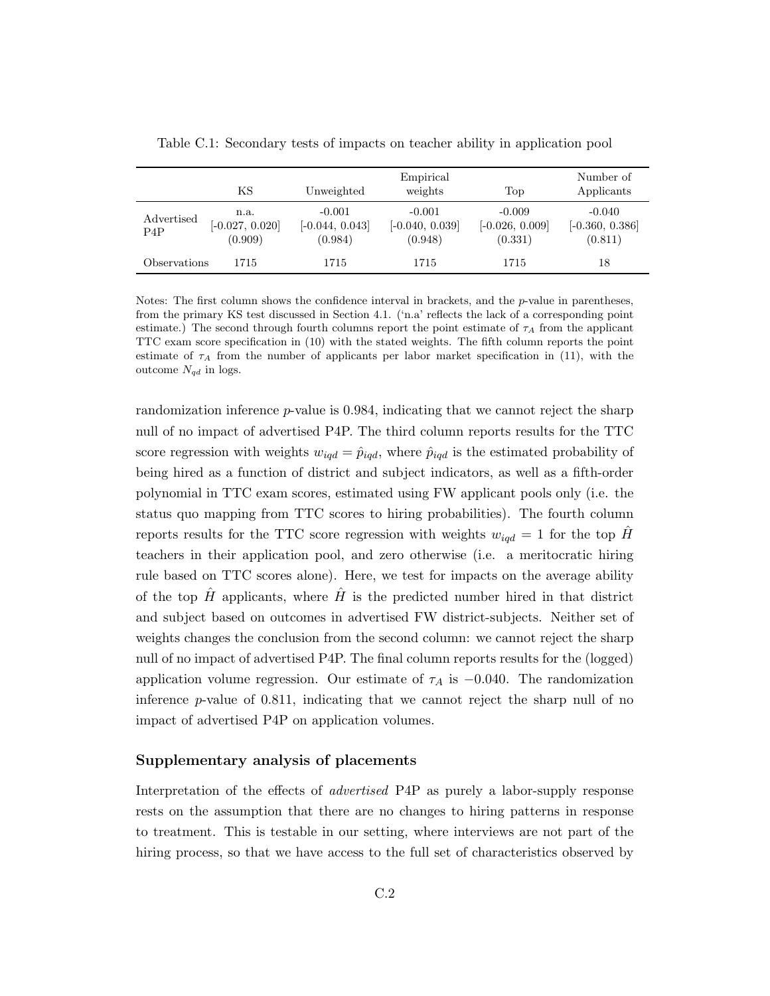|                   | ΚS                                   | Unweighted                               | Empirical<br>weights                     | Top                                      | Number of<br>Applicants                  |
|-------------------|--------------------------------------|------------------------------------------|------------------------------------------|------------------------------------------|------------------------------------------|
| Advertised<br>P4P | n.a.<br>$[-0.027, 0.020]$<br>(0.909) | $-0.001$<br>$[-0.044, 0.043]$<br>(0.984) | $-0.001$<br>$[-0.040, 0.039]$<br>(0.948) | $-0.009$<br>$[-0.026, 0.009]$<br>(0.331) | $-0.040$<br>$[-0.360, 0.386]$<br>(0.811) |
| Observations      | 1715                                 | 1715                                     | 1715                                     | 1715                                     | 18                                       |

Table C.1: Secondary tests of impacts on teacher ability in application pool

Notes: The first column shows the confidence interval in brackets, and the  $p$ -value in parentheses, from the primary KS test discussed in Section 4.1. ('n.a' reflects the lack of a corresponding point estimate.) The second through fourth columns report the point estimate of  $\tau_A$  from the applicant TTC exam score specification in (10) with the stated weights. The fifth column reports the point estimate of  $\tau_A$  from the number of applicants per labor market specification in (11), with the outcome  $N_{qd}$  in logs.

randomization inference  $p$ -value is 0.984, indicating that we cannot reject the sharp null of no impact of advertised P4P. The third column reports results for the TTC score regression with weights  $w_{iqd} = \hat{p}_{iqd}$ , where  $\hat{p}_{iqd}$  is the estimated probability of being hired as a function of district and subject indicators, as well as a fifth-order polynomial in TTC exam scores, estimated using FW applicant pools only (i.e. the status quo mapping from TTC scores to hiring probabilities). The fourth column reports results for the TTC score regression with weights  $w_{i q d} = 1$  for the top H teachers in their application pool, and zero otherwise (i.e. a meritocratic hiring rule based on TTC scores alone). Here, we test for impacts on the average ability of the top  $\hat{H}$  applicants, where  $\hat{H}$  is the predicted number hired in that district and subject based on outcomes in advertised FW district-subjects. Neither set of weights changes the conclusion from the second column: we cannot reject the sharp null of no impact of advertised P4P. The final column reports results for the (logged) application volume regression. Our estimate of  $\tau_A$  is  $-0.040$ . The randomization inference p-value of 0.811, indicating that we cannot reject the sharp null of no impact of advertised P4P on application volumes.

#### Supplementary analysis of placements

Interpretation of the effects of advertised P4P as purely a labor-supply response rests on the assumption that there are no changes to hiring patterns in response to treatment. This is testable in our setting, where interviews are not part of the hiring process, so that we have access to the full set of characteristics observed by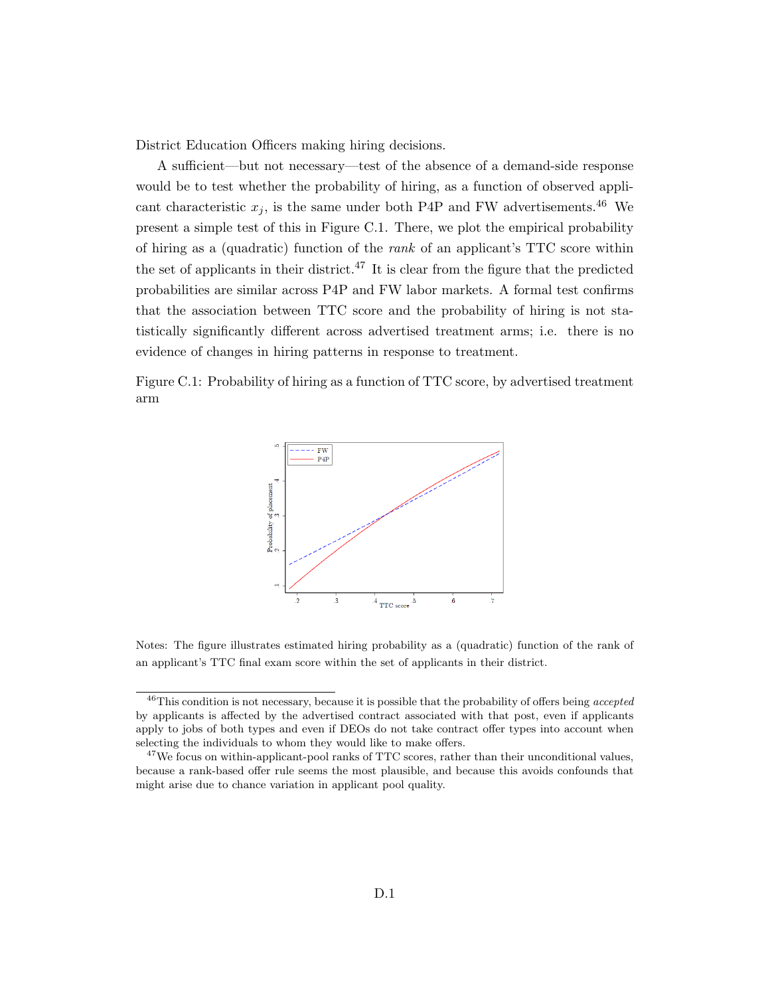District Education Officers making hiring decisions.

A sufficient—but not necessary—test of the absence of a demand-side response would be to test whether the probability of hiring, as a function of observed applicant characteristic  $x_j$ , is the same under both P4P and FW advertisements.<sup>46</sup> We present a simple test of this in Figure C.1. There, we plot the empirical probability of hiring as a (quadratic) function of the rank of an applicant's TTC score within the set of applicants in their district.<sup>47</sup> It is clear from the figure that the predicted probabilities are similar across P4P and FW labor markets. A formal test confirms that the association between TTC score and the probability of hiring is not statistically significantly different across advertised treatment arms; i.e. there is no evidence of changes in hiring patterns in response to treatment.

Figure C.1: Probability of hiring as a function of TTC score, by advertised treatment arm



Notes: The figure illustrates estimated hiring probability as a (quadratic) function of the rank of an applicant's TTC final exam score within the set of applicants in their district.

 $^{46}$ This condition is not necessary, because it is possible that the probability of offers being accepted by applicants is affected by the advertised contract associated with that post, even if applicants apply to jobs of both types and even if DEOs do not take contract offer types into account when selecting the individuals to whom they would like to make offers.

<sup>&</sup>lt;sup>47</sup>We focus on within-applicant-pool ranks of TTC scores, rather than their unconditional values, because a rank-based offer rule seems the most plausible, and because this avoids confounds that might arise due to chance variation in applicant pool quality.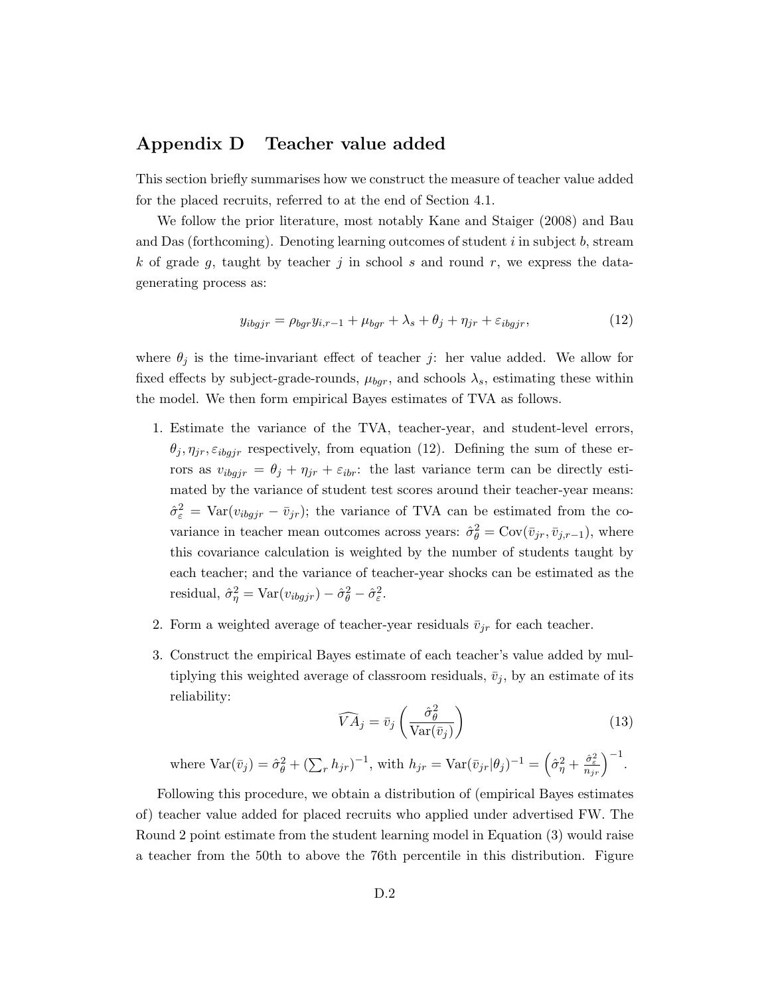# Appendix D Teacher value added

This section briefly summarises how we construct the measure of teacher value added for the placed recruits, referred to at the end of Section 4.1.

We follow the prior literature, most notably Kane and Staiger (2008) and Bau and Das (forthcoming). Denoting learning outcomes of student  $i$  in subject  $b$ , stream k of grade g, taught by teacher j in school s and round  $r$ , we express the datagenerating process as:

$$
y_{ibgjr} = \rho_{bgr} y_{i,r-1} + \mu_{bgr} + \lambda_s + \theta_j + \eta_{jr} + \varepsilon_{ibgjr},
$$
\n(12)

where  $\theta_j$  is the time-invariant effect of teacher j: her value added. We allow for fixed effects by subject-grade-rounds,  $\mu_{bgr}$ , and schools  $\lambda_s$ , estimating these within the model. We then form empirical Bayes estimates of TVA as follows.

- 1. Estimate the variance of the TVA, teacher-year, and student-level errors,  $\theta_j, \eta_{jr}, \varepsilon_{ibgjr}$  respectively, from equation (12). Defining the sum of these errors as  $v_{ibgjr} = \theta_j + \eta_{jr} + \varepsilon_{ibr}$ : the last variance term can be directly estimated by the variance of student test scores around their teacher-year means:  $\hat{\sigma}_{\varepsilon}^2 = \text{Var}(v_{ibgjr} - \bar{v}_{jr});$  the variance of TVA can be estimated from the covariance in teacher mean outcomes across years:  $\hat{\sigma}_{\theta}^2 = \text{Cov}(\bar{v}_{jr}, \bar{v}_{j,r-1})$ , where this covariance calculation is weighted by the number of students taught by each teacher; and the variance of teacher-year shocks can be estimated as the residual,  $\hat{\sigma}_{\eta}^2 = \text{Var}(v_{ibgjr}) - \hat{\sigma}_{\theta}^2 - \hat{\sigma}_{\varepsilon}^2$ .
- 2. Form a weighted average of teacher-year residuals  $\bar{v}_{jr}$  for each teacher.
- 3. Construct the empirical Bayes estimate of each teacher's value added by multiplying this weighted average of classroom residuals,  $\bar{v}_j$ , by an estimate of its reliability:

$$
\widehat{VA}_j = \bar{v}_j \left( \frac{\hat{\sigma}_{\theta}^2}{\text{Var}(\bar{v}_j)} \right)
$$
(13)

where 
$$
\text{Var}(\bar{v}_j) = \hat{\sigma}_{\theta}^2 + (\sum_r h_{jr})^{-1}
$$
, with  $h_{jr} = \text{Var}(\bar{v}_{jr}|\theta_j)^{-1} = (\hat{\sigma}_{\eta}^2 + \frac{\hat{\sigma}_{\varepsilon}^2}{n_{jr}})^{-1}$ .

Following this procedure, we obtain a distribution of (empirical Bayes estimates of) teacher value added for placed recruits who applied under advertised FW. The Round 2 point estimate from the student learning model in Equation (3) would raise a teacher from the 50th to above the 76th percentile in this distribution. Figure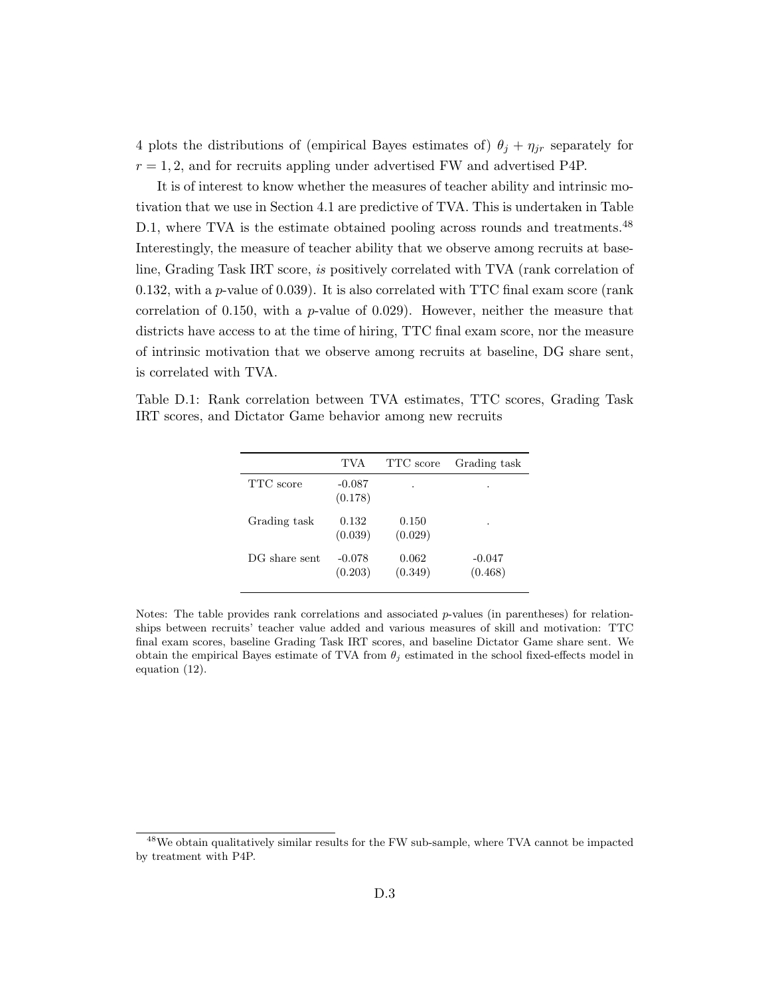4 plots the distributions of (empirical Bayes estimates of)  $\theta_j + \eta_{jr}$  separately for  $r = 1, 2$ , and for recruits appling under advertised FW and advertised P4P.

It is of interest to know whether the measures of teacher ability and intrinsic motivation that we use in Section 4.1 are predictive of TVA. This is undertaken in Table D.1, where TVA is the estimate obtained pooling across rounds and treatments.<sup>48</sup> Interestingly, the measure of teacher ability that we observe among recruits at baseline, Grading Task IRT score, is positively correlated with TVA (rank correlation of 0.132, with a p-value of 0.039). It is also correlated with TTC final exam score (rank correlation of 0.150, with a  $p$ -value of 0.029). However, neither the measure that districts have access to at the time of hiring, TTC final exam score, nor the measure of intrinsic motivation that we observe among recruits at baseline, DG share sent, is correlated with TVA.

Table D.1: Rank correlation between TVA estimates, TTC scores, Grading Task IRT scores, and Dictator Game behavior among new recruits

|               | TVA                 | TTC score        | Grading task        |
|---------------|---------------------|------------------|---------------------|
| TTC score     | $-0.087$<br>(0.178) |                  |                     |
| Grading task  | 0.132<br>(0.039)    | 0.150<br>(0.029) |                     |
| DG share sent | $-0.078$<br>(0.203) | 0.062<br>(0.349) | $-0.047$<br>(0.468) |

Notes: The table provides rank correlations and associated p-values (in parentheses) for relationships between recruits' teacher value added and various measures of skill and motivation: TTC final exam scores, baseline Grading Task IRT scores, and baseline Dictator Game share sent. We obtain the empirical Bayes estimate of TVA from  $\theta_i$  estimated in the school fixed-effects model in equation (12).

<sup>48</sup>We obtain qualitatively similar results for the FW sub-sample, where TVA cannot be impacted by treatment with P4P.